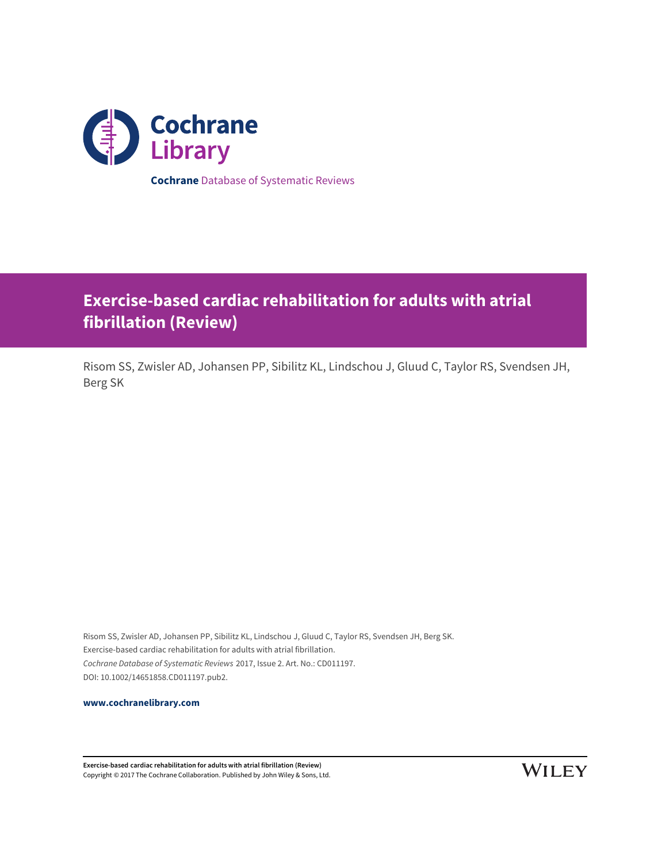

# **Exercise-based cardiac rehabilitation for adults with atrial fibrillation (Review)**

Risom SS, Zwisler AD, Johansen PP, Sibilitz KL, Lindschou J, Gluud C, Taylor RS, Svendsen JH, Berg SK

Risom SS, Zwisler AD, Johansen PP, Sibilitz KL, Lindschou J, Gluud C, Taylor RS, Svendsen JH, Berg SK. Exercise-based cardiac rehabilitation for adults with atrial fibrillation. Cochrane Database of Systematic Reviews 2017, Issue 2. Art. No.: CD011197. DOI: 10.1002/14651858.CD011197.pub2.

**[www.cochranelibrary.com](http://www.cochranelibrary.com)**

**Exercise-based cardiac rehabilitation for adults with atrial fibrillation (Review)** Copyright © 2017 The Cochrane Collaboration. Published by John Wiley & Sons, Ltd.

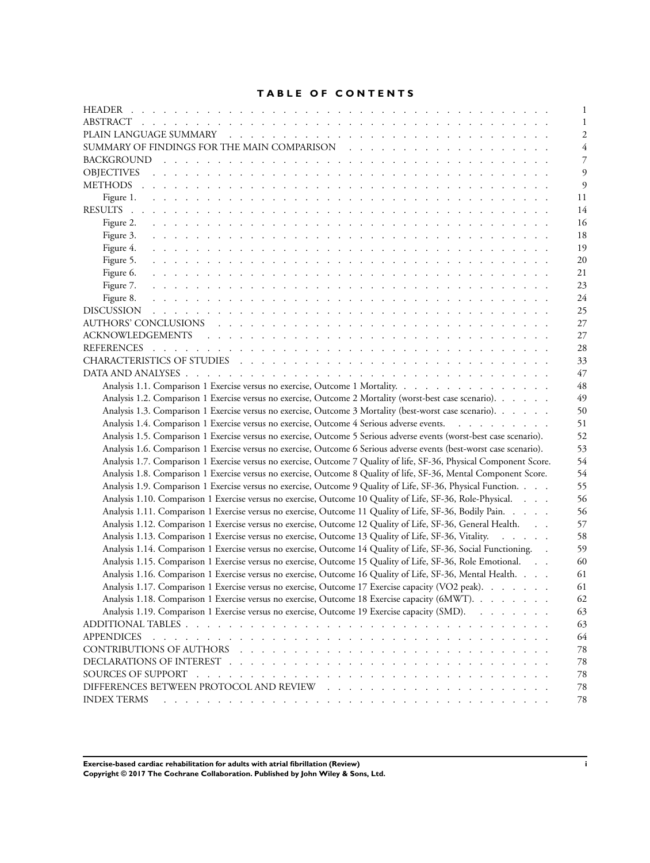# **TABLE OF CONTENTS**

| ı                                                                                                                                                                                                                                                        |
|----------------------------------------------------------------------------------------------------------------------------------------------------------------------------------------------------------------------------------------------------------|
|                                                                                                                                                                                                                                                          |
|                                                                                                                                                                                                                                                          |
|                                                                                                                                                                                                                                                          |
| <b>OBJECTIVES</b><br>and the contract of the contract of the contract of the contract of the contract of the contract of the contract of the contract of the contract of the contract of the contract of the contract of the contract of the contra<br>9 |
| $\mathbf{q}$                                                                                                                                                                                                                                             |
| 11                                                                                                                                                                                                                                                       |
| 14                                                                                                                                                                                                                                                       |
| Figure 2.<br>16                                                                                                                                                                                                                                          |
| Figure 3.<br>18                                                                                                                                                                                                                                          |
| Figure 4.<br>19                                                                                                                                                                                                                                          |
| Figure 5.<br>20                                                                                                                                                                                                                                          |
| Figure 6.<br>21                                                                                                                                                                                                                                          |
| Figure 7.<br>23                                                                                                                                                                                                                                          |
| Figure 8.<br>24<br>a constitución de la constitución de la constitución de la constitución de la constitución de la constitución                                                                                                                         |
| 25                                                                                                                                                                                                                                                       |
| 27                                                                                                                                                                                                                                                       |
| 27                                                                                                                                                                                                                                                       |
| 28                                                                                                                                                                                                                                                       |
| 33                                                                                                                                                                                                                                                       |
| 47                                                                                                                                                                                                                                                       |
| Analysis 1.1. Comparison 1 Exercise versus no exercise, Outcome 1 Mortality.<br>48                                                                                                                                                                       |
| Analysis 1.2. Comparison 1 Exercise versus no exercise, Outcome 2 Mortality (worst-best case scenario).<br>49                                                                                                                                            |
| Analysis 1.3. Comparison 1 Exercise versus no exercise, Outcome 3 Mortality (best-worst case scenario).<br>50                                                                                                                                            |
| Analysis 1.4. Comparison 1 Exercise versus no exercise, Outcome 4 Serious adverse events.<br>51                                                                                                                                                          |
| Analysis 1.5. Comparison 1 Exercise versus no exercise, Outcome 5 Serious adverse events (worst-best case scenario).<br>52                                                                                                                               |
| Analysis 1.6. Comparison 1 Exercise versus no exercise, Outcome 6 Serious adverse events (best-worst case scenario).<br>53                                                                                                                               |
| 54                                                                                                                                                                                                                                                       |
| Analysis 1.7. Comparison 1 Exercise versus no exercise, Outcome 7 Quality of life, SF-36, Physical Component Score.<br>54                                                                                                                                |
| Analysis 1.8. Comparison 1 Exercise versus no exercise, Outcome 8 Quality of life, SF-36, Mental Component Score.                                                                                                                                        |
| 55<br>Analysis 1.9. Comparison 1 Exercise versus no exercise, Outcome 9 Quality of Life, SF-36, Physical Function.                                                                                                                                       |
| Analysis 1.10. Comparison 1 Exercise versus no exercise, Outcome 10 Quality of Life, SF-36, Role-Physical.<br>56                                                                                                                                         |
| Analysis 1.11. Comparison 1 Exercise versus no exercise, Outcome 11 Quality of Life, SF-36, Bodily Pain.<br>56                                                                                                                                           |
| Analysis 1.12. Comparison 1 Exercise versus no exercise, Outcome 12 Quality of Life, SF-36, General Health.<br>57                                                                                                                                        |
| Analysis 1.13. Comparison 1 Exercise versus no exercise, Outcome 13 Quality of Life, SF-36, Vitality.<br>58                                                                                                                                              |
| Analysis 1.14. Comparison 1 Exercise versus no exercise, Outcome 14 Quality of Life, SF-36, Social Functioning. .<br>59                                                                                                                                  |
| Analysis 1.15. Comparison 1 Exercise versus no exercise, Outcome 15 Quality of Life, SF-36, Role Emotional.<br>60                                                                                                                                        |
| Analysis 1.16. Comparison 1 Exercise versus no exercise, Outcome 16 Quality of Life, SF-36, Mental Health.<br>61                                                                                                                                         |
| Analysis 1.17. Comparison 1 Exercise versus no exercise, Outcome 17 Exercise capacity (VO2 peak).<br>61                                                                                                                                                  |
| Analysis 1.18. Comparison 1 Exercise versus no exercise, Outcome 18 Exercise capacity (6MWT).<br>62                                                                                                                                                      |
| Analysis 1.19. Comparison 1 Exercise versus no exercise, Outcome 19 Exercise capacity (SMD).<br>63<br>$\mathbf{r}$ , $\mathbf{r}$ , $\mathbf{r}$ , $\mathbf{r}$ , $\mathbf{r}$ , $\mathbf{r}$                                                            |
| 63                                                                                                                                                                                                                                                       |
| <b>APPENDICES</b><br>64<br>a constitution of the constitution of the constitution of the constitution of the constitution of the constitution of the constitution of the constitution of the constitution of the constitution of the constitution of the |
| 78                                                                                                                                                                                                                                                       |
| 78                                                                                                                                                                                                                                                       |
| SOURCES OF SUPPORT<br><u>. In the second contract of the second contract of the second contract of the second</u><br>78                                                                                                                                  |
| 78                                                                                                                                                                                                                                                       |
| <b>INDEX TERMS</b><br>78<br>a constitution de la constitution de la constitution de la constitution de la constitution de la constitution                                                                                                                |

**Exercise-based cardiac rehabilitation for adults with atrial fibrillation (Review) i Copyright © 2017 The Cochrane Collaboration. Published by John Wiley & Sons, Ltd.**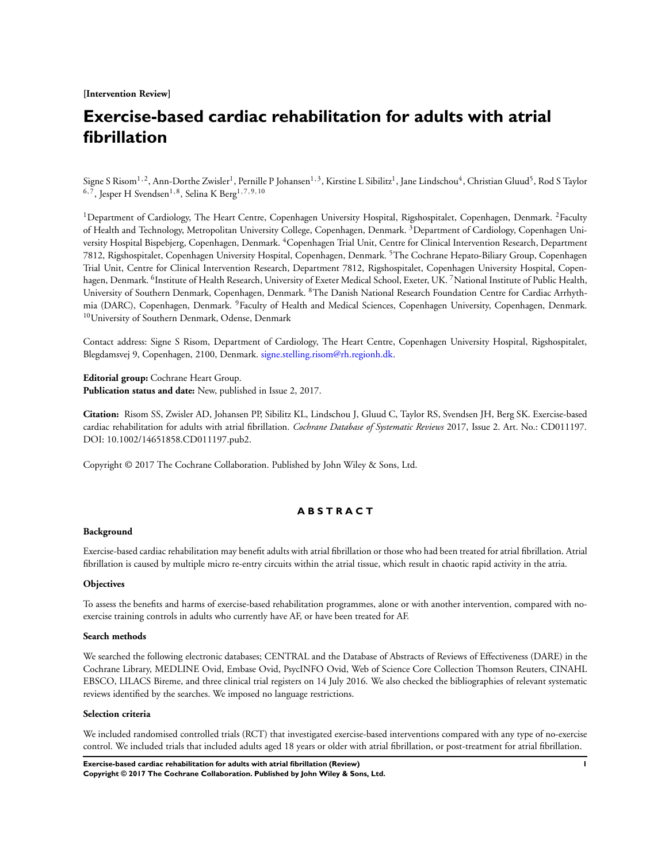**[Intervention Review]**

# **Exercise-based cardiac rehabilitation for adults with atrial fibrillation**

Signe S Risom<sup>1,2</sup>, Ann-Dorthe Zwisler<sup>1</sup>, Pernille P Johansen<sup>1,3</sup>, Kirstine L Sibilitz<sup>1</sup>, Jane Lindschou<sup>4</sup>, Christian Gluud<sup>5</sup>, Rod S Taylor  $^{6,7}$ , Jesper H Svendsen $^{1,\,8}$ , Selina K Berg $^{1,7,9,10}$ 

<sup>1</sup>Department of Cardiology, The Heart Centre, Copenhagen University Hospital, Rigshospitalet, Copenhagen, Denmark. <sup>2</sup>Faculty of Health and Technology, Metropolitan University College, Copenhagen, Denmark. <sup>3</sup>Department of Cardiology, Copenhagen University Hospital Bispebjerg, Copenhagen, Denmark. <sup>4</sup>Copenhagen Trial Unit, Centre for Clinical Intervention Research, Department 7812, Rigshospitalet, Copenhagen University Hospital, Copenhagen, Denmark. <sup>5</sup>The Cochrane Hepato-Biliary Group, Copenhagen Trial Unit, Centre for Clinical Intervention Research, Department 7812, Rigshospitalet, Copenhagen University Hospital, Copenhagen, Denmark. <sup>6</sup>Institute of Health Research, University of Exeter Medical School, Exeter, UK. <sup>7</sup>National Institute of Public Health, University of Southern Denmark, Copenhagen, Denmark. <sup>8</sup>The Danish National Research Foundation Centre for Cardiac Arrhythmia (DARC), Copenhagen, Denmark. <sup>9</sup>Faculty of Health and Medical Sciences, Copenhagen University, Copenhagen, Denmark. <sup>10</sup>University of Southern Denmark, Odense, Denmark

Contact address: Signe S Risom, Department of Cardiology, The Heart Centre, Copenhagen University Hospital, Rigshospitalet, Blegdamsvej 9, Copenhagen, 2100, Denmark. [signe.stelling.risom@rh.regionh.dk](mailto:signe.stelling.risom@rh.regionh.dk).

**Editorial group:** Cochrane Heart Group. **Publication status and date:** New, published in Issue 2, 2017.

**Citation:** Risom SS, Zwisler AD, Johansen PP, Sibilitz KL, Lindschou J, Gluud C, Taylor RS, Svendsen JH, Berg SK. Exercise-based cardiac rehabilitation for adults with atrial fibrillation. *Cochrane Database of Systematic Reviews* 2017, Issue 2. Art. No.: CD011197. DOI: 10.1002/14651858.CD011197.pub2.

Copyright © 2017 The Cochrane Collaboration. Published by John Wiley & Sons, Ltd.

# **A B S T R A C T**

## **Background**

Exercise-based cardiac rehabilitation may benefit adults with atrial fibrillation or those who had been treated for atrial fibrillation. Atrial fibrillation is caused by multiple micro re-entry circuits within the atrial tissue, which result in chaotic rapid activity in the atria.

## **Objectives**

To assess the benefits and harms of exercise-based rehabilitation programmes, alone or with another intervention, compared with noexercise training controls in adults who currently have AF, or have been treated for AF.

#### **Search methods**

We searched the following electronic databases; CENTRAL and the Database of Abstracts of Reviews of Effectiveness (DARE) in the Cochrane Library, MEDLINE Ovid, Embase Ovid, PsycINFO Ovid, Web of Science Core Collection Thomson Reuters, CINAHL EBSCO, LILACS Bireme, and three clinical trial registers on 14 July 2016. We also checked the bibliographies of relevant systematic reviews identified by the searches. We imposed no language restrictions.

# **Selection criteria**

We included randomised controlled trials (RCT) that investigated exercise-based interventions compared with any type of no-exercise control. We included trials that included adults aged 18 years or older with atrial fibrillation, or post-treatment for atrial fibrillation.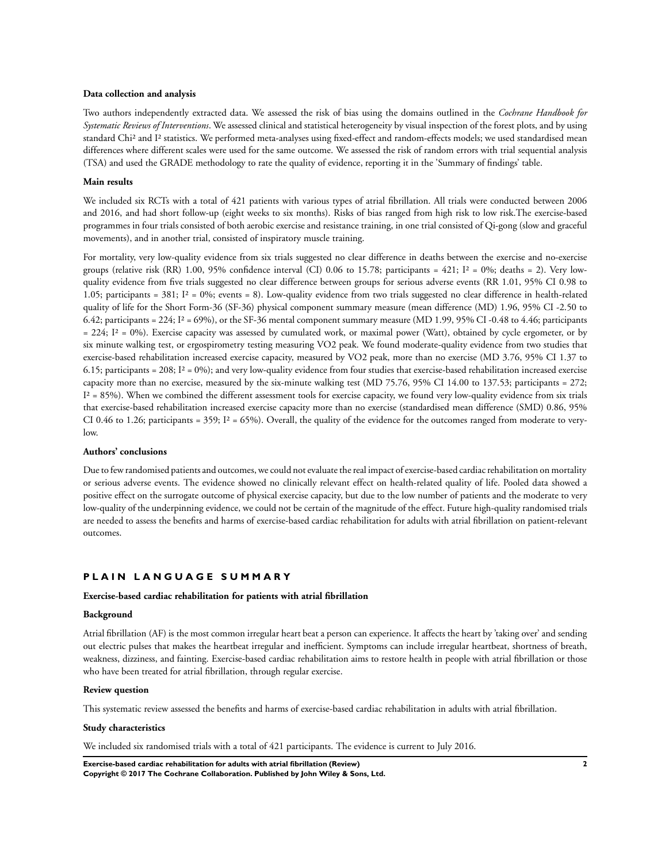#### **Data collection and analysis**

Two authors independently extracted data. We assessed the risk of bias using the domains outlined in the *Cochrane Handbook for Systematic Reviews of Interventions*. We assessed clinical and statistical heterogeneity by visual inspection of the forest plots, and by using standard Chi² and I² statistics. We performed meta-analyses using fixed-effect and random-effects models; we used standardised mean differences where different scales were used for the same outcome. We assessed the risk of random errors with trial sequential analysis (TSA) and used the GRADE methodology to rate the quality of evidence, reporting it in the 'Summary of findings' table.

## **Main results**

We included six RCTs with a total of 421 patients with various types of atrial fibrillation. All trials were conducted between 2006 and 2016, and had short follow-up (eight weeks to six months). Risks of bias ranged from high risk to low risk.The exercise-based programmes in four trials consisted of both aerobic exercise and resistance training, in one trial consisted of Qi-gong (slow and graceful movements), and in another trial, consisted of inspiratory muscle training.

For mortality, very low-quality evidence from six trials suggested no clear difference in deaths between the exercise and no-exercise groups (relative risk (RR) 1.00, 95% confidence interval (CI) 0.06 to 15.78; participants = 421;  $I^2 = 0\%$ ; deaths = 2). Very lowquality evidence from five trials suggested no clear difference between groups for serious adverse events (RR 1.01, 95% CI 0.98 to 1.05; participants = 381;  $I^2 = 0\%$ ; events = 8). Low-quality evidence from two trials suggested no clear difference in health-related quality of life for the Short Form-36 (SF-36) physical component summary measure (mean difference (MD) 1.96, 95% CI -2.50 to 6.42; participants = 224; I² = 69%), or the SF-36 mental component summary measure (MD 1.99, 95% CI -0.48 to 4.46; participants  $= 224$ ;  $I^2 = 0\%$ ). Exercise capacity was assessed by cumulated work, or maximal power (Watt), obtained by cycle ergometer, or by six minute walking test, or ergospirometry testing measuring VO2 peak. We found moderate-quality evidence from two studies that exercise-based rehabilitation increased exercise capacity, measured by VO2 peak, more than no exercise (MD 3.76, 95% CI 1.37 to 6.15; participants = 208;  $I^2 = 0\%$ ); and very low-quality evidence from four studies that exercise-based rehabilitation increased exercise capacity more than no exercise, measured by the six-minute walking test (MD 75.76, 95% CI 14.00 to 137.53; participants = 272;  $I<sup>2</sup> = 85%$ ). When we combined the different assessment tools for exercise capacity, we found very low-quality evidence from six trials that exercise-based rehabilitation increased exercise capacity more than no exercise (standardised mean difference (SMD) 0.86, 95% CI 0.46 to 1.26; participants = 359;  $I^2 = 65\%$ ). Overall, the quality of the evidence for the outcomes ranged from moderate to verylow.

## **Authors' conclusions**

Due to few randomised patients and outcomes, we could not evaluate the real impact of exercise-based cardiac rehabilitation on mortality or serious adverse events. The evidence showed no clinically relevant effect on health-related quality of life. Pooled data showed a positive effect on the surrogate outcome of physical exercise capacity, but due to the low number of patients and the moderate to very low-quality of the underpinning evidence, we could not be certain of the magnitude of the effect. Future high-quality randomised trials are needed to assess the benefits and harms of exercise-based cardiac rehabilitation for adults with atrial fibrillation on patient-relevant outcomes.

# **P L A I N L A N G U A G E S U M M A R Y**

## **Exercise-based cardiac rehabilitation for patients with atrial fibrillation**

#### **Background**

Atrial fibrillation (AF) is the most common irregular heart beat a person can experience. It affects the heart by 'taking over' and sending out electric pulses that makes the heartbeat irregular and inefficient. Symptoms can include irregular heartbeat, shortness of breath, weakness, dizziness, and fainting. Exercise-based cardiac rehabilitation aims to restore health in people with atrial fibrillation or those who have been treated for atrial fibrillation, through regular exercise.

#### **Review question**

This systematic review assessed the benefits and harms of exercise-based cardiac rehabilitation in adults with atrial fibrillation.

#### **Study characteristics**

We included six randomised trials with a total of 421 participants. The evidence is current to July 2016.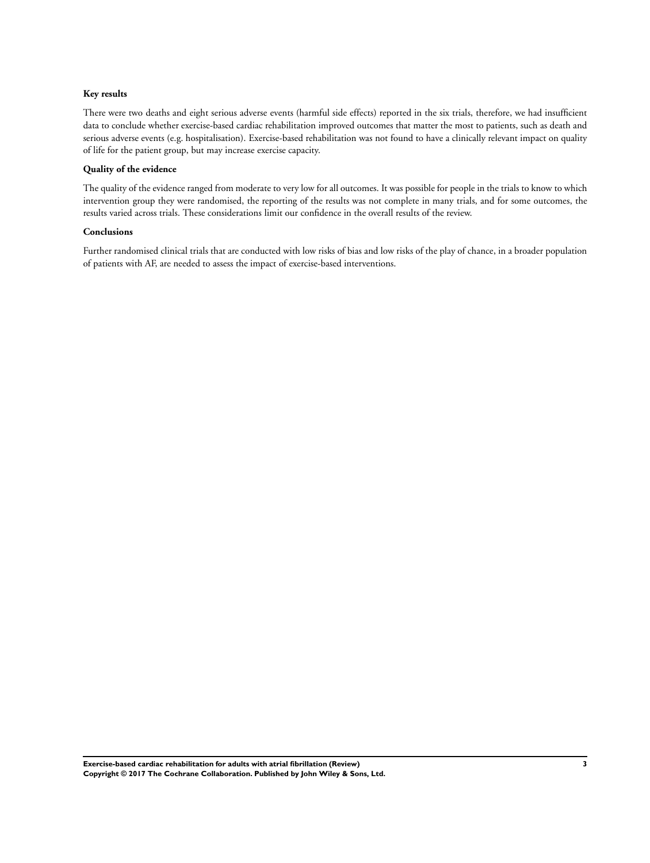# **Key results**

There were two deaths and eight serious adverse events (harmful side effects) reported in the six trials, therefore, we had insufficient data to conclude whether exercise-based cardiac rehabilitation improved outcomes that matter the most to patients, such as death and serious adverse events (e.g. hospitalisation). Exercise-based rehabilitation was not found to have a clinically relevant impact on quality of life for the patient group, but may increase exercise capacity.

# **Quality of the evidence**

The quality of the evidence ranged from moderate to very low for all outcomes. It was possible for people in the trials to know to which intervention group they were randomised, the reporting of the results was not complete in many trials, and for some outcomes, the results varied across trials. These considerations limit our confidence in the overall results of the review.

# **Conclusions**

Further randomised clinical trials that are conducted with low risks of bias and low risks of the play of chance, in a broader population of patients with AF, are needed to assess the impact of exercise-based interventions.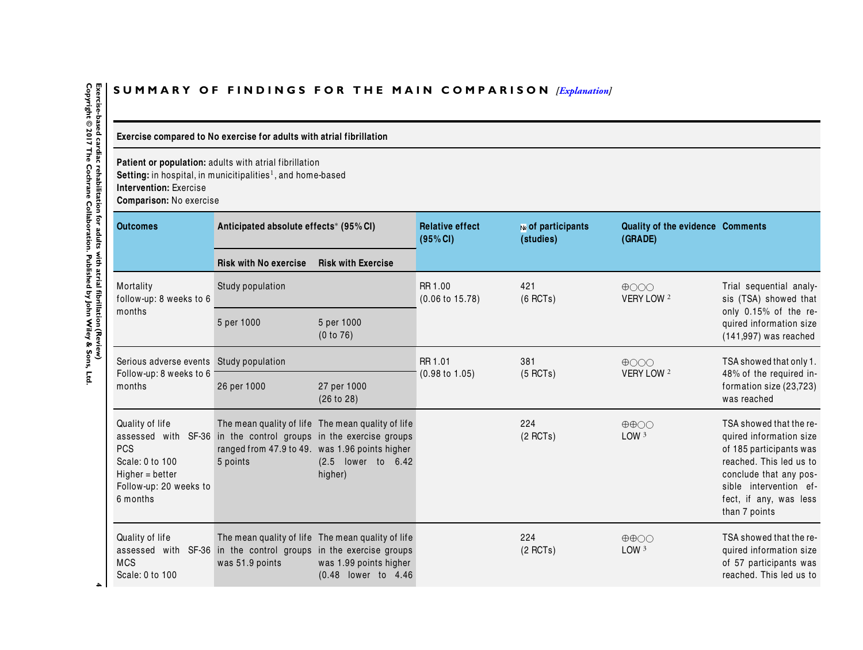# SUMMARY OF FINDINGS FOR THE MAIN COMPARISON *[\[Explanation\]](http://www.thecochranelibrary.com/view/0/SummaryFindings.html)*

**Exercise compared to No exercise for adults with atrial fibrillation**

**Patient or population:** adults with atrial fibrillation $\mathsf{Setting:}$  in hospital, in municitipalities $^1$ , and home-based **Intervention:** Exercise

**Comparison:** No exercise

|  | <b>Outcomes</b>                                                                                                                    | Anticipated absolute effects* (95% CI)                                              |                                                                                                                                                                                          | <b>Relative effect</b><br>(95% CI)    | № of participants<br>(studies) | Quality of the evidence Comments<br>(GRADE)                |                                                                                                                                                                                                         |  |  |  |  |
|--|------------------------------------------------------------------------------------------------------------------------------------|-------------------------------------------------------------------------------------|------------------------------------------------------------------------------------------------------------------------------------------------------------------------------------------|---------------------------------------|--------------------------------|------------------------------------------------------------|---------------------------------------------------------------------------------------------------------------------------------------------------------------------------------------------------------|--|--|--|--|
|  |                                                                                                                                    | <b>Risk with No exercise</b>                                                        | <b>Risk with Exercise</b>                                                                                                                                                                |                                       |                                |                                                            |                                                                                                                                                                                                         |  |  |  |  |
|  | Mortality<br>follow-up: 8 weeks to 6<br>months                                                                                     | Study population                                                                    |                                                                                                                                                                                          | RR 1.00<br>$(0.06 \text{ to } 15.78)$ | 421<br>$(6$ RCTs)              | $\bigoplus$ $\bigcirc$ $\bigcirc$<br>VERY LOW <sup>2</sup> | Trial sequential analy-<br>sis (TSA) showed that                                                                                                                                                        |  |  |  |  |
|  |                                                                                                                                    | 5 per 1000                                                                          | 5 per 1000<br>(0 to 76)                                                                                                                                                                  |                                       |                                |                                                            | only 0.15% of the re-<br>quired information size<br>$(141,997)$ was reached                                                                                                                             |  |  |  |  |
|  | Serious adverse events Study population<br>Follow-up: 8 weeks to 6<br>months                                                       |                                                                                     |                                                                                                                                                                                          | RR 1.01                               | 381                            | $\bigoplus$ $\bigcirc$ $\bigcirc$                          | TSA showed that only 1.                                                                                                                                                                                 |  |  |  |  |
|  |                                                                                                                                    | 26 per 1000                                                                         | 27 per 1000<br>(26 to 28)                                                                                                                                                                | $(0.98 \text{ to } 1.05)$             | (5 RCTs)                       | VERY LOW <sup>2</sup>                                      | 48% of the required in-<br>formation size (23,723)<br>was reached                                                                                                                                       |  |  |  |  |
|  | Quality of life<br>assessed with SF-36<br><b>PCS</b><br>Scale: 0 to 100<br>$Higher = better$<br>Follow-up: 20 weeks to<br>6 months | 5 points                                                                            | The mean quality of life The mean quality of life<br>in the control groups in the exercise groups<br>ranged from 47.9 to 49. was 1.96 points higher<br>$(2.5$ lower to $6.42$<br>higher) |                                       | 224<br>$(2$ RCTs)              | $\oplus \oplus \bigcirc \bigcirc$<br>LOW <sup>3</sup>      | TSA showed that the re-<br>quired information size<br>of 185 participants was<br>reached. This led us to<br>conclude that any pos-<br>sible intervention ef-<br>fect, if any, was less<br>than 7 points |  |  |  |  |
|  | Quality of life<br><b>MCS</b><br>Scale: 0 to 100                                                                                   | assessed with SF-36 in the control groups in the exercise groups<br>was 51.9 points | The mean quality of life The mean quality of life<br>was 1.99 points higher<br>(0.48 lower to 4.46                                                                                       |                                       | 224<br>$(2$ RCTs)              | $\oplus \oplus \bigcirc \bigcirc$<br>LOW $3$               | TSA showed that the re-<br>quired information size<br>of 57 participants was<br>reached. This led us to                                                                                                 |  |  |  |  |

<span id="page-5-0"></span>Exercise-based cardiac rehabilitation for adults with atrial fibrillation (Review)<br>Copyright © 2017 The Cochrane Collaboration. Published by John Wiley & Sons, Ltd **Copyright © 2017 The Cochrane Collaboration. Published by John Wiley & Sons, Ltd.H Exercise-based cardiac repredicts for a dults with a first a first atrizin fibrillation (Review)** 

 $\blacktriangle$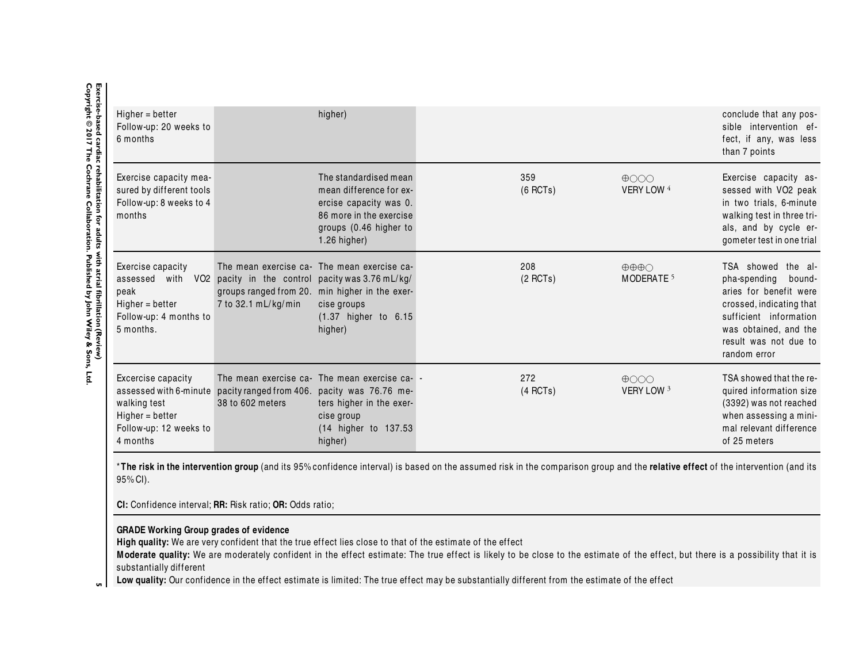| $Higher = better$<br>Follow-up: 20 weeks to<br>6 months                                                                      |                                                                     | higher)                                                                                                                                           |                   |                                                          | conclude that any pos-<br>sible intervention ef-<br>fect, if any, was less<br>than 7 points                                                                                                    |
|------------------------------------------------------------------------------------------------------------------------------|---------------------------------------------------------------------|---------------------------------------------------------------------------------------------------------------------------------------------------|-------------------|----------------------------------------------------------|------------------------------------------------------------------------------------------------------------------------------------------------------------------------------------------------|
| Exercise capacity mea-<br>sured by different tools<br>Follow-up: 8 weeks to 4<br>months                                      |                                                                     | The standardised mean<br>mean difference for ex-<br>ercise capacity was 0.<br>86 more in the exercise<br>groups (0.46 higher to<br>$1.26$ higher) | 359<br>$(6$ RCTs) | $\bigoplus$ OOO<br>VERY LOW 4                            | Exercise capacity as-<br>sessed with VO2 peak<br>in two trials, 6-minute<br>walking test in three tri-<br>als, and by cycle er-<br>gometer test in one trial                                   |
| Exercise capacity<br>VO <sub>2</sub><br>assessed<br>with<br>peak<br>$Higher = better$<br>Follow-up: 4 months to<br>5 months. | pacity in the control pacity was 3.76 mL/kg/<br>7 to 32.1 mL/kg/min | The mean exercise ca- The mean exercise ca-<br>groups ranged from 20. min higher in the exer-<br>cise groups<br>(1.37 higher to 6.15<br>higher)   | 208<br>$(2$ RCTs) | $\oplus \oplus \oplus \bigcirc$<br>MODERATE <sup>5</sup> | TSA showed the al-<br>pha-spending<br>bound-<br>aries for benefit were<br>crossed, indicating that<br>sufficient information<br>was obtained, and the<br>result was not due to<br>random error |
| Excercise capacity<br>assessed with 6-minute<br>walking test<br>$Higher = better$<br>Follow-up: 12 weeks to<br>4 months      | pacity ranged from 406. pacity was 76.76 me-<br>38 to 602 meters    | The mean exercise ca- The mean exercise ca- -<br>ters higher in the exer-<br>cise group<br>(14 higher to 137.53<br>higher)                        | 272<br>(4 RCTs)   | $\bigoplus$ OOO<br>VERY LOW 3                            | TSA showed that the re-<br>quired information size<br>(3392) was not reached<br>when assessing a mini-<br>mal relevant difference<br>of 25 meters                                              |

**CI:** Confidence interval; **RR:** Risk ratio; **OR:** Odds ratio;

# **GRADE Working Group grades of evidence**

**High quality:** We are very confident that the true effect lies close to that of the estimate of the effect

**M oderate quality:** We are moderately confident in the effect estimate: The true effect is likely to be close to the estimate of the effect, but there is <sup>a</sup> possibility that it is substantially different

**<sup>5</sup>Low quality:** Our confidence in the effect estimate is limited: The true effect may be substantially different from the estimate of the effect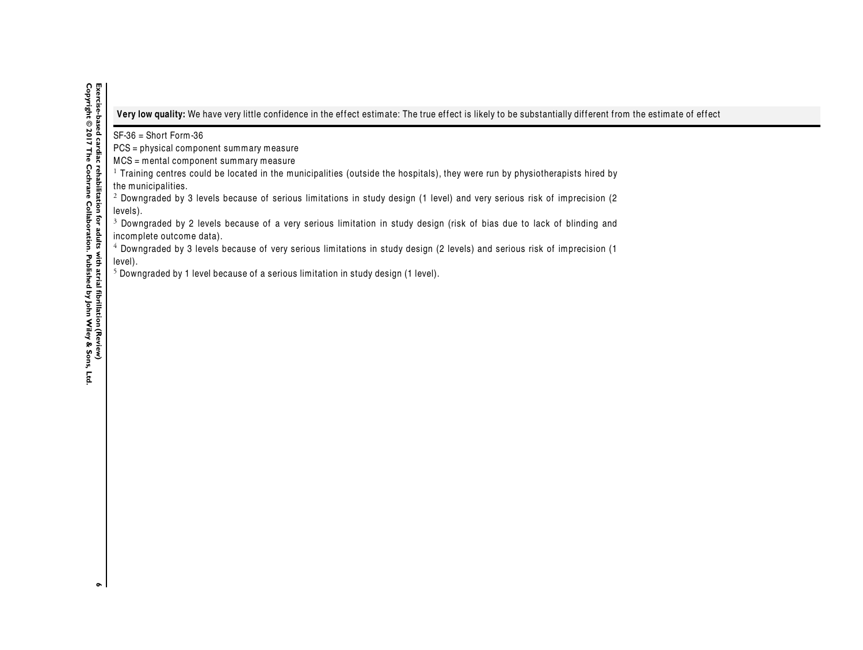# **Very low quality:** We have very little confidence in the effect estimate: The true effect is likely to be substantially different from the estimate of effect

SF-36 <sup>=</sup> Short Form-36

PCS <sup>=</sup> physical component summary measure

MCS <sup>=</sup> mental component summary measure

 $^1$  Training centres could be located in the municipalities (outside the hospitals), they were run by physiotherapists hired by the municipalities.

 $^2$  Downgraded by 3 levels because of serious limitations in study design (1 level) and very serious risk of imprecision (2 levels).

 $^3$  Downgraded by 2 levels because of a very serious limitation in study design (risk of bias due to lack of blinding and incomplete outcome data).

 $^4$  Downgraded by 3 levels because of very serious limitations in study design (2 levels) and serious risk of imprecision (1 level).

 $^5$  Downgraded by 1 level because of a serious limitation in study design (1 level).

 $\bullet$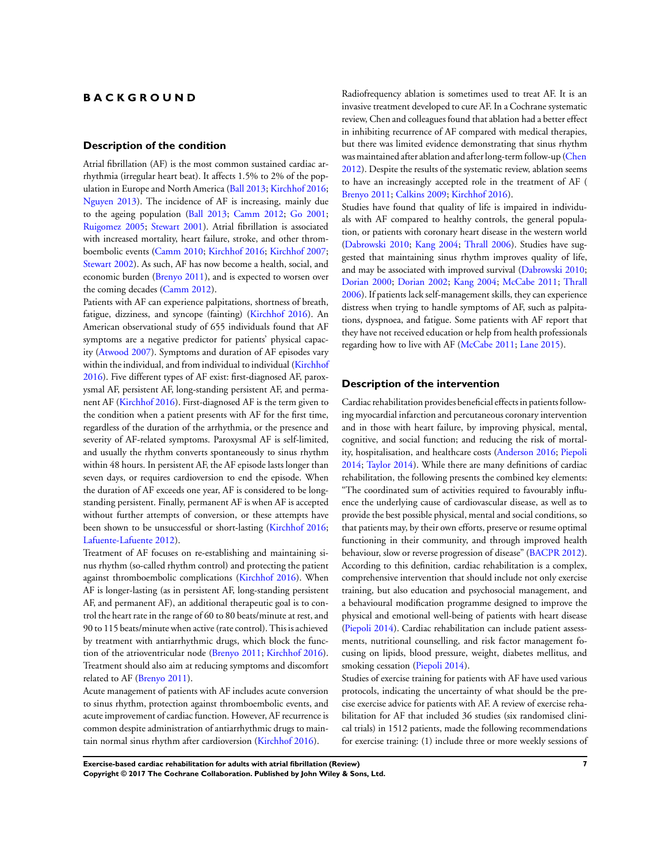# **B A C K G R O U N D**

# **Description of the condition**

Atrial fibrillation (AF) is the most common sustained cardiac arrhythmia (irregular heart beat). It affects 1.5% to 2% of the population in Europe and North America [\(Ball 2013;](#page-29-0) [Kirchhof 2016;](#page-29-0) [Nguyen 2013](#page-29-0)). The incidence of AF is increasing, mainly due to the ageing population ([Ball 2013](#page-29-0); [Camm 2012](#page-29-0); [Go 2001;](#page-29-0) [Ruigomez 2005;](#page-29-0) [Stewart 2001](#page-29-0)). Atrial fibrillation is associated with increased mortality, heart failure, stroke, and other thromboembolic events ([Camm 2010](#page-29-0); [Kirchhof 2016;](#page-29-0) [Kirchhof 2007;](#page-29-0) [Stewart 2002](#page-29-0)). As such, AF has now become a health, social, and economic burden [\(Brenyo 2011](#page-29-0)), and is expected to worsen over the coming decades [\(Camm 2012\)](#page-29-0).

Patients with AF can experience palpitations, shortness of breath, fatigue, dizziness, and syncope (fainting) [\(Kirchhof 2016](#page-29-0)). An American observational study of 655 individuals found that AF symptoms are a negative predictor for patients' physical capacity [\(Atwood 2007](#page-29-0)). Symptoms and duration of AF episodes vary within the individual, and from individual to individual ([Kirchhof](#page-29-0) [2016](#page-29-0)). Five different types of AF exist: first-diagnosed AF, paroxysmal AF, persistent AF, long-standing persistent AF, and permanent AF [\(Kirchhof 2016](#page-29-0)). First-diagnosed AF is the term given to the condition when a patient presents with AF for the first time, regardless of the duration of the arrhythmia, or the presence and severity of AF-related symptoms. Paroxysmal AF is self-limited, and usually the rhythm converts spontaneously to sinus rhythm within 48 hours. In persistent AF, the AF episode lasts longer than seven days, or requires cardioversion to end the episode. When the duration of AF exceeds one year, AF is considered to be longstanding persistent. Finally, permanent AF is when AF is accepted without further attempts of conversion, or these attempts have been shown to be unsuccessful or short-lasting ([Kirchhof 2016;](#page-29-0) [Lafuente-Lafuente 2012](#page-29-0)).

Treatment of AF focuses on re-establishing and maintaining sinus rhythm (so-called rhythm control) and protecting the patient against thromboembolic complications [\(Kirchhof 2016](#page-29-0)). When AF is longer-lasting (as in persistent AF, long-standing persistent AF, and permanent AF), an additional therapeutic goal is to control the heart rate in the range of 60 to 80 beats/minute at rest, and 90 to 115 beats/minute when active (rate control). This is achieved by treatment with antiarrhythmic drugs, which block the function of the atrioventricular node [\(Brenyo 2011;](#page-29-0) [Kirchhof 2016](#page-29-0)). Treatment should also aim at reducing symptoms and discomfort related to AF ([Brenyo 2011\)](#page-29-0).

Acute management of patients with AF includes acute conversion to sinus rhythm, protection against thromboembolic events, and acute improvement of cardiac function. However, AF recurrence is common despite administration of antiarrhythmic drugs to maintain normal sinus rhythm after cardioversion [\(Kirchhof 2016\)](#page-29-0).

Radiofrequency ablation is sometimes used to treat AF. It is an invasive treatment developed to cure AF. In a Cochrane systematic review, Chen and colleagues found that ablation had a better effect in inhibiting recurrence of AF compared with medical therapies, but there was limited evidence demonstrating that sinus rhythm was maintained after ablation and after long-term follow-up [\(Chen](#page-29-0) [2012](#page-29-0)). Despite the results of the systematic review, ablation seems to have an increasingly accepted role in the treatment of AF ( [Brenyo 2011](#page-29-0); [Calkins 2009](#page-29-0); [Kirchhof 2016](#page-29-0)).

Studies have found that quality of life is impaired in individuals with AF compared to healthy controls, the general population, or patients with coronary heart disease in the western world [\(Dabrowski 2010](#page-29-0); [Kang 2004](#page-29-0); [Thrall 2006](#page-29-0)). Studies have suggested that maintaining sinus rhythm improves quality of life, and may be associated with improved survival ([Dabrowski 2010;](#page-29-0) [Dorian 2000](#page-29-0); [Dorian 2002;](#page-29-0) [Kang 2004](#page-29-0); [McCabe 2011](#page-29-0); [Thrall](#page-29-0) [2006](#page-29-0)). If patients lack self-management skills, they can experience distress when trying to handle symptoms of AF, such as palpitations, dyspnoea, and fatigue. Some patients with AF report that they have not received education or help from health professionals regarding how to live with AF [\(McCabe 2011;](#page-29-0) [Lane 2015\)](#page-29-0).

#### **Description of the intervention**

Cardiac rehabilitation provides beneficial effects in patients following myocardial infarction and percutaneous coronary intervention and in those with heart failure, by improving physical, mental, cognitive, and social function; and reducing the risk of mortality, hospitalisation, and healthcare costs ([Anderson 2016](#page-29-0); [Piepoli](#page-29-0) [2014](#page-29-0); [Taylor 2014\)](#page-29-0). While there are many definitions of cardiac rehabilitation, the following presents the combined key elements: "The coordinated sum of activities required to favourably influence the underlying cause of cardiovascular disease, as well as to provide the best possible physical, mental and social conditions, so that patients may, by their own efforts, preserve or resume optimal functioning in their community, and through improved health behaviour, slow or reverse progression of disease" [\(BACPR 2012](#page-29-0)). According to this definition, cardiac rehabilitation is a complex, comprehensive intervention that should include not only exercise training, but also education and psychosocial management, and a behavioural modification programme designed to improve the physical and emotional well-being of patients with heart disease [\(Piepoli 2014\)](#page-29-0). Cardiac rehabilitation can include patient assessments, nutritional counselling, and risk factor management focusing on lipids, blood pressure, weight, diabetes mellitus, and smoking cessation [\(Piepoli 2014\)](#page-29-0).

Studies of exercise training for patients with AF have used various protocols, indicating the uncertainty of what should be the precise exercise advice for patients with AF. A review of exercise rehabilitation for AF that included 36 studies (six randomised clinical trials) in 1512 patients, made the following recommendations for exercise training: (1) include three or more weekly sessions of

**Exercise-based cardiac rehabilitation for adults with atrial fibrillation (Review) 7 Copyright © 2017 The Cochrane Collaboration. Published by John Wiley & Sons, Ltd.**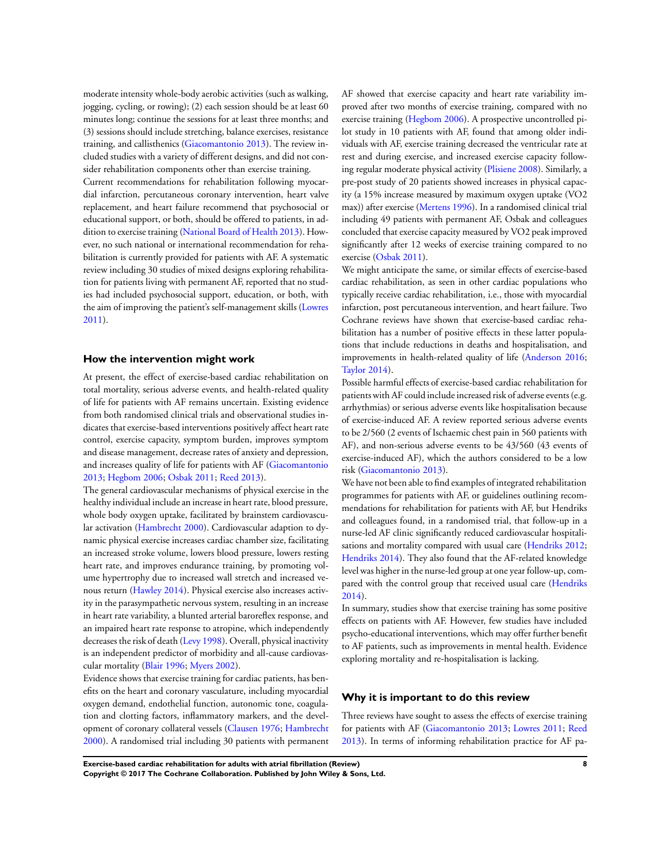moderate intensity whole-body aerobic activities (such as walking, jogging, cycling, or rowing); (2) each session should be at least 60 minutes long; continue the sessions for at least three months; and (3) sessions should include stretching, balance exercises, resistance training, and callisthenics [\(Giacomantonio 2013\)](#page-29-0). The review included studies with a variety of different designs, and did not consider rehabilitation components other than exercise training.

Current recommendations for rehabilitation following myocardial infarction, percutaneous coronary intervention, heart valve replacement, and heart failure recommend that psychosocial or educational support, or both, should be offered to patients, in addition to exercise training ([National Board of Health 2013](#page-29-0)). However, no such national or international recommendation for rehabilitation is currently provided for patients with AF. A systematic review including 30 studies of mixed designs exploring rehabilitation for patients living with permanent AF, reported that no studies had included psychosocial support, education, or both, with the aim of improving the patient's self-management skills ([Lowres](#page-29-0) [2011](#page-29-0)).

#### **How the intervention might work**

At present, the effect of exercise-based cardiac rehabilitation on total mortality, serious adverse events, and health-related quality of life for patients with AF remains uncertain. Existing evidence from both randomised clinical trials and observational studies indicates that exercise-based interventions positively affect heart rate control, exercise capacity, symptom burden, improves symptom and disease management, decrease rates of anxiety and depression, and increases quality of life for patients with AF ([Giacomantonio](#page-29-0) [2013](#page-29-0); [Hegbom 2006;](#page-29-0) [Osbak 2011;](#page-29-0) [Reed 2013\)](#page-29-0).

The general cardiovascular mechanisms of physical exercise in the healthy individual include an increase in heart rate, blood pressure, whole body oxygen uptake, facilitated by brainstem cardiovascular activation [\(Hambrecht 2000\)](#page-29-0). Cardiovascular adaption to dynamic physical exercise increases cardiac chamber size, facilitating an increased stroke volume, lowers blood pressure, lowers resting heart rate, and improves endurance training, by promoting volume hypertrophy due to increased wall stretch and increased venous return ([Hawley 2014](#page-29-0)). Physical exercise also increases activity in the parasympathetic nervous system, resulting in an increase in heart rate variability, a blunted arterial baroreflex response, and an impaired heart rate response to atropine, which independently decreases the risk of death ([Levy 1998\)](#page-29-0). Overall, physical inactivity is an independent predictor of morbidity and all-cause cardiovascular mortality ([Blair 1996;](#page-29-0) [Myers 2002\)](#page-29-0).

Evidence shows that exercise training for cardiac patients, has benefits on the heart and coronary vasculature, including myocardial oxygen demand, endothelial function, autonomic tone, coagulation and clotting factors, inflammatory markers, and the development of coronary collateral vessels ([Clausen 1976;](#page-29-0) [Hambrecht](#page-29-0) [2000](#page-29-0)). A randomised trial including 30 patients with permanent AF showed that exercise capacity and heart rate variability improved after two months of exercise training, compared with no exercise training [\(Hegbom 2006](#page-29-0)). A prospective uncontrolled pilot study in 10 patients with AF, found that among older individuals with AF, exercise training decreased the ventricular rate at rest and during exercise, and increased exercise capacity following regular moderate physical activity ([Plisiene 2008\)](#page-29-0). Similarly, a pre-post study of 20 patients showed increases in physical capacity (a 15% increase measured by maximum oxygen uptake (VO2 max)) after exercise [\(Mertens 1996\)](#page-29-0). In a randomised clinical trial including 49 patients with permanent AF, Osbak and colleagues concluded that exercise capacity measured by VO2 peak improved significantly after 12 weeks of exercise training compared to no exercise ([Osbak 2011](#page-29-0)).

We might anticipate the same, or similar effects of exercise-based cardiac rehabilitation, as seen in other cardiac populations who typically receive cardiac rehabilitation, i.e., those with myocardial infarction, post percutaneous intervention, and heart failure. Two Cochrane reviews have shown that exercise-based cardiac rehabilitation has a number of positive effects in these latter populations that include reductions in deaths and hospitalisation, and improvements in health-related quality of life [\(Anderson 2016;](#page-29-0) [Taylor 2014\)](#page-29-0).

Possible harmful effects of exercise-based cardiac rehabilitation for patients with AF could include increased risk of adverse events(e.g. arrhythmias) or serious adverse events like hospitalisation because of exercise-induced AF. A review reported serious adverse events to be 2/560 (2 events of Ischaemic chest pain in 560 patients with AF), and non-serious adverse events to be 43/560 (43 events of exercise-induced AF), which the authors considered to be a low risk ([Giacomantonio 2013\)](#page-29-0).

We have not been able to find examples of integrated rehabilitation programmes for patients with AF, or guidelines outlining recommendations for rehabilitation for patients with AF, but Hendriks and colleagues found, in a randomised trial, that follow-up in a nurse-led AF clinic significantly reduced cardiovascular hospitalisations and mortality compared with usual care [\(Hendriks 2012;](#page-29-0) [Hendriks 2014](#page-29-0)). They also found that the AF-related knowledge level was higher in the nurse-led group at one year follow-up, compared with the control group that received usual care ([Hendriks](#page-29-0) [2014](#page-29-0)).

In summary, studies show that exercise training has some positive effects on patients with AF. However, few studies have included psycho-educational interventions, which may offer further benefit to AF patients, such as improvements in mental health. Evidence exploring mortality and re-hospitalisation is lacking.

### **Why it is important to do this review**

Three reviews have sought to assess the effects of exercise training for patients with AF [\(Giacomantonio 2013;](#page-29-0) [Lowres 2011;](#page-29-0) [Reed](#page-29-0) [2013](#page-29-0)). In terms of informing rehabilitation practice for AF pa-

**Exercise-based cardiac rehabilitation for adults with atrial fibrillation (Review) 8 Copyright © 2017 The Cochrane Collaboration. Published by John Wiley & Sons, Ltd.**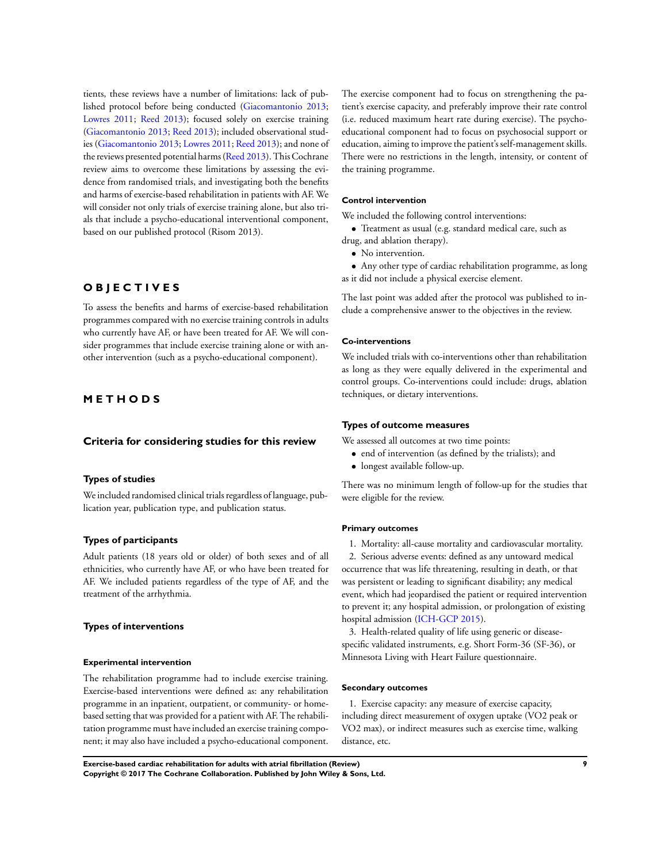tients, these reviews have a number of limitations: lack of published protocol before being conducted ([Giacomantonio 2013;](#page-29-0) [Lowres 2011;](#page-29-0) [Reed 2013](#page-29-0)); focused solely on exercise training [\(Giacomantonio 2013;](#page-29-0) [Reed 2013\)](#page-29-0); included observational studies ([Giacomantonio 2013;](#page-29-0) [Lowres 2011](#page-29-0); [Reed 2013](#page-29-0)); and none of the reviews presented potential harms ([Reed 2013\)](#page-29-0). This Cochrane review aims to overcome these limitations by assessing the evidence from randomised trials, and investigating both the benefits and harms of exercise-based rehabilitation in patients with AF. We will consider not only trials of exercise training alone, but also trials that include a psycho-educational interventional component, based on our published protocol (Risom 2013).

# **O B J E C T I V E S**

To assess the benefits and harms of exercise-based rehabilitation programmes compared with no exercise training controls in adults who currently have AF, or have been treated for AF. We will consider programmes that include exercise training alone or with another intervention (such as a psycho-educational component).

# **M E T H O D S**

# **Criteria for considering studies for this review**

## **Types of studies**

We included randomised clinical trials regardless of language, publication year, publication type, and publication status.

# **Types of participants**

Adult patients (18 years old or older) of both sexes and of all ethnicities, who currently have AF, or who have been treated for AF. We included patients regardless of the type of AF, and the treatment of the arrhythmia.

# **Types of interventions**

## **Experimental intervention**

The rehabilitation programme had to include exercise training. Exercise-based interventions were defined as: any rehabilitation programme in an inpatient, outpatient, or community- or homebased setting that was provided for a patient with AF. The rehabilitation programme must have included an exercise training component; it may also have included a psycho-educational component. The exercise component had to focus on strengthening the patient's exercise capacity, and preferably improve their rate control (i.e. reduced maximum heart rate during exercise). The psychoeducational component had to focus on psychosocial support or education, aiming to improve the patient's self-management skills. There were no restrictions in the length, intensity, or content of the training programme.

## **Control intervention**

We included the following control interventions:

• Treatment as usual (e.g. standard medical care, such as drug, and ablation therapy).

• No intervention.

• Any other type of cardiac rehabilitation programme, as long as it did not include a physical exercise element.

The last point was added after the protocol was published to include a comprehensive answer to the objectives in the review.

# **Co-interventions**

We included trials with co-interventions other than rehabilitation as long as they were equally delivered in the experimental and control groups. Co-interventions could include: drugs, ablation techniques, or dietary interventions.

#### **Types of outcome measures**

We assessed all outcomes at two time points:

- end of intervention (as defined by the trialists); and
- longest available follow-up.

There was no minimum length of follow-up for the studies that were eligible for the review.

#### **Primary outcomes**

1. Mortality: all-cause mortality and cardiovascular mortality.

2. Serious adverse events: defined as any untoward medical occurrence that was life threatening, resulting in death, or that was persistent or leading to significant disability; any medical event, which had jeopardised the patient or required intervention to prevent it; any hospital admission, or prolongation of existing hospital admission ([ICH-GCP 2015](#page-29-0)).

3. Health-related quality of life using generic or diseasespecific validated instruments, e.g. Short Form-36 (SF-36), or Minnesota Living with Heart Failure questionnaire.

#### **Secondary outcomes**

1. Exercise capacity: any measure of exercise capacity, including direct measurement of oxygen uptake (VO2 peak or VO2 max), or indirect measures such as exercise time, walking distance, etc.

**Exercise-based cardiac rehabilitation for adults with atrial fibrillation (Review) 9 Copyright © 2017 The Cochrane Collaboration. Published by John Wiley & Sons, Ltd.**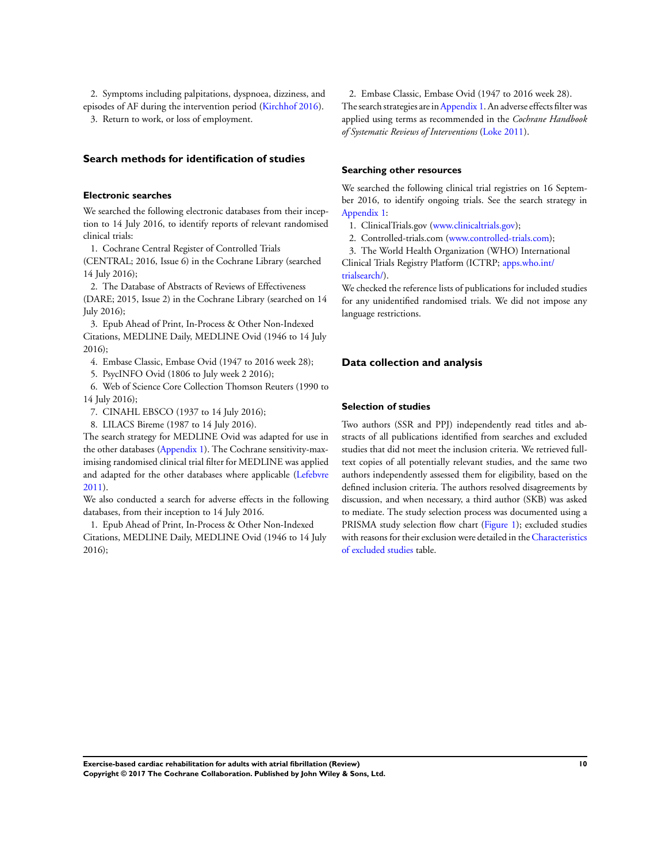2. Symptoms including palpitations, dyspnoea, dizziness, and episodes of AF during the intervention period [\(Kirchhof 2016\)](#page-29-0). 3. Return to work, or loss of employment.

# **Search methods for identification of studies**

# **Electronic searches**

We searched the following electronic databases from their inception to 14 July 2016, to identify reports of relevant randomised clinical trials:

1. Cochrane Central Register of Controlled Trials

(CENTRAL; 2016, Issue 6) in the Cochrane Library (searched 14 July 2016);

2. The Database of Abstracts of Reviews of Effectiveness (DARE; 2015, Issue 2) in the Cochrane Library (searched on 14 July 2016);

3. Epub Ahead of Print, In-Process & Other Non-Indexed Citations, MEDLINE Daily, MEDLINE Ovid (1946 to 14 July 2016);

4. Embase Classic, Embase Ovid (1947 to 2016 week 28);

5. PsycINFO Ovid (1806 to July week 2 2016);

6. Web of Science Core Collection Thomson Reuters (1990 to 14 July 2016);

7. CINAHL EBSCO (1937 to 14 July 2016);

8. LILACS Bireme (1987 to 14 July 2016).

The search strategy for MEDLINE Ovid was adapted for use in the other databases ([Appendix 1](#page-66-0)). The Cochrane sensitivity-maximising randomised clinical trial filter for MEDLINE was applied and adapted for the other databases where applicable ([Lefebvre](#page-29-0) [2011](#page-29-0)).

We also conducted a search for adverse effects in the following databases, from their inception to 14 July 2016.

1. Epub Ahead of Print, In-Process & Other Non-Indexed Citations, MEDLINE Daily, MEDLINE Ovid (1946 to 14 July 2016);

2. Embase Classic, Embase Ovid (1947 to 2016 week 28). The search strategies are in [Appendix 1](#page-66-0). An adverse effects filter was applied using terms as recommended in the *Cochrane Handbook of Systematic Reviews of Interventions* ([Loke 2011](#page-29-0)).

#### **Searching other resources**

We searched the following clinical trial registries on 16 September 2016, to identify ongoing trials. See the search strategy in [Appendix 1:](#page-66-0)

1. ClinicalTrials.gov ([www.clinicaltrials.gov](http://www.clinicaltrials.gov/));

2. Controlled-trials.com ([www.controlled-trials.com](http://www.controlled-trials.com));

3. The World Health Organization (WHO) International Clinical Trials Registry Platform (ICTRP; [apps.who.int/](http://apps.who.int/trialsearch/) [trialsearch/](http://apps.who.int/trialsearch/)).

We checked the reference lists of publications for included studies for any unidentified randomised trials. We did not impose any language restrictions.

# **Data collection and analysis**

# **Selection of studies**

Two authors (SSR and PPJ) independently read titles and abstracts of all publications identified from searches and excluded studies that did not meet the inclusion criteria. We retrieved fulltext copies of all potentially relevant studies, and the same two authors independently assessed them for eligibility, based on the defined inclusion criteria. The authors resolved disagreements by discussion, and when necessary, a third author (SKB) was asked to mediate. The study selection process was documented using a PRISMA study selection flow chart ([Figure 1](#page-12-0)); excluded studies with reasons for their exclusion were detailed in the [Characteristics](#page-45-0) [of excluded studies](#page-45-0) table.

**Exercise-based cardiac rehabilitation for adults with atrial fibrillation (Review) 10 Copyright © 2017 The Cochrane Collaboration. Published by John Wiley & Sons, Ltd.**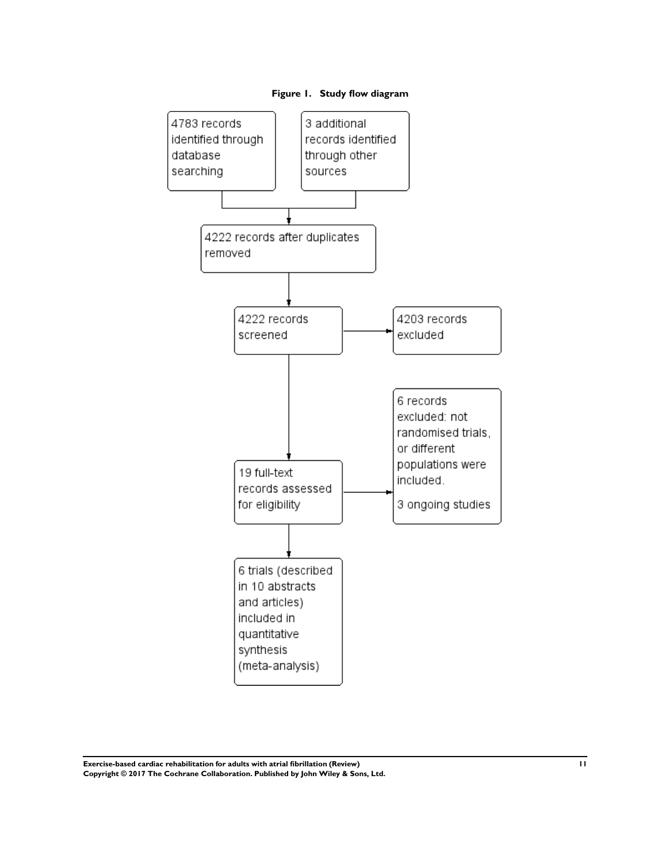<span id="page-12-0"></span>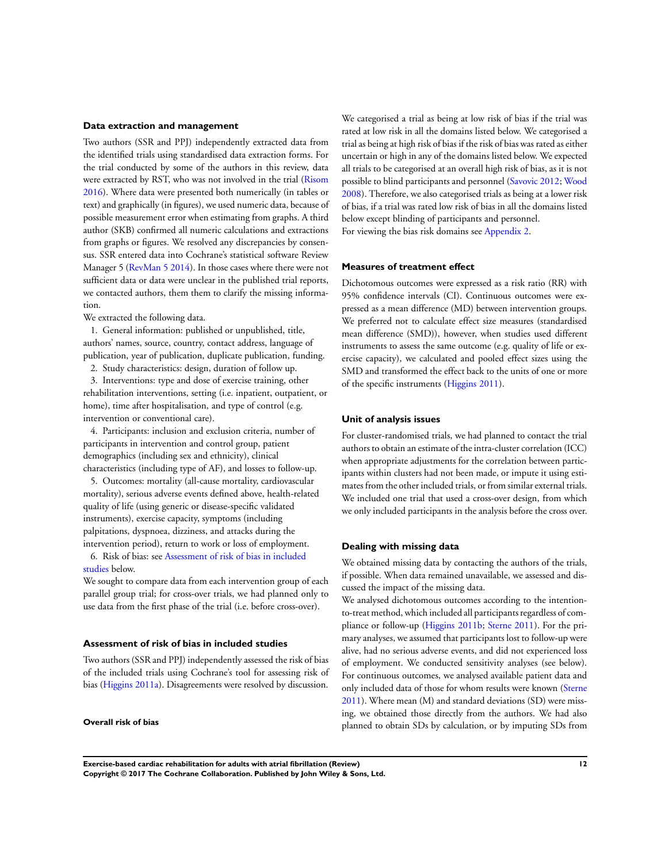#### <span id="page-13-0"></span>**Data extraction and management**

Two authors (SSR and PPJ) independently extracted data from the identified trials using standardised data extraction forms. For the trial conducted by some of the authors in this review, data were extracted by RST, who was not involved in the trial ([Risom](#page-29-0) [2016](#page-29-0)). Where data were presented both numerically (in tables or text) and graphically (in figures), we used numeric data, because of possible measurement error when estimating from graphs. A third author (SKB) confirmed all numeric calculations and extractions from graphs or figures. We resolved any discrepancies by consensus. SSR entered data into Cochrane's statistical software Review Manager 5 [\(RevMan 5 2014](#page-29-0)). In those cases where there were not sufficient data or data were unclear in the published trial reports, we contacted authors, them them to clarify the missing information.

We extracted the following data.

1. General information: published or unpublished, title, authors' names, source, country, contact address, language of publication, year of publication, duplicate publication, funding.

2. Study characteristics: design, duration of follow up.

3. Interventions: type and dose of exercise training, other rehabilitation interventions, setting (i.e. inpatient, outpatient, or home), time after hospitalisation, and type of control (e.g. intervention or conventional care).

4. Participants: inclusion and exclusion criteria, number of participants in intervention and control group, patient demographics (including sex and ethnicity), clinical characteristics (including type of AF), and losses to follow-up.

5. Outcomes: mortality (all-cause mortality, cardiovascular mortality), serious adverse events defined above, health-related quality of life (using generic or disease-specific validated instruments), exercise capacity, symptoms (including palpitations, dyspnoea, dizziness, and attacks during the intervention period), return to work or loss of employment.

6. Risk of bias: see Assessment of risk of bias in included studies below.

We sought to compare data from each intervention group of each parallel group trial; for cross-over trials, we had planned only to use data from the first phase of the trial (i.e. before cross-over).

## **Assessment of risk of bias in included studies**

Two authors (SSR and PPJ) independently assessed the risk of bias of the included trials using Cochrane's tool for assessing risk of bias [\(Higgins 2011a](#page-29-0)). Disagreements were resolved by discussion.

#### **Overall risk of bias**

We categorised a trial as being at low risk of bias if the trial was rated at low risk in all the domains listed below. We categorised a trial as being at high risk of bias if the risk of bias was rated as either uncertain or high in any of the domains listed below. We expected all trials to be categorised at an overall high risk of bias, as it is not possible to blind participants and personnel [\(Savovic 2012;](#page-29-0) [Wood](#page-29-0) [2008](#page-29-0)). Therefore, we also categorised trials as being at a lower risk of bias, if a trial was rated low risk of bias in all the domains listed below except blinding of participants and personnel. For viewing the bias risk domains see [Appendix 2.](#page-77-0)

**Measures of treatment effect**

Dichotomous outcomes were expressed as a risk ratio (RR) with 95% confidence intervals (CI). Continuous outcomes were expressed as a mean difference (MD) between intervention groups. We preferred not to calculate effect size measures (standardised mean difference (SMD)), however, when studies used different instruments to assess the same outcome (e.g. quality of life or exercise capacity), we calculated and pooled effect sizes using the SMD and transformed the effect back to the units of one or more of the specific instruments ([Higgins 2011](#page-29-0)).

## **Unit of analysis issues**

For cluster-randomised trials, we had planned to contact the trial authors to obtain an estimate of the intra-cluster correlation (ICC) when appropriate adjustments for the correlation between participants within clusters had not been made, or impute it using estimates from the other included trials, or from similar external trials. We included one trial that used a cross-over design, from which we only included participants in the analysis before the cross over.

# **Dealing with missing data**

We obtained missing data by contacting the authors of the trials, if possible. When data remained unavailable, we assessed and discussed the impact of the missing data.

We analysed dichotomous outcomes according to the intentionto-treat method, which included all participants regardless of compliance or follow-up ([Higgins 2011b](#page-29-0); [Sterne 2011\)](#page-29-0). For the primary analyses, we assumed that participants lost to follow-up were alive, had no serious adverse events, and did not experienced loss of employment. We conducted sensitivity analyses (see below). For continuous outcomes, we analysed available patient data and only included data of those for whom results were known [\(Sterne](#page-29-0) [2011](#page-29-0)). Where mean (M) and standard deviations (SD) were missing, we obtained those directly from the authors. We had also planned to obtain SDs by calculation, or by imputing SDs from

**Exercise-based cardiac rehabilitation for adults with atrial fibrillation (Review) 12 Copyright © 2017 The Cochrane Collaboration. Published by John Wiley & Sons, Ltd.**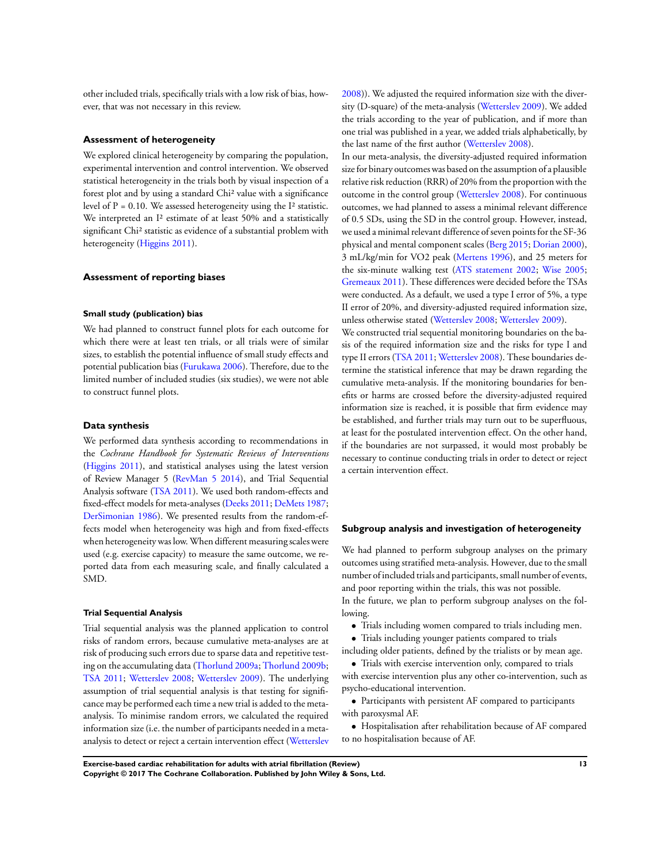other included trials, specifically trials with a low risk of bias, however, that was not necessary in this review.

#### **Assessment of heterogeneity**

We explored clinical heterogeneity by comparing the population, experimental intervention and control intervention. We observed statistical heterogeneity in the trials both by visual inspection of a forest plot and by using a standard Chi² value with a significance level of  $P = 0.10$ . We assessed heterogeneity using the  $I<sup>2</sup>$  statistic. We interpreted an I<sup>2</sup> estimate of at least 50% and a statistically significant Chi² statistic as evidence of a substantial problem with heterogeneity [\(Higgins 2011\)](#page-29-0).

## **Assessment of reporting biases**

## **Small study (publication) bias**

We had planned to construct funnel plots for each outcome for which there were at least ten trials, or all trials were of similar sizes, to establish the potential influence of small study effects and potential publication bias ([Furukawa 2006](#page-29-0)). Therefore, due to the limited number of included studies (six studies), we were not able to construct funnel plots.

#### **Data synthesis**

We performed data synthesis according to recommendations in the *Cochrane Handbook for Systematic Reviews of Interventions* [\(Higgins 2011\)](#page-29-0), and statistical analyses using the latest version of Review Manager 5 ([RevMan 5 2014](#page-29-0)), and Trial Sequential Analysis software ([TSA 2011\)](#page-29-0). We used both random-effects and fixed-effect models for meta-analyses [\(Deeks 2011](#page-29-0); [DeMets 1987;](#page-29-0) [DerSimonian 1986](#page-29-0)). We presented results from the random-effects model when heterogeneity was high and from fixed-effects when heterogeneity was low. When different measuring scales were used (e.g. exercise capacity) to measure the same outcome, we reported data from each measuring scale, and finally calculated a SMD.

#### **Trial Sequential Analysis**

Trial sequential analysis was the planned application to control risks of random errors, because cumulative meta-analyses are at risk of producing such errors due to sparse data and repetitive testing on the accumulating data ([Thorlund 2009a;](#page-29-0) [Thorlund 2009b;](#page-29-0) [TSA 2011](#page-29-0); [Wetterslev 2008;](#page-29-0) [Wetterslev 2009](#page-29-0)). The underlying assumption of trial sequential analysis is that testing for significance may be performed each time a new trial is added to the metaanalysis. To minimise random errors, we calculated the required information size (i.e. the number of participants needed in a metaanalysis to detect or reject a certain intervention effect [\(Wetterslev](#page-29-0)

[2008](#page-29-0))). We adjusted the required information size with the diversity (D-square) of the meta-analysis [\(Wetterslev 2009](#page-29-0)). We added the trials according to the year of publication, and if more than one trial was published in a year, we added trials alphabetically, by the last name of the first author ([Wetterslev 2008](#page-29-0)).

In our meta-analysis, the diversity-adjusted required information size for binary outcomes was based on the assumption of a plausible relative risk reduction (RRR) of 20% from the proportion with the outcome in the control group [\(Wetterslev 2008\)](#page-29-0). For continuous outcomes, we had planned to assess a minimal relevant difference of 0.5 SDs, using the SD in the control group. However, instead, we used a minimal relevant difference of seven points for the SF-36 physical and mental component scales [\(Berg 2015](#page-29-0); [Dorian 2000](#page-29-0)), 3 mL/kg/min for VO2 peak [\(Mertens 1996](#page-29-0)), and 25 meters for the six-minute walking test [\(ATS statement 2002](#page-29-0); [Wise 2005;](#page-29-0) [Gremeaux 2011\)](#page-29-0). These differences were decided before the TSAs were conducted. As a default, we used a type I error of 5%, a type II error of 20%, and diversity-adjusted required information size, unless otherwise stated [\(Wetterslev 2008;](#page-29-0) [Wetterslev 2009\)](#page-29-0).

We constructed trial sequential monitoring boundaries on the basis of the required information size and the risks for type I and type II errors [\(TSA 2011;](#page-29-0) [Wetterslev 2008\)](#page-29-0). These boundaries determine the statistical inference that may be drawn regarding the cumulative meta-analysis. If the monitoring boundaries for benefits or harms are crossed before the diversity-adjusted required information size is reached, it is possible that firm evidence may be established, and further trials may turn out to be superfluous, at least for the postulated intervention effect. On the other hand, if the boundaries are not surpassed, it would most probably be necessary to continue conducting trials in order to detect or reject a certain intervention effect.

#### **Subgroup analysis and investigation of heterogeneity**

We had planned to perform subgroup analyses on the primary outcomes using stratified meta-analysis. However, due to the small number of included trials and participants, small number of events, and poor reporting within the trials, this was not possible. In the future, we plan to perform subgroup analyses on the fol-

- Trials including women compared to trials including men.
- Trials including younger patients compared to trials

lowing.

including older patients, defined by the trialists or by mean age. • Trials with exercise intervention only, compared to trials

with exercise intervention plus any other co-intervention, such as psycho-educational intervention.

• Participants with persistent AF compared to participants with paroxysmal AF.

• Hospitalisation after rehabilitation because of AF compared to no hospitalisation because of AF.

**Exercise-based cardiac rehabilitation for adults with atrial fibrillation (Review) 13 Copyright © 2017 The Cochrane Collaboration. Published by John Wiley & Sons, Ltd.**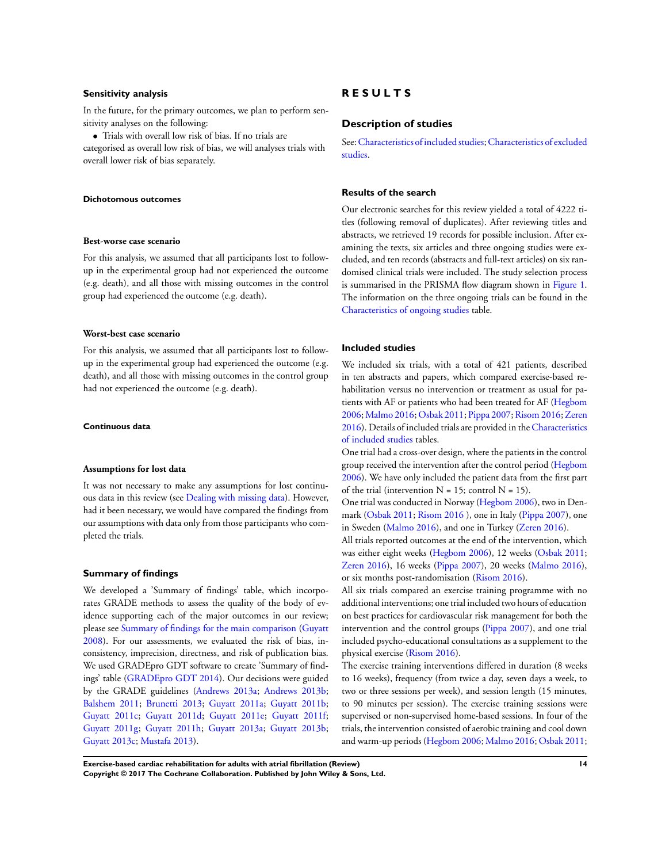#### **Sensitivity analysis**

In the future, for the primary outcomes, we plan to perform sensitivity analyses on the following:

• Trials with overall low risk of bias. If no trials are categorised as overall low risk of bias, we will analyses trials with overall lower risk of bias separately.

## **Dichotomous outcomes**

## **Best-worse case scenario**

For this analysis, we assumed that all participants lost to followup in the experimental group had not experienced the outcome (e.g. death), and all those with missing outcomes in the control group had experienced the outcome (e.g. death).

# **Worst-best case scenario**

For this analysis, we assumed that all participants lost to followup in the experimental group had experienced the outcome (e.g. death), and all those with missing outcomes in the control group had not experienced the outcome (e.g. death).

#### **Continuous data**

# **Assumptions for lost data**

It was not necessary to make any assumptions for lost continuous data in this review (see [Dealing with missing data](#page-13-0)). However, had it been necessary, we would have compared the findings from our assumptions with data only from those participants who completed the trials.

#### **Summary of findings**

We developed a 'Summary of findings' table, which incorporates GRADE methods to assess the quality of the body of evidence supporting each of the major outcomes in our review; please see [Summary of findings for the main comparison](#page-5-0) ([Guyatt](#page-29-0) [2008](#page-29-0)). For our assessments, we evaluated the risk of bias, inconsistency, imprecision, directness, and risk of publication bias. We used GRADEpro GDT software to create 'Summary of findings' table [\(GRADEpro GDT 2014\)](#page-29-0). Our decisions were guided by the GRADE guidelines ([Andrews 2013a;](#page-29-0) [Andrews 2013b;](#page-29-0) [Balshem 2011;](#page-29-0) [Brunetti 2013](#page-29-0); [Guyatt 2011a;](#page-29-0) [Guyatt 2011b;](#page-29-0) [Guyatt 2011c;](#page-29-0) [Guyatt 2011d](#page-29-0); [Guyatt 2011e](#page-29-0); [Guyatt 2011f;](#page-29-0) [Guyatt 2011g;](#page-29-0) [Guyatt 2011h;](#page-29-0) [Guyatt 2013a](#page-29-0); [Guyatt 2013b;](#page-29-0) [Guyatt 2013c](#page-29-0); [Mustafa 2013](#page-29-0)).

# **R E S U L T S**

# **Description of studies**

See:[Characteristics of included studies;](#page-35-0)[Characteristics of excluded](#page-45-0) [studies.](#page-45-0)

#### **Results of the search**

Our electronic searches for this review yielded a total of 4222 titles (following removal of duplicates). After reviewing titles and abstracts, we retrieved 19 records for possible inclusion. After examining the texts, six articles and three ongoing studies were excluded, and ten records (abstracts and full-text articles) on six randomised clinical trials were included. The study selection process is summarised in the PRISMA flow diagram shown in [Figure 1.](#page-12-0) The information on the three ongoing trials can be found in the [Characteristics of ongoing studies](#page-45-0) table.

#### **Included studies**

We included six trials, with a total of 421 patients, described in ten abstracts and papers, which compared exercise-based rehabilitation versus no intervention or treatment as usual for patients with AF or patients who had been treated for AF ([Hegbom](#page-29-0) [2006](#page-29-0); [Malmo 2016;](#page-29-0) [Osbak 2011](#page-29-0); [Pippa 2007](#page-29-0); [Risom 2016](#page-29-0); [Zeren](#page-29-0) [2016](#page-29-0)). Details of included trials are provided in the[Characteristics](#page-35-0) [of included studies](#page-35-0) tables.

One trial had a cross-over design, where the patients in the control group received the intervention after the control period ([Hegbom](#page-29-0) [2006](#page-29-0)). We have only included the patient data from the first part of the trial (intervention  $N = 15$ ; control  $N = 15$ ).

One trial was conducted in Norway [\(Hegbom 2006\)](#page-29-0), two in Denmark [\(Osbak 2011;](#page-29-0) [Risom 2016](#page-29-0) ), one in Italy [\(Pippa 2007](#page-29-0)), one in Sweden [\(Malmo 2016\)](#page-29-0), and one in Turkey ([Zeren 2016](#page-29-0)).

All trials reported outcomes at the end of the intervention, which was either eight weeks [\(Hegbom 2006\)](#page-29-0), 12 weeks ([Osbak 2011;](#page-29-0) [Zeren 2016](#page-29-0)), 16 weeks [\(Pippa 2007](#page-29-0)), 20 weeks ([Malmo 2016](#page-29-0)), or six months post-randomisation ([Risom 2016\)](#page-29-0).

All six trials compared an exercise training programme with no additional interventions; one trial included two hours of education on best practices for cardiovascular risk management for both the intervention and the control groups ([Pippa 2007](#page-29-0)), and one trial included psycho-educational consultations as a supplement to the physical exercise ([Risom 2016](#page-29-0)).

The exercise training interventions differed in duration (8 weeks to 16 weeks), frequency (from twice a day, seven days a week, to two or three sessions per week), and session length (15 minutes, to 90 minutes per session). The exercise training sessions were supervised or non-supervised home-based sessions. In four of the trials, the intervention consisted of aerobic training and cool down and warm-up periods ([Hegbom 2006](#page-29-0); [Malmo 2016;](#page-29-0) [Osbak 2011;](#page-29-0)

**Exercise-based cardiac rehabilitation for adults with atrial fibrillation (Review) 14 Copyright © 2017 The Cochrane Collaboration. Published by John Wiley & Sons, Ltd.**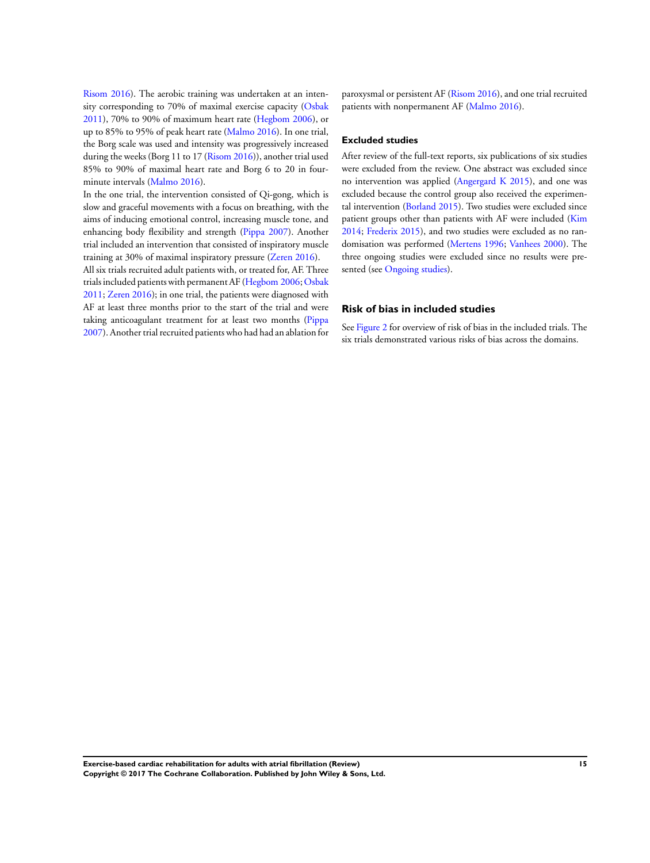[Risom 2016\)](#page-29-0). The aerobic training was undertaken at an intensity corresponding to 70% of maximal exercise capacity ([Osbak](#page-29-0) [2011](#page-29-0)), 70% to 90% of maximum heart rate [\(Hegbom 2006](#page-29-0)), or up to 85% to 95% of peak heart rate ([Malmo 2016](#page-29-0)). In one trial, the Borg scale was used and intensity was progressively increased during the weeks (Borg 11 to 17 ([Risom 2016\)](#page-29-0)), another trial used 85% to 90% of maximal heart rate and Borg 6 to 20 in fourminute intervals ([Malmo 2016](#page-29-0)).

In the one trial, the intervention consisted of Qi-gong, which is slow and graceful movements with a focus on breathing, with the aims of inducing emotional control, increasing muscle tone, and enhancing body flexibility and strength ([Pippa 2007](#page-29-0)). Another trial included an intervention that consisted of inspiratory muscle training at 30% of maximal inspiratory pressure ([Zeren 2016](#page-29-0)).

All six trials recruited adult patients with, or treated for, AF. Three trials included patients with permanent AF ([Hegbom 2006](#page-29-0); [Osbak](#page-29-0) [2011](#page-29-0); [Zeren 2016](#page-29-0)); in one trial, the patients were diagnosed with AF at least three months prior to the start of the trial and were taking anticoagulant treatment for at least two months [\(Pippa](#page-29-0) [2007](#page-29-0)). Another trial recruited patients who had had an ablation for paroxysmal or persistent AF [\(Risom 2016\)](#page-29-0), and one trial recruited patients with nonpermanent AF ([Malmo 2016\)](#page-29-0).

#### **Excluded studies**

After review of the full-text reports, six publications of six studies were excluded from the review. One abstract was excluded since no intervention was applied ([Angergard K 2015](#page-29-0)), and one was excluded because the control group also received the experimental intervention ([Borland 2015](#page-29-0)). Two studies were excluded since patient groups other than patients with AF were included ([Kim](#page-29-0) [2014](#page-29-0); [Frederix 2015](#page-29-0)), and two studies were excluded as no randomisation was performed [\(Mertens 1996;](#page-29-0) [Vanhees 2000](#page-29-0)). The three ongoing studies were excluded since no results were presented (see [Ongoing studies\)](#page-29-0).

# **Risk of bias in included studies**

See [Figure 2](#page-17-0) for overview of risk of bias in the included trials. The six trials demonstrated various risks of bias across the domains.

**Exercise-based cardiac rehabilitation for adults with atrial fibrillation (Review) 15 Copyright © 2017 The Cochrane Collaboration. Published by John Wiley & Sons, Ltd.**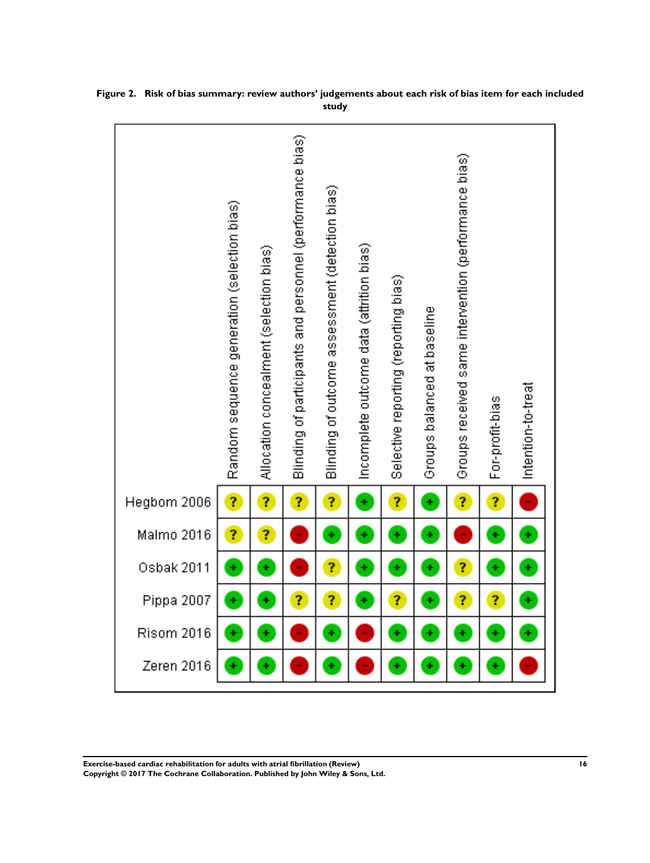|             | Random sequence generation (selection bias) | Allocation concealment (selection bias) | Blinding of participants and personnel (performance bias) | Blinding of outcome assessment (detection bias) | (Incomplete outcome data (attrition bias | Selective reporting (reporting bias) | Groups balanced at baseline | Groups received same intervention (performance bias) | For-profit-bias | Intention-to-treat |
|-------------|---------------------------------------------|-----------------------------------------|-----------------------------------------------------------|-------------------------------------------------|------------------------------------------|--------------------------------------|-----------------------------|------------------------------------------------------|-----------------|--------------------|
| Hegbom 2006 | ?                                           | ?                                       | ?                                                         | ?                                               | Ŧ                                        | ?                                    | $\ddot{}$                   | ?                                                    | ?               | ۸                  |
| Malmo 2016  | ?                                           | ?                                       |                                                           | ÷                                               | ÷                                        | ÷                                    | ÷                           |                                                      | ÷               | $\ddot{}$          |
| Osbak 2011  | Ŧ                                           | ÷                                       | ۰                                                         | ?                                               | Ŧ                                        | ÷                                    | ÷                           | ?                                                    | Ŧ               | Ŧ                  |
| Pippa 2007  | ÷                                           | ÷                                       | ?                                                         | ?                                               | ÷                                        | Ĩ,                                   | ÷                           | Ĩ,                                                   | Ĩ,              | Ŧ                  |
| Risom 2016  | ÷                                           | ÷                                       |                                                           | ÷                                               |                                          | ÷                                    | ÷                           | ٠                                                    | ÷               | ÷                  |
| Zeren 2016  | ÷                                           | ٠                                       |                                                           | ÷                                               | ۳                                        | ÷                                    | ÷                           | ÷                                                    | ÷               |                    |

<span id="page-17-0"></span>**Figure 2. Risk of bias summary: review authors' judgements about each risk of bias item for each included study**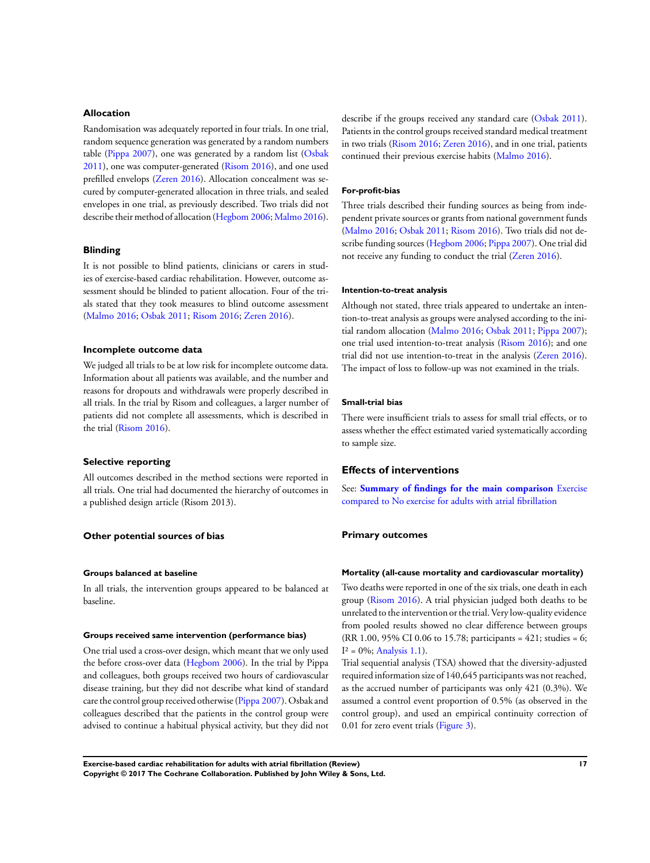# **Allocation**

Randomisation was adequately reported in four trials. In one trial, random sequence generation was generated by a random numbers table ([Pippa 2007](#page-29-0)), one was generated by a random list ([Osbak](#page-29-0) [2011](#page-29-0)), one was computer-generated ([Risom 2016](#page-29-0)), and one used prefilled envelops ([Zeren 2016\)](#page-29-0). Allocation concealment was secured by computer-generated allocation in three trials, and sealed envelopes in one trial, as previously described. Two trials did not describe their method of allocation (Hegbom 2006; Malmo 2016).

# **Blinding**

It is not possible to blind patients, clinicians or carers in studies of exercise-based cardiac rehabilitation. However, outcome assessment should be blinded to patient allocation. Four of the trials stated that they took measures to blind outcome assessment [\(Malmo 2016;](#page-29-0) [Osbak 2011;](#page-29-0) [Risom 2016](#page-29-0); [Zeren 2016](#page-29-0)).

# **Incomplete outcome data**

We judged all trials to be at low risk for incomplete outcome data. Information about all patients was available, and the number and reasons for dropouts and withdrawals were properly described in all trials. In the trial by Risom and colleagues, a larger number of patients did not complete all assessments, which is described in the trial [\(Risom 2016](#page-29-0)).

## **Selective reporting**

All outcomes described in the method sections were reported in all trials. One trial had documented the hierarchy of outcomes in a published design article (Risom 2013).

# **Other potential sources of bias**

# **Groups balanced at baseline**

In all trials, the intervention groups appeared to be balanced at baseline.

#### **Groups received same intervention (performance bias)**

One trial used a cross-over design, which meant that we only used the before cross-over data ([Hegbom 2006](#page-29-0)). In the trial by Pippa and colleagues, both groups received two hours of cardiovascular disease training, but they did not describe what kind of standard care the control group received otherwise [\(Pippa 2007\)](#page-29-0). Osbak and colleagues described that the patients in the control group were advised to continue a habitual physical activity, but they did not describe if the groups received any standard care ([Osbak 2011](#page-29-0)). Patients in the control groups received standard medical treatment in two trials [\(Risom 2016;](#page-29-0) [Zeren 2016\)](#page-29-0), and in one trial, patients continued their previous exercise habits ([Malmo 2016\)](#page-29-0).

## **For-profit-bias**

Three trials described their funding sources as being from independent private sources or grants from national government funds [\(Malmo 2016;](#page-29-0) [Osbak 2011;](#page-29-0) [Risom 2016\)](#page-29-0). Two trials did not describe funding sources [\(Hegbom 2006;](#page-29-0) [Pippa 2007](#page-29-0)). One trial did not receive any funding to conduct the trial [\(Zeren 2016](#page-29-0)).

# **Intention-to-treat analysis**

Although not stated, three trials appeared to undertake an intention-to-treat analysis as groups were analysed according to the initial random allocation [\(Malmo 2016;](#page-29-0) [Osbak 2011](#page-29-0); [Pippa 2007](#page-29-0)); one trial used intention-to-treat analysis ([Risom 2016](#page-29-0)); and one trial did not use intention-to-treat in the analysis ([Zeren 2016](#page-29-0)). The impact of loss to follow-up was not examined in the trials.

#### **Small-trial bias**

There were insufficient trials to assess for small trial effects, or to assess whether the effect estimated varied systematically according to sample size.

# **Effects of interventions**

See: **[Summary of findings for the main comparison](#page-5-0)** [Exercise](#page-5-0) [compared to No exercise for adults with atrial fibrillation](#page-5-0)

## **Primary outcomes**

### **Mortality (all-cause mortality and cardiovascular mortality)**

Two deaths were reported in one of the six trials, one death in each group [\(Risom 2016](#page-29-0)). A trial physician judged both deaths to be unrelated to the intervention or the trial. Very low-quality evidence from pooled results showed no clear difference between groups (RR 1.00, 95% CI 0.06 to 15.78; participants = 421; studies = 6;  $I^2 = 0\%$ ; [Analysis 1.1\)](#page-49-0).

Trial sequential analysis (TSA) showed that the diversity-adjusted required information size of 140,645 participants was not reached, as the accrued number of participants was only 421 (0.3%). We assumed a control event proportion of 0.5% (as observed in the control group), and used an empirical continuity correction of 0.01 for zero event trials [\(Figure 3](#page-19-0)).

**Exercise-based cardiac rehabilitation for adults with atrial fibrillation (Review) 17 Copyright © 2017 The Cochrane Collaboration. Published by John Wiley & Sons, Ltd.**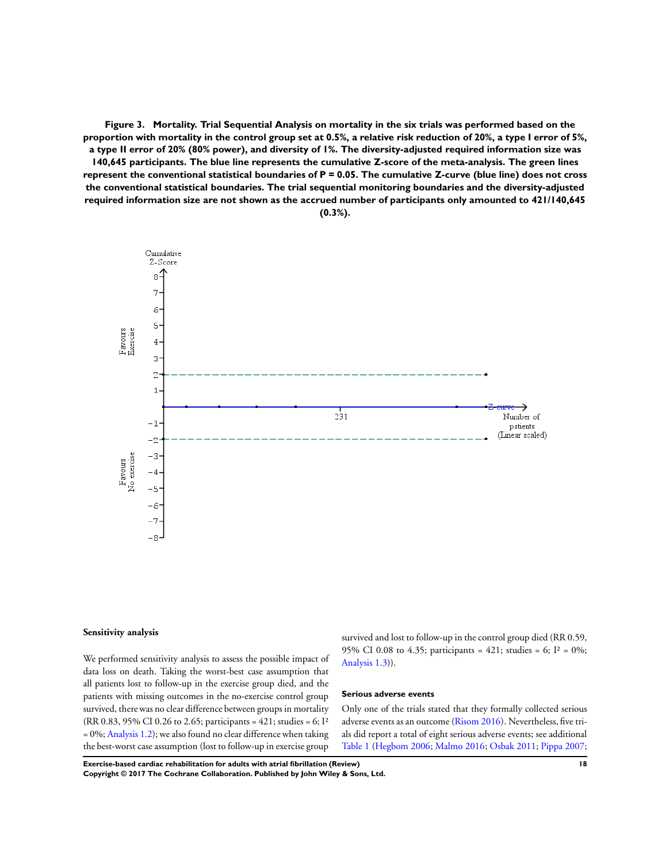<span id="page-19-0"></span>**Figure 3. Mortality. Trial Sequential Analysis on mortality in the six trials was performed based on the proportion with mortality in the control group set at 0.5%, a relative risk reduction of 20%, a type I error of 5%, a type II error of 20% (80% power), and diversity of 1%. The diversity-adjusted required information size was 140,645 participants. The blue line represents the cumulative Z-score of the meta-analysis. The green lines represent the conventional statistical boundaries of P = 0.05. The cumulative Z-curve (blue line) does not cross the conventional statistical boundaries. The trial sequential monitoring boundaries and the diversity-adjusted required information size are not shown as the accrued number of participants only amounted to 421/140,645**





#### **Sensitivity analysis**

We performed sensitivity analysis to assess the possible impact of data loss on death. Taking the worst-best case assumption that all patients lost to follow-up in the exercise group died, and the patients with missing outcomes in the no-exercise control group survived, there was no clear difference between groups in mortality (RR 0.83, 95% CI 0.26 to 2.65; participants = 421; studies = 6; I²  $= 0\%$ ; [Analysis 1.2\)](#page-50-0); we also found no clear difference when taking the best-worst case assumption (lost to follow-up in exercise group survived and lost to follow-up in the control group died (RR 0.59, 95% CI 0.08 to 4.35; participants = 421; studies = 6;  $I^2 = 0\%$ ; [Analysis 1.3\)](#page-51-0)).

#### **Serious adverse events**

Only one of the trials stated that they formally collected serious adverse events as an outcome ([Risom 2016](#page-29-0)). Nevertheless, five trials did report a total of eight serious adverse events; see additional [Table 1](#page-64-0) ([Hegbom 2006;](#page-29-0) [Malmo 2016](#page-29-0); [Osbak 2011;](#page-29-0) [Pippa 2007;](#page-29-0)

**Exercise-based cardiac rehabilitation for adults with atrial fibrillation (Review) 18 Copyright © 2017 The Cochrane Collaboration. Published by John Wiley & Sons, Ltd.**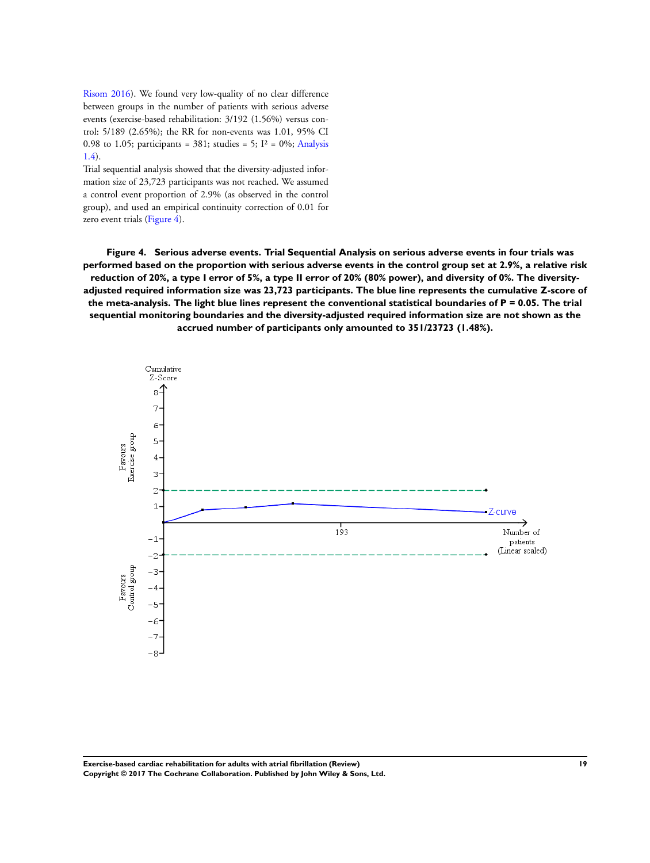[Risom 2016\)](#page-29-0). We found very low-quality of no clear difference between groups in the number of patients with serious adverse events (exercise-based rehabilitation: 3/192 (1.56%) versus control: 5/189 (2.65%); the RR for non-events was 1.01, 95% CI 0.98 to 1.05; participants =  $381$ ; studies = 5;  $I^2 = 0\%$ ; [Analysis](#page-52-0) [1.4](#page-52-0)).

Trial sequential analysis showed that the diversity-adjusted information size of 23,723 participants was not reached. We assumed a control event proportion of 2.9% (as observed in the control group), and used an empirical continuity correction of 0.01 for zero event trials (Figure 4).

**Figure 4. Serious adverse events. Trial Sequential Analysis on serious adverse events in four trials was performed based on the proportion with serious adverse events in the control group set at 2.9%, a relative risk reduction of 20%, a type I error of 5%, a type II error of 20% (80% power), and diversity of 0%. The diversityadjusted required information size was 23,723 participants. The blue line represents the cumulative Z-score of the meta-analysis. The light blue lines represent the conventional statistical boundaries of P = 0.05. The trial sequential monitoring boundaries and the diversity-adjusted required information size are not shown as the accrued number of participants only amounted to 351/23723 (1.48%).**

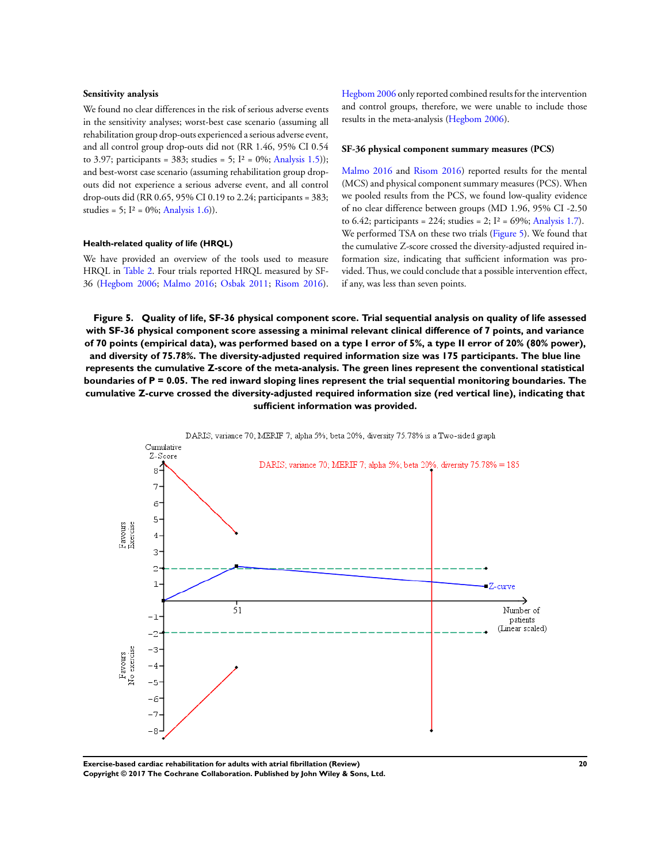#### **Sensitivity analysis**

We found no clear differences in the risk of serious adverse events in the sensitivity analyses; worst-best case scenario (assuming all rehabilitation group drop-outs experienced a serious adverse event, and all control group drop-outs did not (RR 1.46, 95% CI 0.54 to 3.97; participants = 383; studies = 5;  $I^2 = 0\%$ ; [Analysis 1.5](#page-53-0))); and best-worst case scenario (assuming rehabilitation group dropouts did not experience a serious adverse event, and all control drop-outs did (RR 0.65, 95% CI 0.19 to 2.24; participants = 383; studies = 5;  $I^2 = 0\%$ ; [Analysis 1.6](#page-54-0)).

#### **Health-related quality of life (HRQL)**

We have provided an overview of the tools used to measure HRQL in [Table 2.](#page-65-0) Four trials reported HRQL measured by SF-36 ([Hegbom 2006;](#page-29-0) [Malmo 2016](#page-29-0); [Osbak 2011](#page-29-0); [Risom 2016](#page-29-0)).

[Hegbom 2006](#page-29-0) only reported combined results for the intervention and control groups, therefore, we were unable to include those results in the meta-analysis [\(Hegbom 2006](#page-29-0)).

#### **SF-36 physical component summary measures (PCS)**

[Malmo 2016](#page-29-0) and [Risom 2016](#page-29-0)) reported results for the mental (MCS) and physical component summary measures (PCS). When we pooled results from the PCS, we found low-quality evidence of no clear difference between groups (MD 1.96, 95% CI -2.50 to 6.42; participants = 224; studies = 2;  $I^2$  = 69%; [Analysis 1.7](#page-55-0)). We performed TSA on these two trials (Figure 5). We found that the cumulative Z-score crossed the diversity-adjusted required information size, indicating that sufficient information was provided. Thus, we could conclude that a possible intervention effect, if any, was less than seven points.

**Figure 5. Quality of life, SF-36 physical component score. Trial sequential analysis on quality of life assessed with SF-36 physical component score assessing a minimal relevant clinical difference of 7 points, and variance of 70 points (empirical data), was performed based on a type I error of 5%, a type II error of 20% (80% power), and diversity of 75.78%. The diversity-adjusted required information size was 175 participants. The blue line represents the cumulative Z-score of the meta-analysis. The green lines represent the conventional statistical boundaries of P = 0.05. The red inward sloping lines represent the trial sequential monitoring boundaries. The cumulative Z-curve crossed the diversity-adjusted required information size (red vertical line), indicating that sufficient information was provided.**



**Exercise-based cardiac rehabilitation for adults with atrial fibrillation (Review) 20 Copyright © 2017 The Cochrane Collaboration. Published by John Wiley & Sons, Ltd.**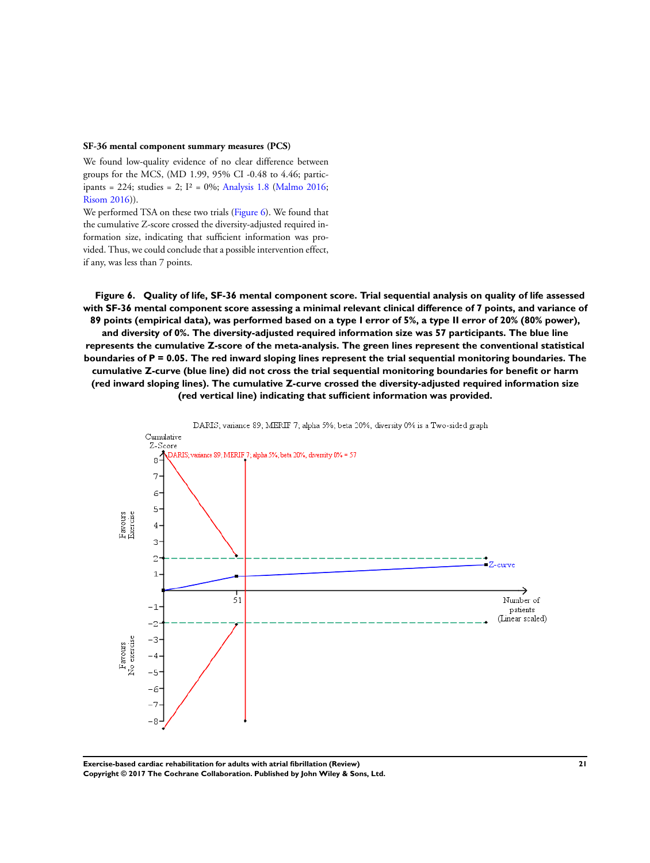#### **SF-36 mental component summary measures (PCS)**

We found low-quality evidence of no clear difference between groups for the MCS, (MD 1.99, 95% CI -0.48 to 4.46; participants = 224; studies = 2;  $I^2 = 0\%$ ; [Analysis 1.8](#page-55-0) ([Malmo 2016;](#page-29-0) [Risom 2016\)](#page-29-0)).

We performed TSA on these two trials (Figure 6). We found that the cumulative Z-score crossed the diversity-adjusted required information size, indicating that sufficient information was provided. Thus, we could conclude that a possible intervention effect, if any, was less than 7 points.

**Figure 6. Quality of life, SF-36 mental component score. Trial sequential analysis on quality of life assessed with SF-36 mental component score assessing a minimal relevant clinical difference of 7 points, and variance of 89 points (empirical data), was performed based on a type I error of 5%, a type II error of 20% (80% power), and diversity of 0%. The diversity-adjusted required information size was 57 participants. The blue line represents the cumulative Z-score of the meta-analysis. The green lines represent the conventional statistical boundaries of P = 0.05. The red inward sloping lines represent the trial sequential monitoring boundaries. The cumulative Z-curve (blue line) did not cross the trial sequential monitoring boundaries for benefit or harm (red inward sloping lines). The cumulative Z-curve crossed the diversity-adjusted required information size (red vertical line) indicating that sufficient information was provided.**



**Exercise-based cardiac rehabilitation for adults with atrial fibrillation (Review) 21 Copyright © 2017 The Cochrane Collaboration. Published by John Wiley & Sons, Ltd.**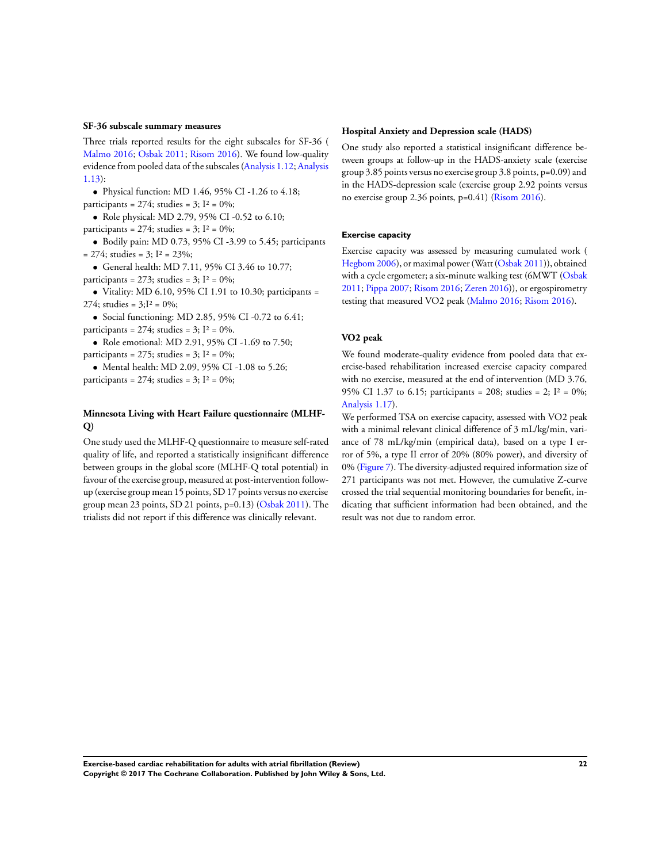# **SF-36 subscale summary measures**

Three trials reported results for the eight subscales for SF-36 ( [Malmo 2016](#page-29-0); [Osbak 2011;](#page-29-0) [Risom 2016](#page-29-0)). We found low-quality evidence from pooled data of the subscales ([Analysis 1.12](#page-58-0); [Analysis](#page-59-0) [1.13\)](#page-59-0):

- Physical function: MD 1.46, 95% CI -1.26 to 4.18; participants =  $274$ ; studies =  $3$ ;  $I^2 = 0\%$ ;
- Role physical: MD 2.79, 95% CI -0.52 to 6.10;

participants = 274; studies =  $3$ ;  $I^2 = 0\%$ ;

 $\bullet$  Bodily pain: MD 0.73, 95% CI -3.99 to 5.45; participants  $= 274$ ; studies  $= 3$ ;  $I<sup>2</sup> = 23\%$ ;

• General health: MD 7.11, 95% CI 3.46 to 10.77;

participants = 273; studies =  $3$ ;  $I^2 = 0\%$ ;

• Vitality: MD 6.10, 95% CI 1.91 to 10.30; participants = 274; studies =  $3;I^2 = 0\%$ ;

• Social functioning: MD 2.85, 95% CI -0.72 to 6.41; participants =  $274$ ; studies =  $3$ ;  $I^2 = 0\%$ .

- Role emotional: MD 2.91, 95% CI -1.69 to 7.50; participants = 275; studies =  $3$ ;  $I^2 = 0\%$ ;
- Mental health: MD 2.09, 95% CI -1.08 to 5.26; participants = 274; studies =  $3$ ;  $I^2 = 0\%$ ;

# **Minnesota Living with Heart Failure questionnaire (MLHF-Q)**

One study used the MLHF-Q questionnaire to measure self-rated quality of life, and reported a statistically insignificant difference between groups in the global score (MLHF-Q total potential) in favour of the exercise group, measured at post-intervention followup (exercise group mean 15 points, SD 17 points versus no exercise group mean 23 points, SD 21 points, p=0.13) ([Osbak 2011](#page-29-0)). The trialists did not report if this difference was clinically relevant.

#### **Hospital Anxiety and Depression scale (HADS)**

One study also reported a statistical insignificant difference between groups at follow-up in the HADS-anxiety scale (exercise group 3.85 points versus no exercise group 3.8 points, p=0.09) and in the HADS-depression scale (exercise group 2.92 points versus no exercise group 2.36 points, p=0.41) ([Risom 2016](#page-29-0)).

#### **Exercise capacity**

Exercise capacity was assessed by measuring cumulated work ( [Hegbom 2006](#page-29-0)), or maximal power (Watt [\(Osbak 2011](#page-29-0))), obtained with a cycle ergometer; a six-minute walking test (6MWT ([Osbak](#page-29-0) [2011](#page-29-0); [Pippa 2007](#page-29-0); [Risom 2016;](#page-29-0) [Zeren 2016](#page-29-0))), or ergospirometry testing that measured VO2 peak ([Malmo 2016](#page-29-0); [Risom 2016\)](#page-29-0).

# **VO2 peak**

We found moderate-quality evidence from pooled data that exercise-based rehabilitation increased exercise capacity compared with no exercise, measured at the end of intervention (MD 3.76, 95% CI 1.37 to 6.15; participants = 208; studies = 2;  $I^2 = 0\%$ ; [Analysis 1.17](#page-62-0)).

We performed TSA on exercise capacity, assessed with VO2 peak with a minimal relevant clinical difference of 3 mL/kg/min, variance of 78 mL/kg/min (empirical data), based on a type I error of 5%, a type II error of 20% (80% power), and diversity of 0% ([Figure 7\)](#page-24-0). The diversity-adjusted required information size of 271 participants was not met. However, the cumulative Z-curve crossed the trial sequential monitoring boundaries for benefit, indicating that sufficient information had been obtained, and the result was not due to random error.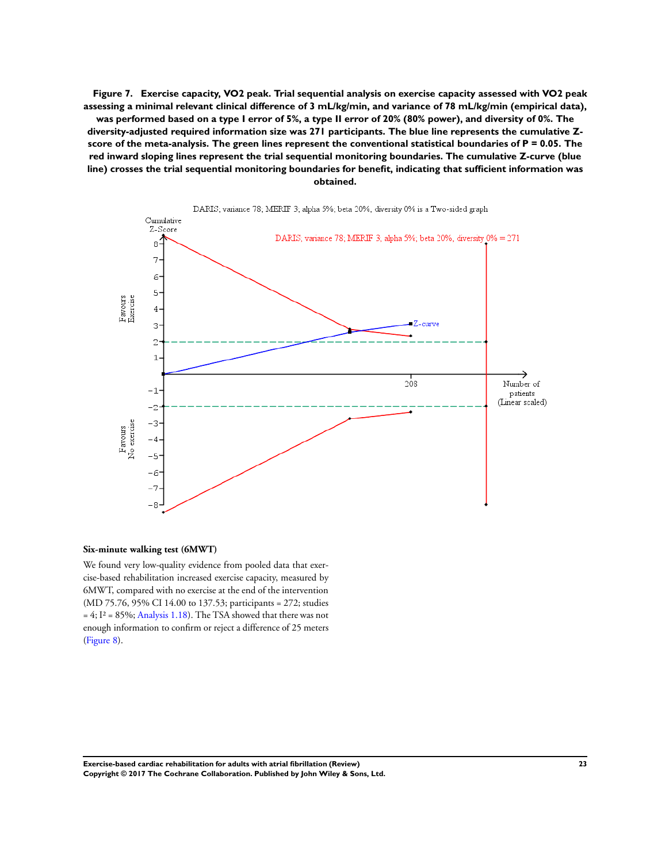<span id="page-24-0"></span>**Figure 7. Exercise capacity, VO2 peak. Trial sequential analysis on exercise capacity assessed with VO2 peak assessing a minimal relevant clinical difference of 3 mL/kg/min, and variance of 78 mL/kg/min (empirical data), was performed based on a type I error of 5%, a type II error of 20% (80% power), and diversity of 0%. The diversity-adjusted required information size was 271 participants. The blue line represents the cumulative Zscore of the meta-analysis. The green lines represent the conventional statistical boundaries of P = 0.05. The red inward sloping lines represent the trial sequential monitoring boundaries. The cumulative Z-curve (blue line) crosses the trial sequential monitoring boundaries for benefit, indicating that sufficient information was obtained.**



#### **Six-minute walking test (6MWT)**

We found very low-quality evidence from pooled data that exercise-based rehabilitation increased exercise capacity, measured by 6MWT, compared with no exercise at the end of the intervention (MD 75.76, 95% CI 14.00 to 137.53; participants = 272; studies  $= 4$ ; I<sup>2</sup> = 85%; [Analysis 1.18\)](#page-63-0). The TSA showed that there was not enough information to confirm or reject a difference of 25 meters [\(Figure 8\)](#page-25-0).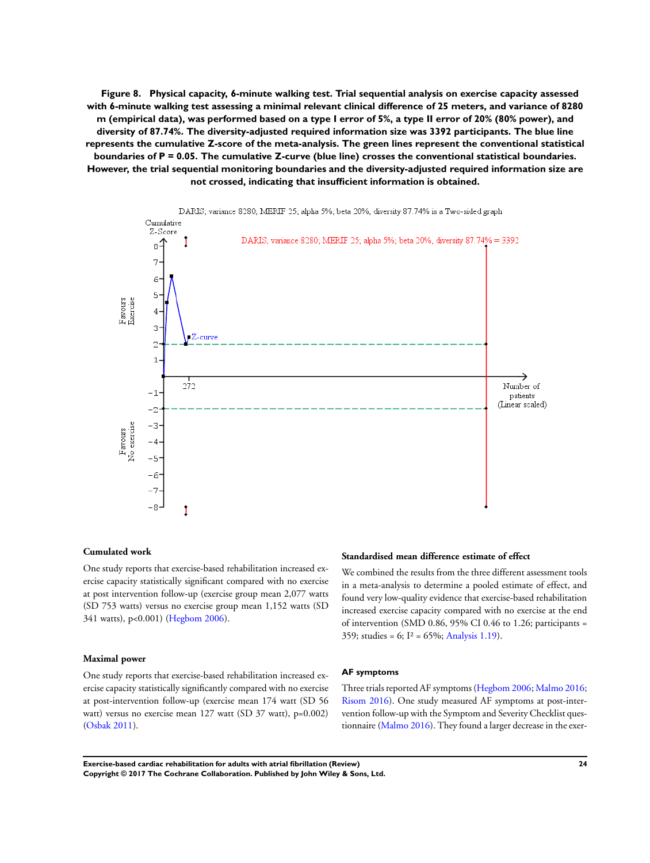<span id="page-25-0"></span>**Figure 8. Physical capacity, 6-minute walking test. Trial sequential analysis on exercise capacity assessed with 6-minute walking test assessing a minimal relevant clinical difference of 25 meters, and variance of 8280 m (empirical data), was performed based on a type I error of 5%, a type II error of 20% (80% power), and diversity of 87.74%. The diversity-adjusted required information size was 3392 participants. The blue line represents the cumulative Z-score of the meta-analysis. The green lines represent the conventional statistical boundaries of P = 0.05. The cumulative Z-curve (blue line) crosses the conventional statistical boundaries. However, the trial sequential monitoring boundaries and the diversity-adjusted required information size are not crossed, indicating that insufficient information is obtained.**



#### **Cumulated work**

One study reports that exercise-based rehabilitation increased exercise capacity statistically significant compared with no exercise at post intervention follow-up (exercise group mean 2,077 watts (SD 753 watts) versus no exercise group mean 1,152 watts (SD 341 watts), p<0.001) ([Hegbom 2006\)](#page-29-0).

#### **Maximal power**

One study reports that exercise-based rehabilitation increased exercise capacity statistically significantly compared with no exercise at post-intervention follow-up (exercise mean 174 watt (SD 56 watt) versus no exercise mean 127 watt (SD 37 watt), p=0.002) [\(Osbak 2011\)](#page-29-0).

# **Standardised mean difference estimate of effect**

We combined the results from the three different assessment tools in a meta-analysis to determine a pooled estimate of effect, and found very low-quality evidence that exercise-based rehabilitation increased exercise capacity compared with no exercise at the end of intervention (SMD 0.86, 95% CI 0.46 to 1.26; participants = 359; studies = 6;  $I^2$  = 65%; [Analysis 1.19](#page-64-0)).

## **AF symptoms**

Three trials reported AF symptoms ([Hegbom 2006](#page-29-0); [Malmo 2016;](#page-29-0) [Risom 2016\)](#page-29-0). One study measured AF symptoms at post-intervention follow-up with the Symptom and Severity Checklist questionnaire [\(Malmo 2016](#page-29-0)). They found a larger decrease in the exer-

**Exercise-based cardiac rehabilitation for adults with atrial fibrillation (Review) 24 Copyright © 2017 The Cochrane Collaboration. Published by John Wiley & Sons, Ltd.**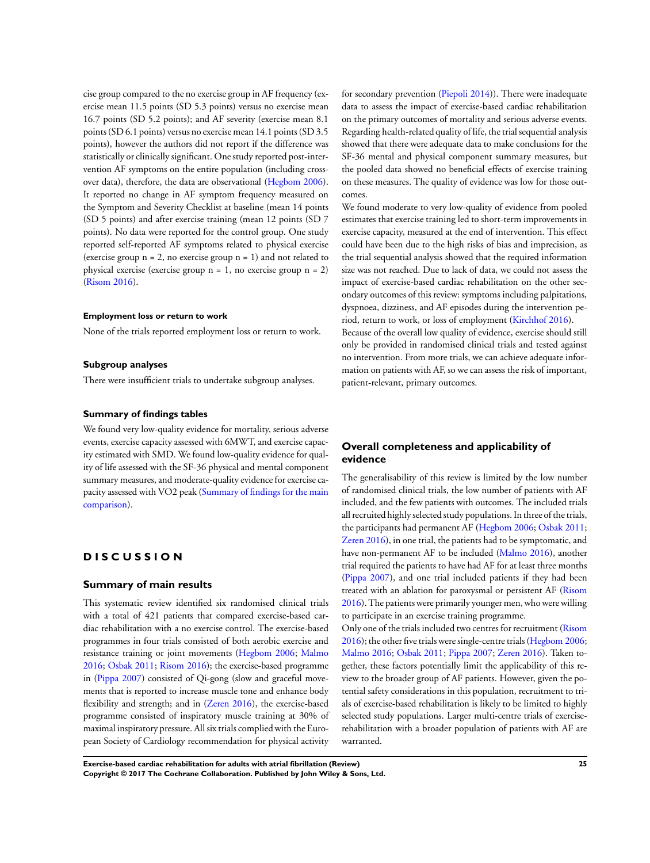cise group compared to the no exercise group in AF frequency (exercise mean 11.5 points (SD 5.3 points) versus no exercise mean 16.7 points (SD 5.2 points); and AF severity (exercise mean 8.1 points (SD 6.1 points) versus no exercise mean 14.1 points (SD 3.5 points), however the authors did not report if the difference was statistically or clinically significant. One study reported post-intervention AF symptoms on the entire population (including crossover data), therefore, the data are observational [\(Hegbom 2006](#page-29-0)). It reported no change in AF symptom frequency measured on the Symptom and Severity Checklist at baseline (mean 14 points (SD 5 points) and after exercise training (mean 12 points (SD 7 points). No data were reported for the control group. One study reported self-reported AF symptoms related to physical exercise (exercise group  $n = 2$ , no exercise group  $n = 1$ ) and not related to physical exercise (exercise group  $n = 1$ , no exercise group  $n = 2$ ) [\(Risom 2016\)](#page-29-0).

#### **Employment loss or return to work**

None of the trials reported employment loss or return to work.

#### **Subgroup analyses**

There were insufficient trials to undertake subgroup analyses.

#### **Summary of findings tables**

We found very low-quality evidence for mortality, serious adverse events, exercise capacity assessed with 6MWT, and exercise capacity estimated with SMD. We found low-quality evidence for quality of life assessed with the SF-36 physical and mental component summary measures, and moderate-quality evidence for exercise capacity assessed with VO2 peak [\(Summary of findings for the main](#page-5-0) [comparison\)](#page-5-0).

# **D I S C U S S I O N**

#### **Summary of main results**

This systematic review identified six randomised clinical trials with a total of 421 patients that compared exercise-based cardiac rehabilitation with a no exercise control. The exercise-based programmes in four trials consisted of both aerobic exercise and resistance training or joint movements ([Hegbom 2006](#page-29-0); [Malmo](#page-29-0) [2016](#page-29-0); [Osbak 2011;](#page-29-0) [Risom 2016](#page-29-0)); the exercise-based programme in [\(Pippa 2007\)](#page-29-0) consisted of Qi-gong (slow and graceful movements that is reported to increase muscle tone and enhance body flexibility and strength; and in ([Zeren 2016](#page-29-0)), the exercise-based programme consisted of inspiratory muscle training at 30% of maximal inspiratory pressure. All six trials complied with the European Society of Cardiology recommendation for physical activity

for secondary prevention ([Piepoli 2014](#page-29-0))). There were inadequate data to assess the impact of exercise-based cardiac rehabilitation on the primary outcomes of mortality and serious adverse events. Regarding health-related quality of life, the trial sequential analysis showed that there were adequate data to make conclusions for the SF-36 mental and physical component summary measures, but the pooled data showed no beneficial effects of exercise training on these measures. The quality of evidence was low for those outcomes.

We found moderate to very low-quality of evidence from pooled estimates that exercise training led to short-term improvements in exercise capacity, measured at the end of intervention. This effect could have been due to the high risks of bias and imprecision, as the trial sequential analysis showed that the required information size was not reached. Due to lack of data, we could not assess the impact of exercise-based cardiac rehabilitation on the other secondary outcomes of this review: symptoms including palpitations, dyspnoea, dizziness, and AF episodes during the intervention period, return to work, or loss of employment ([Kirchhof 2016](#page-29-0)).

Because of the overall low quality of evidence, exercise should still only be provided in randomised clinical trials and tested against no intervention. From more trials, we can achieve adequate information on patients with AF, so we can assess the risk of important, patient-relevant, primary outcomes.

# **Overall completeness and applicability of evidence**

The generalisability of this review is limited by the low number of randomised clinical trials, the low number of patients with AF included, and the few patients with outcomes. The included trials all recruited highly selected study populations. In three of the trials, the participants had permanent AF ([Hegbom 2006](#page-29-0); [Osbak 2011;](#page-29-0) [Zeren 2016](#page-29-0)), in one trial, the patients had to be symptomatic, and have non-permanent AF to be included ([Malmo 2016\)](#page-29-0), another trial required the patients to have had AF for at least three months [\(Pippa 2007](#page-29-0)), and one trial included patients if they had been treated with an ablation for paroxysmal or persistent AF ([Risom](#page-29-0) [2016](#page-29-0)). The patients were primarily younger men, who were willing to participate in an exercise training programme.

Only one of the trials included two centres for recruitment ([Risom](#page-29-0) [2016](#page-29-0)); the other five trials were single-centre trials ([Hegbom 2006;](#page-29-0) [Malmo 2016](#page-29-0); [Osbak 2011;](#page-29-0) [Pippa 2007;](#page-29-0) [Zeren 2016](#page-29-0)). Taken together, these factors potentially limit the applicability of this review to the broader group of AF patients. However, given the potential safety considerations in this population, recruitment to trials of exercise-based rehabilitation is likely to be limited to highly selected study populations. Larger multi-centre trials of exerciserehabilitation with a broader population of patients with AF are warranted.

**Exercise-based cardiac rehabilitation for adults with atrial fibrillation (Review) 25 Copyright © 2017 The Cochrane Collaboration. Published by John Wiley & Sons, Ltd.**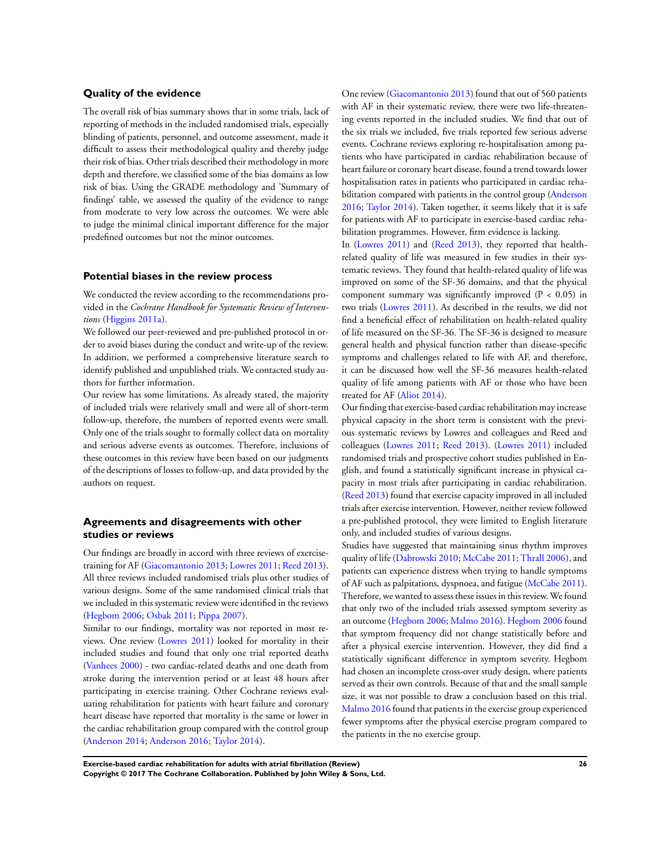# **Quality of the evidence**

The overall risk of bias summary shows that in some trials, lack of reporting of methods in the included randomised trials, especially blinding of patients, personnel, and outcome assessment, made it difficult to assess their methodological quality and thereby judge their risk of bias. Other trials described their methodology in more depth and therefore, we classified some of the bias domains as low risk of bias. Using the GRADE methodology and 'Summary of findings' table, we assessed the quality of the evidence to range from moderate to very low across the outcomes. We were able to judge the minimal clinical important difference for the major predefined outcomes but not the minor outcomes.

# **Potential biases in the review process**

We conducted the review according to the recommendations provided in the *Cochrane Handbook for Systematic Review of Interventions* ([Higgins 2011a](#page-29-0)).

We followed our peer-reviewed and pre-published protocol in order to avoid biases during the conduct and write-up of the review. In addition, we performed a comprehensive literature search to identify published and unpublished trials. We contacted study authors for further information.

Our review has some limitations. As already stated, the majority of included trials were relatively small and were all of short-term follow-up, therefore, the numbers of reported events were small. Only one of the trials sought to formally collect data on mortality and serious adverse events as outcomes. Therefore, inclusions of these outcomes in this review have been based on our judgments of the descriptions of losses to follow-up, and data provided by the authors on request.

# **Agreements and disagreements with other studies or reviews**

Our findings are broadly in accord with three reviews of exercisetraining for AF [\(Giacomantonio 2013;](#page-29-0) [Lowres 2011;](#page-29-0) [Reed 2013](#page-29-0)). All three reviews included randomised trials plus other studies of various designs. Some of the same randomised clinical trials that we included in this systematic review were identified in the reviews [\(Hegbom 2006;](#page-29-0) [Osbak 2011](#page-29-0); [Pippa 2007\)](#page-29-0).

Similar to our findings, mortality was not reported in most reviews. One review [\(Lowres 2011](#page-29-0)) looked for mortality in their included studies and found that only one trial reported deaths [\(Vanhees 2000\)](#page-29-0) - two cardiac-related deaths and one death from stroke during the intervention period or at least 48 hours after participating in exercise training. Other Cochrane reviews evaluating rehabilitation for patients with heart failure and coronary heart disease have reported that mortality is the same or lower in the cardiac rehabilitation group compared with the control group [\(Anderson 2014;](#page-29-0) [Anderson 2016](#page-29-0); [Taylor 2014\)](#page-29-0).

One review [\(Giacomantonio 2013](#page-29-0)) found that out of 560 patients with AF in their systematic review, there were two life-threatening events reported in the included studies. We find that out of the six trials we included, five trials reported few serious adverse events. Cochrane reviews exploring re-hospitalisation among patients who have participated in cardiac rehabilitation because of heart failure or coronary heart disease, found a trend towards lower hospitalisation rates in patients who participated in cardiac rehabilitation compared with patients in the control group ([Anderson](#page-29-0) [2016](#page-29-0); [Taylor 2014\)](#page-29-0). Taken together, it seems likely that it is safe for patients with AF to participate in exercise-based cardiac rehabilitation programmes. However, firm evidence is lacking.

In [\(Lowres 2011\)](#page-29-0) and [\(Reed 2013](#page-29-0)), they reported that healthrelated quality of life was measured in few studies in their systematic reviews. They found that health-related quality of life was improved on some of the SF-36 domains, and that the physical component summary was significantly improved  $(P < 0.05)$  in two trials [\(Lowres 2011](#page-29-0)). As described in the results, we did not find a beneficial effect of rehabilitation on health-related quality of life measured on the SF-36. The SF-36 is designed to measure general health and physical function rather than disease-specific symptoms and challenges related to life with AF, and therefore, it can be discussed how well the SF-36 measures health-related quality of life among patients with AF or those who have been treated for AF ([Aliot 2014\)](#page-29-0).

Our finding that exercise-based cardiac rehabilitation may increase physical capacity in the short term is consistent with the previous systematic reviews by Lowres and colleagues and Reed and colleagues [\(Lowres 2011](#page-29-0); [Reed 2013](#page-29-0)). ([Lowres 2011\)](#page-29-0) included randomised trials and prospective cohort studies published in English, and found a statistically significant increase in physical capacity in most trials after participating in cardiac rehabilitation. [\(Reed 2013](#page-29-0)) found that exercise capacity improved in all included trials after exercise intervention. However, neither review followed a pre-published protocol, they were limited to English literature only, and included studies of various designs.

Studies have suggested that maintaining sinus rhythm improves quality of life ([Dabrowski 2010](#page-29-0); [McCabe 2011](#page-29-0); [Thrall 2006\)](#page-29-0), and patients can experience distress when trying to handle symptoms of AF such as palpitations, dyspnoea, and fatigue ([McCabe 2011](#page-29-0)). Therefore, we wanted to assess these issues in this review. We found that only two of the included trials assessed symptom severity as an outcome [\(Hegbom 2006;](#page-29-0) [Malmo 2016](#page-29-0)). [Hegbom 2006](#page-29-0) found that symptom frequency did not change statistically before and after a physical exercise intervention. However, they did find a statistically significant difference in symptom severity. Hegbom had chosen an incomplete cross-over study design, where patients served as their own controls. Because of that and the small sample size, it was not possible to draw a conclusion based on this trial. [Malmo 2016](#page-29-0) found that patients in the exercise group experienced fewer symptoms after the physical exercise program compared to the patients in the no exercise group.

**Exercise-based cardiac rehabilitation for adults with atrial fibrillation (Review) 26 Copyright © 2017 The Cochrane Collaboration. Published by John Wiley & Sons, Ltd.**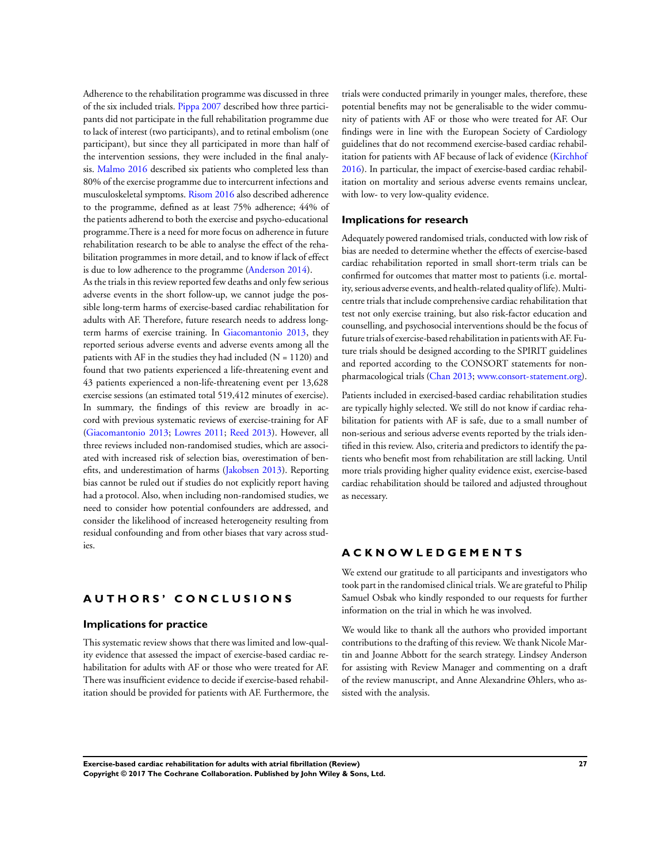Adherence to the rehabilitation programme was discussed in three of the six included trials. [Pippa 2007](#page-29-0) described how three participants did not participate in the full rehabilitation programme due to lack of interest (two participants), and to retinal embolism (one participant), but since they all participated in more than half of the intervention sessions, they were included in the final analysis. [Malmo 2016](#page-29-0) described six patients who completed less than 80% of the exercise programme due to intercurrent infections and musculoskeletal symptoms. [Risom 2016](#page-29-0) also described adherence to the programme, defined as at least 75% adherence; 44% of the patients adherend to both the exercise and psycho-educational programme.There is a need for more focus on adherence in future rehabilitation research to be able to analyse the effect of the rehabilitation programmes in more detail, and to know if lack of effect is due to low adherence to the programme ([Anderson 2014](#page-29-0)).

As the trials in this review reported few deaths and only few serious adverse events in the short follow-up, we cannot judge the possible long-term harms of exercise-based cardiac rehabilitation for adults with AF. Therefore, future research needs to address longterm harms of exercise training. In [Giacomantonio 2013,](#page-29-0) they reported serious adverse events and adverse events among all the patients with AF in the studies they had included (N = 1120) and found that two patients experienced a life-threatening event and 43 patients experienced a non-life-threatening event per 13,628 exercise sessions (an estimated total 519,412 minutes of exercise). In summary, the findings of this review are broadly in accord with previous systematic reviews of exercise-training for AF [\(Giacomantonio 2013;](#page-29-0) [Lowres 2011](#page-29-0); [Reed 2013](#page-29-0)). However, all three reviews included non-randomised studies, which are associated with increased risk of selection bias, overestimation of benefits, and underestimation of harms ([Jakobsen 2013](#page-29-0)). Reporting bias cannot be ruled out if studies do not explicitly report having had a protocol. Also, when including non-randomised studies, we need to consider how potential confounders are addressed, and consider the likelihood of increased heterogeneity resulting from residual confounding and from other biases that vary across studies.

# **A U T H O R S ' C O N C L U S I O N S**

## **Implications for practice**

This systematic review shows that there was limited and low-quality evidence that assessed the impact of exercise-based cardiac rehabilitation for adults with AF or those who were treated for AF. There was insufficient evidence to decide if exercise-based rehabilitation should be provided for patients with AF. Furthermore, the

trials were conducted primarily in younger males, therefore, these potential benefits may not be generalisable to the wider community of patients with AF or those who were treated for AF. Our findings were in line with the European Society of Cardiology guidelines that do not recommend exercise-based cardiac rehabilitation for patients with AF because of lack of evidence ([Kirchhof](#page-29-0) [2016](#page-29-0)). In particular, the impact of exercise-based cardiac rehabilitation on mortality and serious adverse events remains unclear, with low- to very low-quality evidence.

# **Implications for research**

Adequately powered randomised trials, conducted with low risk of bias are needed to determine whether the effects of exercise-based cardiac rehabilitation reported in small short-term trials can be confirmed for outcomes that matter most to patients (i.e. mortality, serious adverse events, and health-related quality of life). Multicentre trials that include comprehensive cardiac rehabilitation that test not only exercise training, but also risk-factor education and counselling, and psychosocial interventions should be the focus of future trials of exercise-based rehabilitation in patients with AF. Future trials should be designed according to the SPIRIT guidelines and reported according to the CONSORT statements for nonpharmacological trials ([Chan 2013;](#page-29-0) [www.consort-statement.org](http://www.consort-statement.org)).

Patients included in exercised-based cardiac rehabilitation studies are typically highly selected. We still do not know if cardiac rehabilitation for patients with AF is safe, due to a small number of non-serious and serious adverse events reported by the trials identified in this review. Also, criteria and predictors to identify the patients who benefit most from rehabilitation are still lacking. Until more trials providing higher quality evidence exist, exercise-based cardiac rehabilitation should be tailored and adjusted throughout as necessary.

# **A C K N O W L E D G E M E N T S**

We extend our gratitude to all participants and investigators who took part in the randomised clinical trials. We are grateful to Philip Samuel Osbak who kindly responded to our requests for further information on the trial in which he was involved.

We would like to thank all the authors who provided important contributions to the drafting of this review. We thank Nicole Martin and Joanne Abbott for the search strategy. Lindsey Anderson for assisting with Review Manager and commenting on a draft of the review manuscript, and Anne Alexandrine Øhlers, who assisted with the analysis.

**Exercise-based cardiac rehabilitation for adults with atrial fibrillation (Review) 27 Copyright © 2017 The Cochrane Collaboration. Published by John Wiley & Sons, Ltd.**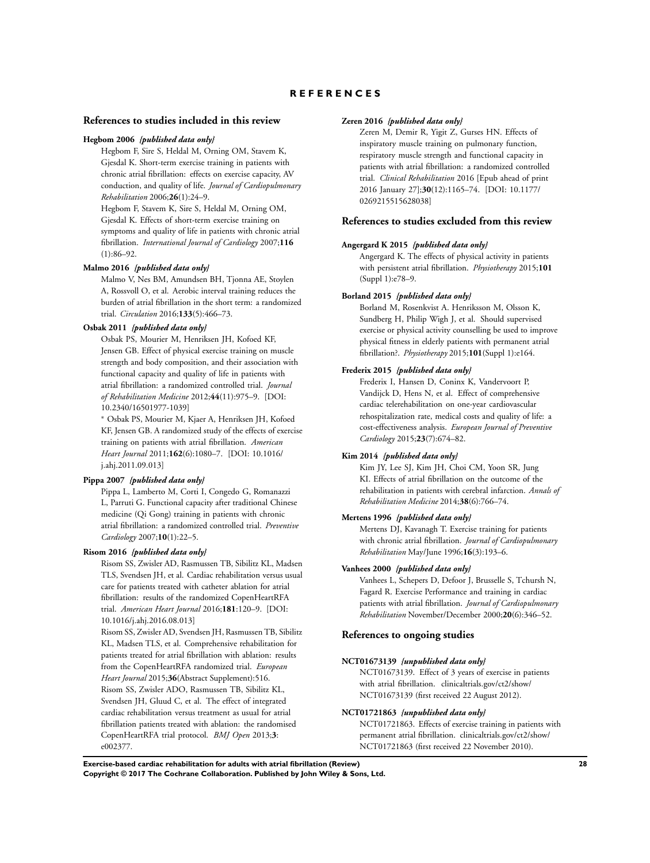# **R E F E R E N C E S**

## <span id="page-29-0"></span>**References to studies included in this review**

#### **Hegbom 2006** *{published data only}*

Hegbom F, Sire S, Heldal M, Orning OM, Stavem K, Gjesdal K. Short-term exercise training in patients with chronic atrial fibrillation: effects on exercise capacity, AV conduction, and quality of life. *Journal of Cardiopulmonary Rehabilitation* 2006;**26**(1):24–9.

Hegbom F, Stavem K, Sire S, Heldal M, Orning OM, Gjesdal K. Effects of short-term exercise training on symptoms and quality of life in patients with chronic atrial fibrillation. *International Journal of Cardiology* 2007;**116** (1):86–92.

#### **Malmo 2016** *{published data only}*

Malmo V, Nes BM, Amundsen BH, Tjonna AE, Stoylen A, Rossvoll O, et al. Aerobic interval training reduces the burden of atrial fibrillation in the short term: a randomized trial. *Circulation* 2016;**133**(5):466–73.

## **Osbak 2011** *{published data only}*

Osbak PS, Mourier M, Henriksen JH, Kofoed KF, Jensen GB. Effect of physical exercise training on muscle strength and body composition, and their association with functional capacity and quality of life in patients with atrial fibrillation: a randomized controlled trial. *Journal of Rehabilitation Medicine* 2012;**44**(11):975–9. [DOI: 10.2340/16501977-1039]

<sup>∗</sup> Osbak PS, Mourier M, Kjaer A, Henriksen JH, Kofoed KF, Jensen GB. A randomized study of the effects of exercise training on patients with atrial fibrillation. *American Heart Journal* 2011;**162**(6):1080–7. [DOI: 10.1016/ j.ahj.2011.09.013]

# **Pippa 2007** *{published data only}*

Pippa L, Lamberto M, Corti I, Congedo G, Romanazzi L, Parruti G. Functional capacity after traditional Chinese medicine (Qi Gong) training in patients with chronic atrial fibrillation: a randomized controlled trial. *Preventive Cardiology* 2007;**10**(1):22–5.

# **Risom 2016** *{published data only}*

Risom SS, Zwisler AD, Rasmussen TB, Sibilitz KL, Madsen TLS, Svendsen JH, et al. Cardiac rehabilitation versus usual care for patients treated with catheter ablation for atrial fibrillation: results of the randomized CopenHeartRFA trial. *American Heart Journal* 2016;**181**:120–9. [DOI: 10.1016/j.ahj.2016.08.013]

Risom SS, Zwisler AD, Svendsen JH, Rasmussen TB, Sibilitz KL, Madsen TLS, et al. Comprehensive rehabilitation for patients treated for atrial fibrillation with ablation: results from the CopenHeartRFA randomized trial. *European Heart Journal* 2015;**36**(Abstract Supplement):516. Risom SS, Zwisler ADO, Rasmussen TB, Sibilitz KL, Svendsen JH, Gluud C, et al. The effect of integrated cardiac rehabilitation versus treatment as usual for atrial fibrillation patients treated with ablation: the randomised CopenHeartRFA trial protocol. *BMJ Open* 2013;**3**: e002377.

#### **Zeren 2016** *{published data only}*

Zeren M, Demir R, Yigit Z, Gurses HN. Effects of inspiratory muscle training on pulmonary function, respiratory muscle strength and functional capacity in patients with atrial fibrillation: a randomized controlled trial. *Clinical Rehabilitation* 2016 [Epub ahead of print 2016 January 27];**30**(12):1165–74. [DOI: 10.1177/ 0269215515628038]

#### **References to studies excluded from this review**

#### **Angergard K 2015** *{published data only}*

Angergard K. The effects of physical activity in patients with persistent atrial fibrillation. *Physiotherapy* 2015;**101** (Suppl 1):e78–9.

#### **Borland 2015** *{published data only}*

Borland M, Rosenkvist A. Henriksson M, Olsson K, Sundberg H, Philip Wigh J, et al. Should supervised exercise or physical activity counselling be used to improve physical fitness in elderly patients with permanent atrial fibrillation?. *Physiotherapy* 2015;**101**(Suppl 1):e164.

## **Frederix 2015** *{published data only}*

Frederix I, Hansen D, Coninx K, Vandervoort P, Vandijck D, Hens N, et al. Effect of comprehensive cardiac telerehabilitation on one-year cardiovascular rehospitalization rate, medical costs and quality of life: a cost-effectiveness analysis. *European Journal of Preventive Cardiology* 2015;**23**(7):674–82.

#### **Kim 2014** *{published data only}*

Kim JY, Lee SJ, Kim JH, Choi CM, Yoon SR, Jung KI. Effects of atrial fibrillation on the outcome of the rehabilitation in patients with cerebral infarction. *Annals of Rehabilitation Medicine* 2014;**38**(6):766–74.

# **Mertens 1996** *{published data only}*

Mertens DJ, Kavanagh T. Exercise training for patients with chronic atrial fibrillation. *Journal of Cardiopulmonary Rehabilitation* May/June 1996;**16**(3):193–6.

#### **Vanhees 2000** *{published data only}*

Vanhees L, Schepers D, Defoor J, Brusselle S, Tchursh N, Fagard R. Exercise Performance and training in cardiac patients with atrial fibrillation. *Journal of Cardiopulmonary Rehabilitation* November/December 2000;**20**(6):346–52.

# **References to ongoing studies**

#### **NCT01673139** *{unpublished data only}*

NCT01673139. Effect of 3 years of exercise in patients with atrial fibrillation. clinicaltrials.gov/ct2/show/ NCT01673139 (first received 22 August 2012).

### **NCT01721863** *{unpublished data only}*

NCT01721863. Effects of exercise training in patients with permanent atrial fibrillation. clinicaltrials.gov/ct2/show/ NCT01721863 (first received 22 November 2010).

**Exercise-based cardiac rehabilitation for adults with atrial fibrillation (Review) 28 Copyright © 2017 The Cochrane Collaboration. Published by John Wiley & Sons, Ltd.**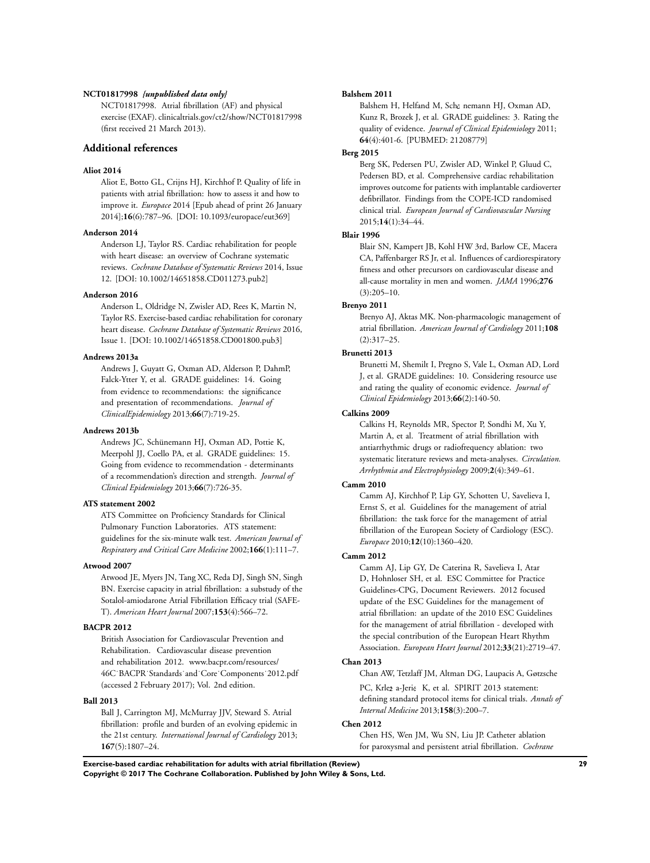# **NCT01817998** *{unpublished data only}*

NCT01817998. Atrial fibrillation (AF) and physical exercise (EXAF). clinicaltrials.gov/ct2/show/NCT01817998 (first received 21 March 2013).

# **Additional references**

#### **Aliot 2014**

Aliot E, Botto GL, Crijns HJ, Kirchhof P. Quality of life in patients with atrial fibrillation: how to assess it and how to improve it. *Europace* 2014 [Epub ahead of print 26 January 2014];**16**(6):787–96. [DOI: 10.1093/europace/eut369]

## **Anderson 2014**

Anderson LJ, Taylor RS. Cardiac rehabilitation for people with heart disease: an overview of Cochrane systematic reviews. *Cochrane Database of Systematic Reviews* 2014, Issue 12. [DOI: 10.1002/14651858.CD011273.pub2]

#### **Anderson 2016**

Anderson L, Oldridge N, Zwisler AD, Rees K, Martin N, Taylor RS. Exercise-based cardiac rehabilitation for coronary heart disease. *Cochrane Database of Systematic Reviews* 2016, Issue 1. [DOI: 10.1002/14651858.CD001800.pub3]

# **Andrews 2013a**

Andrews J, Guyatt G, Oxman AD, Alderson P, DahmP, Falck-Ytter Y, et al. GRADE guidelines: 14. Going from evidence to recommendations: the significance and presentation of recommendations. *Journal of ClinicalEpidemiology* 2013;**66**(7):719-25.

## **Andrews 2013b**

Andrews JC, Schünemann HJ, Oxman AD, Pottie K, Meerpohl JJ, Coello PA, et al. GRADE guidelines: 15. Going from evidence to recommendation - determinants of a recommendation's direction and strength. *Journal of Clinical Epidemiology* 2013;**66**(7):726-35.

#### **ATS statement 2002**

ATS Committee on Proficiency Standards for Clinical Pulmonary Function Laboratories. ATS statement: guidelines for the six-minute walk test. *American Journal of Respiratory and Critical Care Medicine* 2002;**166**(1):111–7.

#### **Atwood 2007**

Atwood JE, Myers JN, Tang XC, Reda DJ, Singh SN, Singh BN. Exercise capacity in atrial fibrillation: a substudy of the Sotalol-amiodarone Atrial Fibrillation Efficacy trial (SAFE-T). *American Heart Journal* 2007;**153**(4):566–72.

# **BACPR 2012**

British Association for Cardiovascular Prevention and Rehabilitation. Cardiovascular disease prevention and rehabilitation 2012. www.bacpr.com/resources/ 46C˙BACPR˙Standards˙and˙Core˙Components˙2012.pdf (accessed 2 February 2017); Vol. 2nd edition.

## **Ball 2013**

Ball J, Carrington MJ, McMurray JJV, Steward S. Atrial fibrillation: profile and burden of an evolving epidemic in the 21st century. *International Journal of Cardiology* 2013; **167**(5):1807–24.

#### **Balshem 2011**

Balshem H, Helfand M, Schu nemann HJ, Oxman AD, Kunz R, Brozek J, et al. GRADE guidelines: 3. Rating the quality of evidence. *Journal of Clinical Epidemiology* 2011; **64**(4):401-6. [PUBMED: 21208779]

# **Berg 2015**

Berg SK, Pedersen PU, Zwisler AD, Winkel P, Gluud C, Pedersen BD, et al. Comprehensive cardiac rehabilitation improves outcome for patients with implantable cardioverter defibrillator. Findings from the COPE-ICD randomised clinical trial. *European Journal of Cardiovascular Nursing* 2015;**14**(1):34–44.

#### **Blair 1996**

Blair SN, Kampert JB, Kohl HW 3rd, Barlow CE, Macera CA, Paffenbarger RS Jr, et al. Influences of cardiorespiratory fitness and other precursors on cardiovascular disease and all-cause mortality in men and women. *JAMA* 1996;**276**  $(3):205-10.$ 

#### **Brenyo 2011**

Brenyo AJ, Aktas MK. Non-pharmacologic management of atrial fibrillation. *American Journal of Cardiology* 2011;**108** (2):317–25.

# **Brunetti 2013**

Brunetti M, Shemilt I, Pregno S, Vale L, Oxman AD, Lord J, et al. GRADE guidelines: 10. Considering resource use and rating the quality of economic evidence. *Journal of Clinical Epidemiology* 2013;**66**(2):140-50.

# **Calkins 2009**

Calkins H, Reynolds MR, Spector P, Sondhi M, Xu Y, Martin A, et al. Treatment of atrial fibrillation with antiarrhythmic drugs or radiofrequency ablation: two systematic literature reviews and meta-analyses. *Circulation. Arrhythmia and Electrophysiology* 2009;**2**(4):349–61.

#### **Camm 2010**

Camm AJ, Kirchhof P, Lip GY, Schotten U, Savelieva I, Ernst S, et al. Guidelines for the management of atrial fibrillation: the task force for the management of atrial fibrillation of the European Society of Cardiology (ESC). *Europace* 2010;**12**(10):1360–420.

#### **Camm 2012**

Camm AJ, Lip GY, De Caterina R, Savelieva I, Atar D, Hohnloser SH, et al. ESC Committee for Practice Guidelines-CPG, Document Reviewers. 2012 focused update of the ESC Guidelines for the management of atrial fibrillation: an update of the 2010 ESC Guidelines for the management of atrial fibrillation - developed with the special contribution of the European Heart Rhythm Association. *European Heart Journal* 2012;**33**(21):2719–47.

#### **Chan 2013**

Chan AW, Tetzlaff JM, Altman DG, Laupacis A, Gøtzsche PC, Krlez a-Jeric K, et al. SPIRIT 2013 statement: defining standard protocol items for clinical trials. *Annals of Internal Medicine* 2013;**158**(3):200–7.

## **Chen 2012**

Chen HS, Wen JM, Wu SN, Liu JP. Catheter ablation for paroxysmal and persistent atrial fibrillation. *Cochrane*

**Exercise-based cardiac rehabilitation for adults with atrial fibrillation (Review) 29 Copyright © 2017 The Cochrane Collaboration. Published by John Wiley & Sons, Ltd.**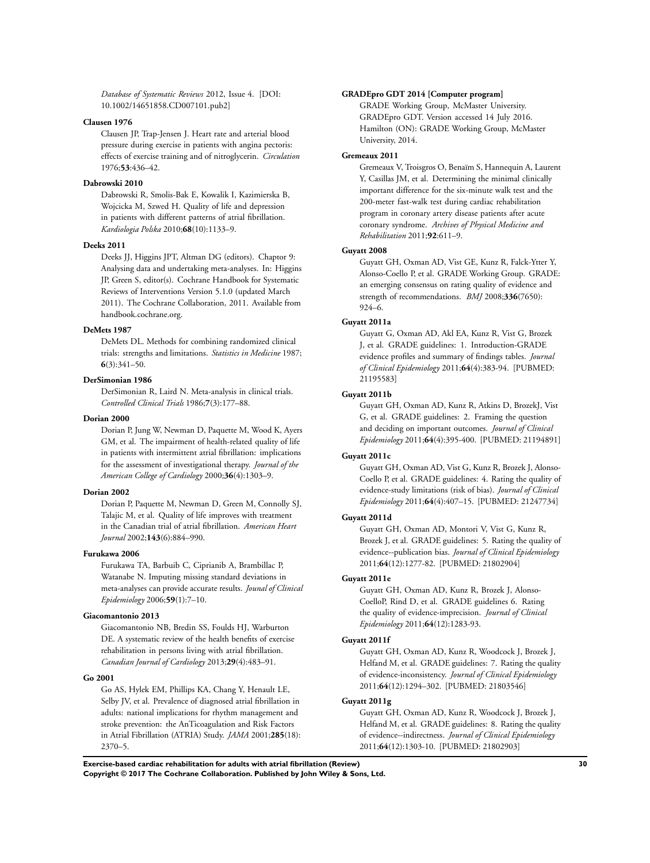*Database of Systematic Reviews* 2012, Issue 4. [DOI: 10.1002/14651858.CD007101.pub2]

#### **Clausen 1976**

Clausen JP, Trap-Jensen J. Heart rate and arterial blood pressure during exercise in patients with angina pectoris: effects of exercise training and of nitroglycerin. *Circulation* 1976;**53**:436–42.

# **Dabrowski 2010**

Dabrowski R, Smolis-Bak E, Kowalik I, Kazimierska B, Wojcicka M, Szwed H. Quality of life and depression in patients with different patterns of atrial fibrillation. *Kardiologia Polska* 2010;**68**(10):1133–9.

### **Deeks 2011**

Deeks JJ, Higgins JPT, Altman DG (editors). Chaptor 9: Analysing data and undertaking meta-analyses. In: Higgins JP, Green S, editor(s). Cochrane Handbook for Systematic Reviews of Interventions Version 5.1.0 (updated March 2011). The Cochrane Collaboration, 2011. Available from handbook.cochrane.org.

#### **DeMets 1987**

DeMets DL. Methods for combining randomized clinical trials: strengths and limitations. *Statistics in Medicine* 1987; **6**(3):341–50.

# **DerSimonian 1986**

DerSimonian R, Laird N. Meta-analysis in clinical trials. *Controlled Clinical Trials* 1986;**7**(3):177–88.

#### **Dorian 2000**

Dorian P, Jung W, Newman D, Paquette M, Wood K, Ayers GM, et al. The impairment of health-related quality of life in patients with intermittent atrial fibrillation: implications for the assessment of investigational therapy. *Journal of the American College of Cardiology* 2000;**36**(4):1303–9.

# **Dorian 2002**

Dorian P, Paquette M, Newman D, Green M, Connolly SJ, Talajic M, et al. Quality of life improves with treatment in the Canadian trial of atrial fibrillation. *American Heart Journal* 2002;**143**(6):884–990.

#### **Furukawa 2006**

Furukawa TA, Barbuib C, Ciprianib A, Brambillac P, Watanabe N. Imputing missing standard deviations in meta-analyses can provide accurate results. *Jounal of Clinical Epidemiology* 2006;**59**(1):7–10.

# **Giacomantonio 2013**

Giacomantonio NB, Bredin SS, Foulds HJ, Warburton DE. A systematic review of the health benefits of exercise rehabilitation in persons living with atrial fibrillation. *Canadian Journal of Cardiology* 2013;**29**(4):483–91.

## **Go 2001**

Go AS, Hylek EM, Phillips KA, Chang Y, Henault LE, Selby JV, et al. Prevalence of diagnosed atrial fibrillation in adults: national implications for rhythm management and stroke prevention: the AnTicoagulation and Risk Factors in Atrial Fibrillation (ATRIA) Study. *JAMA* 2001;**285**(18): 2370–5.

#### **GRADEpro GDT 2014 [Computer program]**

GRADE Working Group, McMaster University. GRADEpro GDT. Version accessed 14 July 2016. Hamilton (ON): GRADE Working Group, McMaster University, 2014.

## **Gremeaux 2011**

Gremeaux V, Troisgros O, Benaïm S, Hannequin A, Laurent Y, Casillas JM, et al. Determining the minimal clinically important difference for the six-minute walk test and the 200-meter fast-walk test during cardiac rehabilitation program in coronary artery disease patients after acute coronary syndrome. *Archives of Physical Medicine and Rehabilitation* 2011;**92**:611–9.

# **Guyatt 2008**

Guyatt GH, Oxman AD, Vist GE, Kunz R, Falck-Ytter Y, Alonso-Coello P, et al. GRADE Working Group. GRADE: an emerging consensus on rating quality of evidence and strength of recommendations. *BMJ* 2008;**336**(7650): 924–6.

### **Guyatt 2011a**

Guyatt G, Oxman AD, Akl EA, Kunz R, Vist G, Brozek J, et al. GRADE guidelines: 1. Introduction-GRADE evidence profiles and summary of findings tables. *Journal of Clinical Epidemiology* 2011;**64**(4):383-94. [PUBMED: 21195583]

# **Guyatt 2011b**

Guyatt GH, Oxman AD, Kunz R, Atkins D, BrozekJ, Vist G, et al. GRADE guidelines: 2. Framing the question and deciding on important outcomes. *Journal of Clinical Epidemiology* 2011;**64**(4):395-400. [PUBMED: 21194891]

#### **Guyatt 2011c**

Guyatt GH, Oxman AD, Vist G, Kunz R, Brozek J, Alonso-Coello P, et al. GRADE guidelines: 4. Rating the quality of evidence-study limitations (risk of bias). *Journal of Clinical Epidemiology* 2011;**64**(4):407–15. [PUBMED: 21247734]

### **Guyatt 2011d**

Guyatt GH, Oxman AD, Montori V, Vist G, Kunz R, Brozek J, et al. GRADE guidelines: 5. Rating the quality of evidence--publication bias. *Journal of Clinical Epidemiology* 2011;**64**(12):1277-82. [PUBMED: 21802904]

## **Guyatt 2011e**

Guyatt GH, Oxman AD, Kunz R, Brozek J, Alonso-CoelloP, Rind D, et al. GRADE guidelines 6. Rating the quality of evidence-imprecision. *Journal of Clinical Epidemiology* 2011;**64**(12):1283-93.

#### **Guyatt 2011f**

Guyatt GH, Oxman AD, Kunz R, Woodcock J, Brozek J, Helfand M, et al. GRADE guidelines: 7. Rating the quality of evidence-inconsistency. *Journal of Clinical Epidemiology* 2011;**64**(12):1294–302. [PUBMED: 21803546]

# **Guyatt 2011g**

Guyatt GH, Oxman AD, Kunz R, Woodcock J, Brozek J, Helfand M, et al. GRADE guidelines: 8. Rating the quality of evidence--indirectness. *Journal of Clinical Epidemiology* 2011;**64**(12):1303-10. [PUBMED: 21802903]

**Exercise-based cardiac rehabilitation for adults with atrial fibrillation (Review) 30 Copyright © 2017 The Cochrane Collaboration. Published by John Wiley & Sons, Ltd.**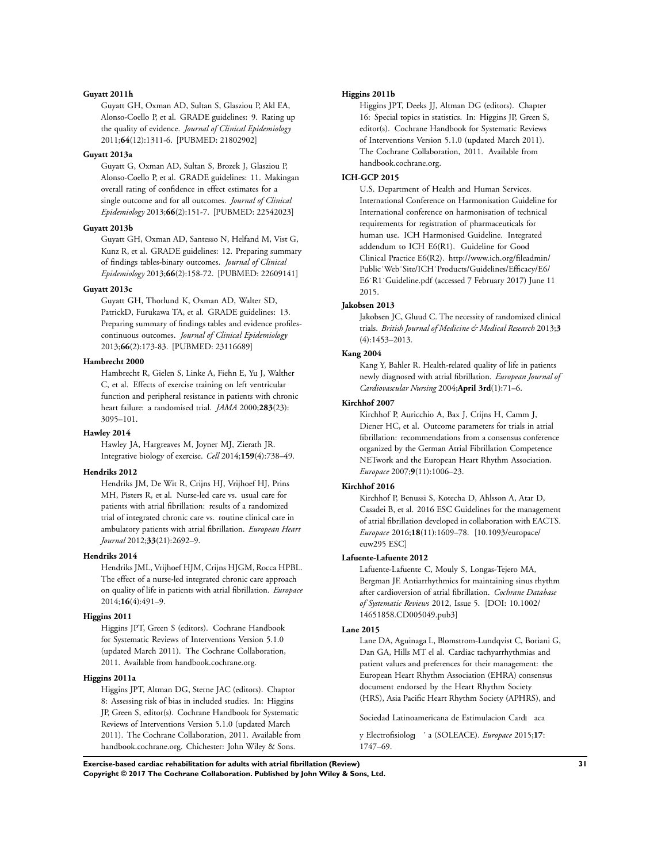# **Guyatt 2011h**

Guyatt GH, Oxman AD, Sultan S, Glasziou P, Akl EA, Alonso-Coello P, et al. GRADE guidelines: 9. Rating up the quality of evidence. *Journal of Clinical Epidemiology* 2011;**64**(12):1311-6. [PUBMED: 21802902]

# **Guyatt 2013a**

Guyatt G, Oxman AD, Sultan S, Brozek J, Glasziou P, Alonso-Coello P, et al. GRADE guidelines: 11. Makingan overall rating of confidence in effect estimates for a single outcome and for all outcomes. *Journal of Clinical Epidemiology* 2013;**66**(2):151-7. [PUBMED: 22542023]

## **Guyatt 2013b**

Guyatt GH, Oxman AD, Santesso N, Helfand M, Vist G, Kunz R, et al. GRADE guidelines: 12. Preparing summary of findings tables-binary outcomes. *Journal of Clinical Epidemiology* 2013;**66**(2):158-72. [PUBMED: 22609141]

## **Guyatt 2013c**

Guyatt GH, Thorlund K, Oxman AD, Walter SD, PatrickD, Furukawa TA, et al. GRADE guidelines: 13. Preparing summary of findings tables and evidence profilescontinuous outcomes. *Journal of Clinical Epidemiology* 2013;**66**(2):173-83. [PUBMED: 23116689]

#### **Hambrecht 2000**

Hambrecht R, Gielen S, Linke A, Fiehn E, Yu J, Walther C, et al. Effects of exercise training on left ventricular function and peripheral resistance in patients with chronic heart failure: a randomised trial. *JAMA* 2000;**283**(23): 3095–101.

### **Hawley 2014**

Hawley JA, Hargreaves M, Joyner MJ, Zierath JR. Integrative biology of exercise. *Cell* 2014;**159**(4):738–49.

#### **Hendriks 2012**

Hendriks JM, De Wit R, Crijns HJ, Vrijhoef HJ, Prins MH, Pisters R, et al. Nurse-led care vs. usual care for patients with atrial fibrillation: results of a randomized trial of integrated chronic care vs. routine clinical care in ambulatory patients with atrial fibrillation. *European Heart Journal* 2012;**33**(21):2692–9.

#### **Hendriks 2014**

Hendriks JML, Vrijhoef HJM, Crijns HJGM, Rocca HPBL. The effect of a nurse-led integrated chronic care approach on quality of life in patients with atrial fibrillation. *Europace* 2014;**16**(4):491–9.

#### **Higgins 2011**

Higgins JPT, Green S (editors). Cochrane Handbook for Systematic Reviews of Interventions Version 5.1.0 (updated March 2011). The Cochrane Collaboration, 2011. Available from handbook.cochrane.org.

## **Higgins 2011a**

Higgins JPT, Altman DG, Sterne JAC (editors). Chaptor 8: Assessing risk of bias in included studies. In: Higgins JP, Green S, editor(s). Cochrane Handbook for Systematic Reviews of Interventions Version 5.1.0 (updated March 2011). The Cochrane Collaboration, 2011. Available from handbook.cochrane.org. Chichester: John Wiley & Sons.

#### **Higgins 2011b**

Higgins JPT, Deeks JJ, Altman DG (editors). Chapter 16: Special topics in statistics. In: Higgins JP, Green S, editor(s). Cochrane Handbook for Systematic Reviews of Interventions Version 5.1.0 (updated March 2011). The Cochrane Collaboration, 2011. Available from handbook.cochrane.org.

# **ICH-GCP 2015**

U.S. Department of Health and Human Services. International Conference on Harmonisation Guideline for International conference on harmonisation of technical requirements for registration of pharmaceuticals for human use. ICH Harmonised Guideline. Integrated addendum to ICH E6(R1). Guideline for Good Clinical Practice E6(R2). http://www.ich.org/fileadmin/ Public˙Web˙Site/ICH˙Products/Guidelines/Efficacy/E6/ E6˙R1˙Guideline.pdf (accessed 7 February 2017) June 11 2015.

#### **Jakobsen 2013**

Jakobsen JC, Gluud C. The necessity of randomized clinical trials. *British Journal of Medicine & Medical Research* 2013;**3** (4):1453–2013.

## **Kang 2004**

Kang Y, Bahler R. Health-related quality of life in patients newly diagnosed with atrial fibrillation. *European Journal of Cardiovascular Nursing* 2004;**April 3rd**(1):71–6.

## **Kirchhof 2007**

Kirchhof P, Auricchio A, Bax J, Crijns H, Camm J, Diener HC, et al. Outcome parameters for trials in atrial fibrillation: recommendations from a consensus conference organized by the German Atrial Fibrillation Competence NETwork and the European Heart Rhythm Association. *Europace* 2007;**9**(11):1006–23.

# **Kirchhof 2016**

Kirchhof P, Benussi S, Kotecha D, Ahlsson A, Atar D, Casadei B, et al. 2016 ESC Guidelines for the management of atrial fibrillation developed in collaboration with EACTS. *Europace* 2016;**18**(11):1609–78. [10.1093/europace/ euw295 ESC]

#### **Lafuente-Lafuente 2012**

Lafuente-Lafuente C, Mouly S, Longas-Tejero MA, Bergman JF. Antiarrhythmics for maintaining sinus rhythm after cardioversion of atrial fibrillation. *Cochrane Database of Systematic Reviews* 2012, Issue 5. [DOI: 10.1002/ 14651858.CD005049.pub3]

#### **Lane 2015**

Lane DA, Aguinaga L, Blomstrom-Lundqvist C, Boriani G, Dan GA, Hills MT el al. Cardiac tachyarrhythmias and patient values and preferences for their management: the European Heart Rhythm Association (EHRA) consensus document endorsed by the Heart Rhythm Society (HRS), Asia Pacific Heart Rhythm Society (APHRS), and

Sociedad Latinoamericana de Estimulacion Card aca

y Electrofisiolog ´ a (SOLEACE). *Europace* 2015;**17**: 1747–69.

**Exercise-based cardiac rehabilitation for adults with atrial fibrillation (Review) 31**

**Copyright © 2017 The Cochrane Collaboration. Published by John Wiley & Sons, Ltd.**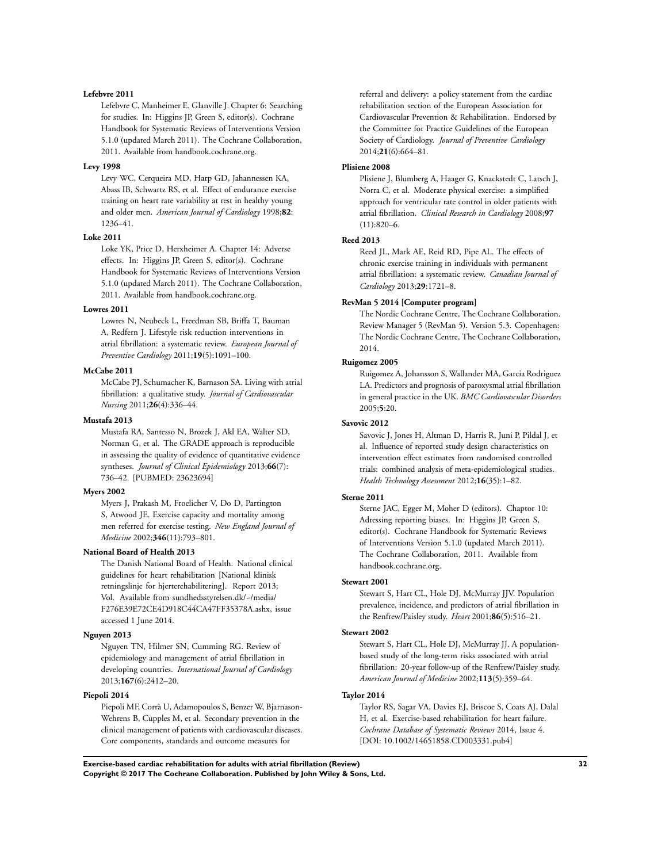# **Lefebvre 2011**

Lefebvre C, Manheimer E, Glanville J. Chapter 6: Searching for studies. In: Higgins JP, Green S, editor(s). Cochrane Handbook for Systematic Reviews of Interventions Version 5.1.0 (updated March 2011). The Cochrane Collaboration, 2011. Available from handbook.cochrane.org.

# **Levy 1998**

Levy WC, Cerqueira MD, Harp GD, Jahannessen KA, Abass IB, Schwartz RS, et al. Effect of endurance exercise training on heart rate variability at rest in healthy young and older men. *American Journal of Cardiology* 1998;**82**: 1236–41.

# **Loke 2011**

Loke YK, Price D, Herxheimer A. Chapter 14: Adverse effects. In: Higgins JP, Green S, editor(s). Cochrane Handbook for Systematic Reviews of Interventions Version 5.1.0 (updated March 2011). The Cochrane Collaboration, 2011. Available from handbook.cochrane.org.

## **Lowres 2011**

Lowres N, Neubeck L, Freedman SB, Briffa T, Bauman A, Redfern J. Lifestyle risk reduction interventions in atrial fibrillation: a systematic review. *European Journal of Preventive Cardiology* 2011;**19**(5):1091–100.

# **McCabe 2011**

McCabe PJ, Schumacher K, Barnason SA. Living with atrial fibrillation: a qualitative study. *Journal of Cardiovascular Nursing* 2011;**26**(4):336–44.

# **Mustafa 2013**

Mustafa RA, Santesso N, Brozek J, Akl EA, Walter SD, Norman G, et al. The GRADE approach is reproducible in assessing the quality of evidence of quantitative evidence syntheses. *Journal of Clinical Epidemiology* 2013;**66**(7): 736–42. [PUBMED: 23623694]

#### **Myers 2002**

Myers J, Prakash M, Froelicher V, Do D, Partington S, Atwood JE. Exercise capacity and mortality among men referred for exercise testing. *New England Journal of Medicine* 2002;**346**(11):793–801.

## **National Board of Health 2013**

The Danish National Board of Health. National clinical guidelines for heart rehabilitation [National klinisk retningslinje for hjerterehabilitering]. Report 2013; Vol. Available from sundhedsstyrelsen.dk/~/media/ F276E39E72CE4D918C44CA47FF35378A.ashx, issue accessed 1 June 2014.

## **Nguyen 2013**

Nguyen TN, Hilmer SN, Cumming RG. Review of epidemiology and management of atrial fibrillation in developing countries. *International Journal of Cardiology* 2013;**167**(6):2412–20.

# **Piepoli 2014**

Piepoli MF, Corrà U, Adamopoulos S, Benzer W, Bjarnason-Wehrens B, Cupples M, et al. Secondary prevention in the clinical management of patients with cardiovascular diseases. Core components, standards and outcome measures for

referral and delivery: a policy statement from the cardiac rehabilitation section of the European Association for Cardiovascular Prevention & Rehabilitation. Endorsed by the Committee for Practice Guidelines of the European Society of Cardiology. *Journal of Preventive Cardiology* 2014;**21**(6):664–81.

#### **Plisiene 2008**

Plisiene J, Blumberg A, Haager G, Knackstedt C, Latsch J, Norra C, et al. Moderate physical exercise: a simplified approach for ventricular rate control in older patients with atrial fibrillation. *Clinical Research in Cardiology* 2008;**97**  $(11):820-6.$ 

# **Reed 2013**

Reed JL, Mark AE, Reid RD, Pipe AL. The effects of chronic exercise training in individuals with permanent atrial fibrillation: a systematic review. *Canadian Journal of Cardiology* 2013;**29**:1721–8.

# **RevMan 5 2014 [Computer program]**

The Nordic Cochrane Centre, The Cochrane Collaboration. Review Manager 5 (RevMan 5). Version 5.3. Copenhagen: The Nordic Cochrane Centre, The Cochrane Collaboration, 2014.

# **Ruigomez 2005**

Ruigomez A, Johansson S, Wallander MA, Garcia Rodriguez LA. Predictors and prognosis of paroxysmal atrial fibrillation in general practice in the UK. *BMC Cardiovascular Disorders* 2005;**5**:20.

#### **Savovic 2012**

Savovic J, Jones H, Altman D, Harris R, Juni P, Pildal J, et al. Influence of reported study design characteristics on intervention effect estimates from randomised controlled trials: combined analysis of meta-epidemiological studies. *Health Technology Assessment* 2012;**16**(35):1–82.

#### **Sterne 2011**

Sterne JAC, Egger M, Moher D (editors). Chaptor 10: Adressing reporting biases. In: Higgins JP, Green S, editor(s). Cochrane Handbook for Systematic Reviews of Interventions Version 5.1.0 (updated March 2011). The Cochrane Collaboration, 2011. Available from handbook.cochrane.org.

# **Stewart 2001**

Stewart S, Hart CL, Hole DJ, McMurray JJV. Population prevalence, incidence, and predictors of atrial fibrillation in the Renfrew/Paisley study. *Heart* 2001;**86**(5):516–21.

#### **Stewart 2002**

Stewart S, Hart CL, Hole DJ, McMurray JJ. A populationbased study of the long-term risks associated with atrial fibrillation: 20-year follow-up of the Renfrew/Paisley study. *American Journal of Medicine* 2002;**113**(5):359–64.

## **Taylor 2014**

Taylor RS, Sagar VA, Davies EJ, Briscoe S, Coats AJ, Dalal H, et al. Exercise-based rehabilitation for heart failure. *Cochrane Database of Systematic Reviews* 2014, Issue 4. [DOI: 10.1002/14651858.CD003331.pub4]

**Exercise-based cardiac rehabilitation for adults with atrial fibrillation (Review) 32 Copyright © 2017 The Cochrane Collaboration. Published by John Wiley & Sons, Ltd.**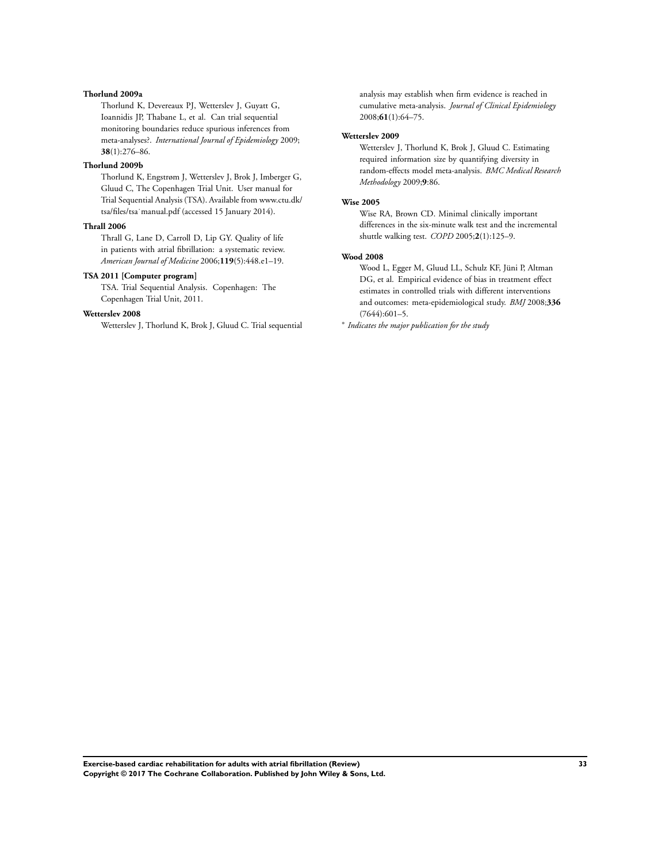## **Thorlund 2009a**

Thorlund K, Devereaux PJ, Wetterslev J, Guyatt G, Ioannidis JP, Thabane L, et al. Can trial sequential monitoring boundaries reduce spurious inferences from meta-analyses?. *International Journal of Epidemiology* 2009; **38**(1):276–86.

# **Thorlund 2009b**

Thorlund K, Engstrøm J, Wetterslev J, Brok J, Imberger G, Gluud C, The Copenhagen Trial Unit. User manual for Trial Sequential Analysis (TSA). Available from www.ctu.dk/ tsa/files/tsa˙manual.pdf (accessed 15 January 2014).

# **Thrall 2006**

Thrall G, Lane D, Carroll D, Lip GY. Quality of life in patients with atrial fibrillation: a systematic review. *American Journal of Medicine* 2006;**119**(5):448.e1–19.

## **TSA 2011 [Computer program]**

TSA. Trial Sequential Analysis. Copenhagen: The Copenhagen Trial Unit, 2011.

# **Wetterslev 2008**

Wetterslev J, Thorlund K, Brok J, Gluud C. Trial sequential

analysis may establish when firm evidence is reached in cumulative meta-analysis. *Journal of Clinical Epidemiology* 2008;**61**(1):64–75.

#### **Wetterslev 2009**

Wetterslev J, Thorlund K, Brok J, Gluud C. Estimating required information size by quantifying diversity in random-effects model meta-analysis. *BMC Medical Research Methodology* 2009;**9**:86.

# **Wise 2005**

Wise RA, Brown CD. Minimal clinically important differences in the six-minute walk test and the incremental shuttle walking test. *COPD* 2005;**2**(1):125–9.

# **Wood 2008**

Wood L, Egger M, Gluud LL, Schulz KF, Jüni P, Altman DG, et al. Empirical evidence of bias in treatment effect estimates in controlled trials with different interventions and outcomes: meta-epidemiological study. *BMJ* 2008;**336** (7644):601–5.

∗ *Indicates the major publication for the study*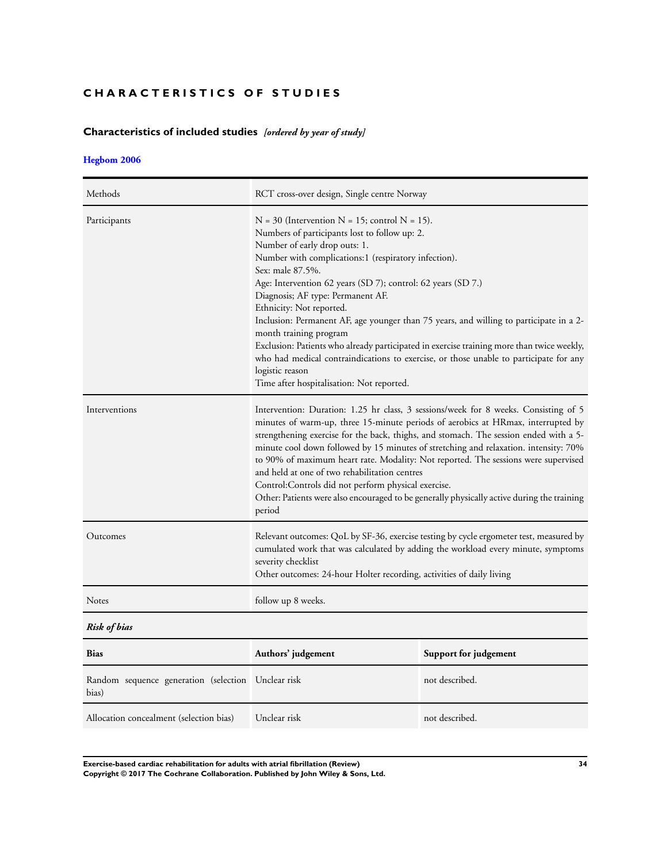# <span id="page-35-0"></span>**CHARACTERISTICS OF STUDIES**

# **Characteristics of included studies** *[ordered by year of study]*

# **[Hegbom 2006](#page-29-0)**

| Methods                                                     | RCT cross-over design, Single centre Norway                                                                                                                                                                                                                                                                                                                                                                                                                                                                                                                                                                                                                                                                                    |                       |  |  |  |  |
|-------------------------------------------------------------|--------------------------------------------------------------------------------------------------------------------------------------------------------------------------------------------------------------------------------------------------------------------------------------------------------------------------------------------------------------------------------------------------------------------------------------------------------------------------------------------------------------------------------------------------------------------------------------------------------------------------------------------------------------------------------------------------------------------------------|-----------------------|--|--|--|--|
| Participants                                                | $N = 30$ (Intervention $N = 15$ ; control $N = 15$ ).<br>Numbers of participants lost to follow up: 2.<br>Number of early drop outs: 1.<br>Number with complications:1 (respiratory infection).<br>Sex: male 87.5%.<br>Age: Intervention 62 years (SD 7); control: 62 years (SD 7.)<br>Diagnosis; AF type: Permanent AF.<br>Ethnicity: Not reported.<br>Inclusion: Permanent AF, age younger than 75 years, and willing to participate in a 2-<br>month training program<br>Exclusion: Patients who already participated in exercise training more than twice weekly,<br>who had medical contraindications to exercise, or those unable to participate for any<br>logistic reason<br>Time after hospitalisation: Not reported. |                       |  |  |  |  |
| Interventions                                               | Intervention: Duration: 1.25 hr class, 3 sessions/week for 8 weeks. Consisting of 5<br>minutes of warm-up, three 15-minute periods of aerobics at HRmax, interrupted by<br>strengthening exercise for the back, thighs, and stomach. The session ended with a 5-<br>minute cool down followed by 15 minutes of stretching and relaxation. intensity: 70%<br>to 90% of maximum heart rate. Modality: Not reported. The sessions were supervised<br>and held at one of two rehabilitation centres<br>Control:Controls did not perform physical exercise.<br>Other: Patients were also encouraged to be generally physically active during the training<br>period                                                                 |                       |  |  |  |  |
| Outcomes                                                    | Relevant outcomes: QoL by SF-36, exercise testing by cycle ergometer test, measured by<br>cumulated work that was calculated by adding the workload every minute, symptoms<br>severity checklist<br>Other outcomes: 24-hour Holter recording, activities of daily living                                                                                                                                                                                                                                                                                                                                                                                                                                                       |                       |  |  |  |  |
| Notes                                                       | follow up 8 weeks.                                                                                                                                                                                                                                                                                                                                                                                                                                                                                                                                                                                                                                                                                                             |                       |  |  |  |  |
| <b>Risk of bias</b>                                         |                                                                                                                                                                                                                                                                                                                                                                                                                                                                                                                                                                                                                                                                                                                                |                       |  |  |  |  |
| <b>Bias</b>                                                 | Authors' judgement                                                                                                                                                                                                                                                                                                                                                                                                                                                                                                                                                                                                                                                                                                             | Support for judgement |  |  |  |  |
| Random sequence generation (selection Unclear risk<br>bias) |                                                                                                                                                                                                                                                                                                                                                                                                                                                                                                                                                                                                                                                                                                                                | not described.        |  |  |  |  |
| Allocation concealment (selection bias)                     | Unclear risk                                                                                                                                                                                                                                                                                                                                                                                                                                                                                                                                                                                                                                                                                                                   | not described.        |  |  |  |  |

**Exercise-based cardiac rehabilitation for adults with atrial fibrillation (Review) 34 Copyright © 2017 The Cochrane Collaboration. Published by John Wiley & Sons, Ltd.**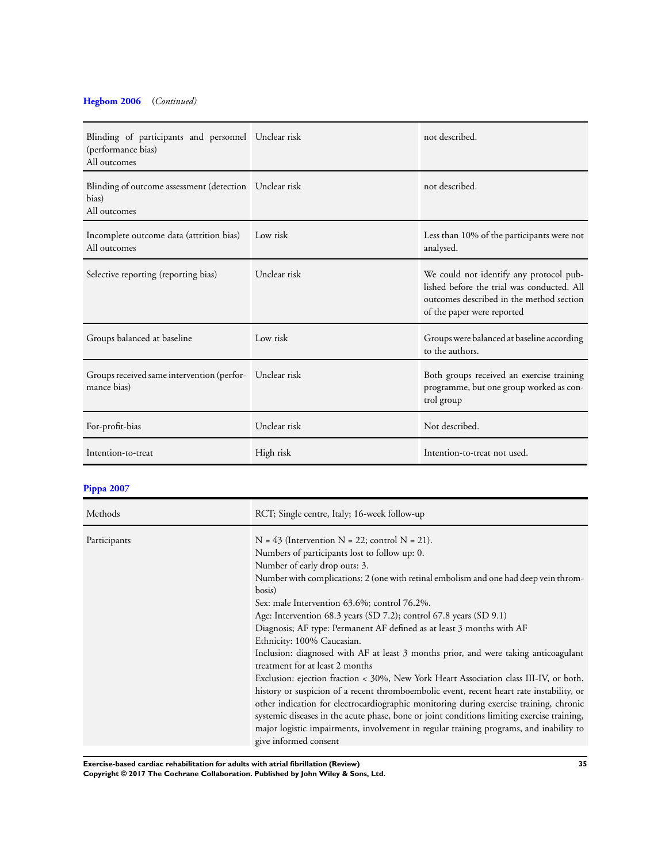# **[Hegbom 2006](#page-29-0)** (*Continued)*

| Blinding of participants and personnel Unclear risk<br>(performance bias)<br>All outcomes |              | not described.                                                                                                                                                  |
|-------------------------------------------------------------------------------------------|--------------|-----------------------------------------------------------------------------------------------------------------------------------------------------------------|
| Blinding of outcome assessment (detection Unclear risk<br>bias)<br>All outcomes           |              | not described.                                                                                                                                                  |
| Incomplete outcome data (attrition bias)<br>All outcomes                                  | Low risk     | Less than 10% of the participants were not<br>analysed.                                                                                                         |
| Selective reporting (reporting bias)                                                      | Unclear risk | We could not identify any protocol pub-<br>lished before the trial was conducted. All<br>outcomes described in the method section<br>of the paper were reported |
| Groups balanced at baseline                                                               | Low risk     | Groups were balanced at baseline according<br>to the authors.                                                                                                   |
| Groups received same intervention (perfor- Unclear risk<br>mance bias)                    |              | Both groups received an exercise training<br>programme, but one group worked as con-<br>trol group                                                              |
| For-profit-bias                                                                           | Unclear risk | Not described.                                                                                                                                                  |
| Intention-to-treat                                                                        | High risk    | Intention-to-treat not used.                                                                                                                                    |

# **[Pippa 2007](#page-29-0)**

| Methods      | RCT; Single centre, Italy; 16-week follow-up                                                                                                                                                                                                                                                                                                                                                                                                                                                                                                                                                                                                                                                                                                                                                                                                                                                                                                                                                                                                                                                     |
|--------------|--------------------------------------------------------------------------------------------------------------------------------------------------------------------------------------------------------------------------------------------------------------------------------------------------------------------------------------------------------------------------------------------------------------------------------------------------------------------------------------------------------------------------------------------------------------------------------------------------------------------------------------------------------------------------------------------------------------------------------------------------------------------------------------------------------------------------------------------------------------------------------------------------------------------------------------------------------------------------------------------------------------------------------------------------------------------------------------------------|
| Participants | $N = 43$ (Intervention $N = 22$ ; control $N = 21$ ).<br>Numbers of participants lost to follow up: 0.<br>Number of early drop outs: 3.<br>Number with complications: 2 (one with retinal embolism and one had deep vein throm-<br>bosis)<br>Sex: male Intervention 63.6%; control 76.2%.<br>Age: Intervention 68.3 years (SD 7.2); control 67.8 years (SD 9.1)<br>Diagnosis; AF type: Permanent AF defined as at least 3 months with AF<br>Ethnicity: 100% Caucasian.<br>Inclusion: diagnosed with AF at least 3 months prior, and were taking anticoagulant<br>treatment for at least 2 months<br>Exclusion: ejection fraction < 30%, New York Heart Association class III-IV, or both,<br>history or suspicion of a recent thromboembolic event, recent heart rate instability, or<br>other indication for electrocardiographic monitoring during exercise training, chronic<br>systemic diseases in the acute phase, bone or joint conditions limiting exercise training,<br>major logistic impairments, involvement in regular training programs, and inability to<br>give informed consent |

**Exercise-based cardiac rehabilitation for adults with atrial fibrillation (Review) 35**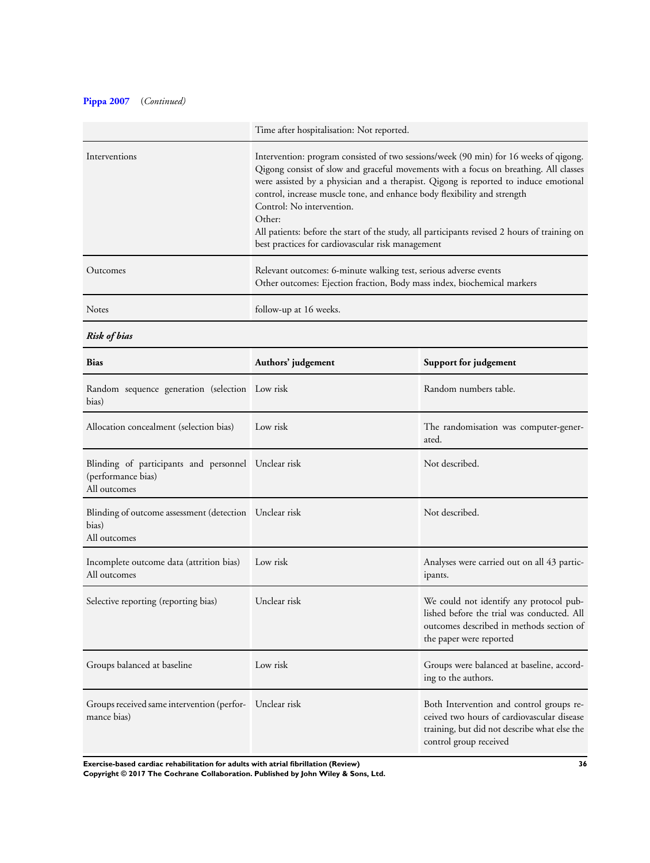## **[Pippa 2007](#page-29-0)** (*Continued)*

|                                                                                           | Time after hospitalisation: Not reported.                                                                                                                                                                                                                                                                                                                                                                                                                                                                                                     |                                                                                                                                                              |
|-------------------------------------------------------------------------------------------|-----------------------------------------------------------------------------------------------------------------------------------------------------------------------------------------------------------------------------------------------------------------------------------------------------------------------------------------------------------------------------------------------------------------------------------------------------------------------------------------------------------------------------------------------|--------------------------------------------------------------------------------------------------------------------------------------------------------------|
| Interventions                                                                             | Intervention: program consisted of two sessions/week (90 min) for 16 weeks of qigong.<br>Qigong consist of slow and graceful movements with a focus on breathing. All classes<br>were assisted by a physician and a therapist. Qigong is reported to induce emotional<br>control, increase muscle tone, and enhance body flexibility and strength<br>Control: No intervention.<br>Other:<br>All patients: before the start of the study, all participants revised 2 hours of training on<br>best practices for cardiovascular risk management |                                                                                                                                                              |
| Outcomes                                                                                  | Relevant outcomes: 6-minute walking test, serious adverse events<br>Other outcomes: Ejection fraction, Body mass index, biochemical markers                                                                                                                                                                                                                                                                                                                                                                                                   |                                                                                                                                                              |
| <b>Notes</b>                                                                              | follow-up at 16 weeks.                                                                                                                                                                                                                                                                                                                                                                                                                                                                                                                        |                                                                                                                                                              |
| <b>Risk of bias</b>                                                                       |                                                                                                                                                                                                                                                                                                                                                                                                                                                                                                                                               |                                                                                                                                                              |
| <b>Bias</b>                                                                               | Authors' judgement                                                                                                                                                                                                                                                                                                                                                                                                                                                                                                                            | Support for judgement                                                                                                                                        |
| Random sequence generation (selection Low risk<br>bias)                                   |                                                                                                                                                                                                                                                                                                                                                                                                                                                                                                                                               | Random numbers table.                                                                                                                                        |
| Allocation concealment (selection bias)                                                   | Low risk                                                                                                                                                                                                                                                                                                                                                                                                                                                                                                                                      | The randomisation was computer-gener-<br>ated.                                                                                                               |
| Blinding of participants and personnel Unclear risk<br>(performance bias)<br>All outcomes |                                                                                                                                                                                                                                                                                                                                                                                                                                                                                                                                               | Not described.                                                                                                                                               |
| Blinding of outcome assessment (detection Unclear risk<br>bias)<br>All outcomes           |                                                                                                                                                                                                                                                                                                                                                                                                                                                                                                                                               | Not described.                                                                                                                                               |
| Incomplete outcome data (attrition bias)<br>All outcomes                                  | Low risk                                                                                                                                                                                                                                                                                                                                                                                                                                                                                                                                      | Analyses were carried out on all 43 partic-<br>ipants.                                                                                                       |
| Selective reporting (reporting bias)                                                      | Unclear risk                                                                                                                                                                                                                                                                                                                                                                                                                                                                                                                                  | We could not identify any protocol pub-<br>lished before the trial was conducted. All<br>outcomes described in methods section of<br>the paper were reported |
| Groups balanced at baseline                                                               | Low risk                                                                                                                                                                                                                                                                                                                                                                                                                                                                                                                                      | Groups were balanced at baseline, accord-<br>ing to the authors.                                                                                             |
| Groups received same intervention (perfor-<br>mance bias)                                 | Unclear risk                                                                                                                                                                                                                                                                                                                                                                                                                                                                                                                                  | Both Intervention and control groups re-<br>ceived two hours of cardiovascular disease<br>training, but did not describe what else the                       |

**Exercise-based cardiac rehabilitation for adults with atrial fibrillation (Review) 36**

**Copyright © 2017 The Cochrane Collaboration. Published by John Wiley & Sons, Ltd.**

control group received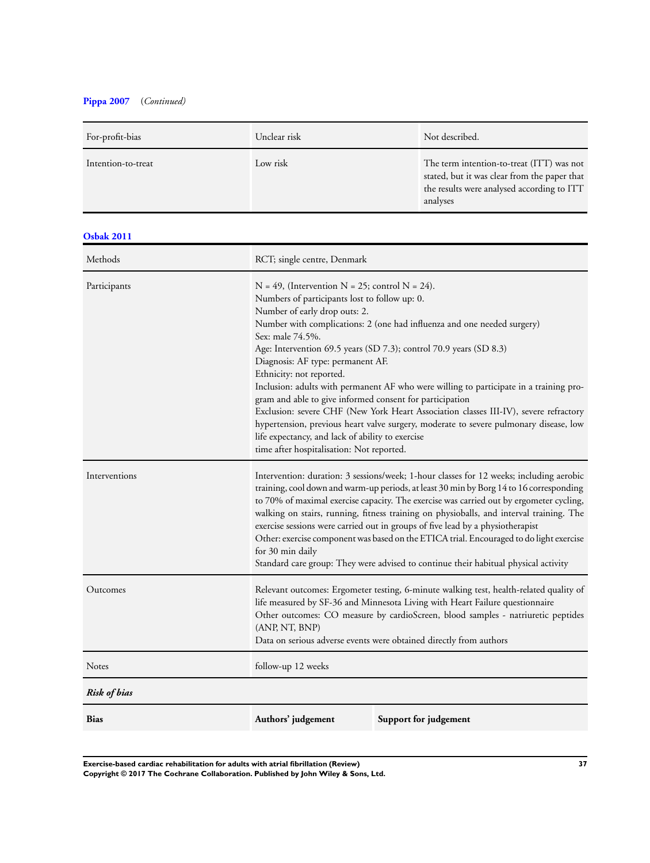## **[Pippa 2007](#page-29-0)** (*Continued)*

| For-profit-bias    | Unclear risk | Not described.                                                                                                                                      |
|--------------------|--------------|-----------------------------------------------------------------------------------------------------------------------------------------------------|
| Intention-to-treat | Low risk     | The term intention-to-treat (ITT) was not<br>stated, but it was clear from the paper that<br>the results were analysed according to ITT<br>analyses |

## **[Osbak 2011](#page-29-0)**

| Methods             | RCT; single centre, Denmark                                                                                                                                                                                                                                                                                                                                                                                                                                                                                                                                                                                                                                                                                                                                                                                             |                       |
|---------------------|-------------------------------------------------------------------------------------------------------------------------------------------------------------------------------------------------------------------------------------------------------------------------------------------------------------------------------------------------------------------------------------------------------------------------------------------------------------------------------------------------------------------------------------------------------------------------------------------------------------------------------------------------------------------------------------------------------------------------------------------------------------------------------------------------------------------------|-----------------------|
| Participants        | $N = 49$ , (Intervention $N = 25$ ; control $N = 24$ ).<br>Numbers of participants lost to follow up: 0.<br>Number of early drop outs: 2.<br>Number with complications: 2 (one had influenza and one needed surgery)<br>Sex: male 74.5%.<br>Age: Intervention 69.5 years (SD 7.3); control 70.9 years (SD 8.3)<br>Diagnosis: AF type: permanent AF.<br>Ethnicity: not reported.<br>Inclusion: adults with permanent AF who were willing to participate in a training pro-<br>gram and able to give informed consent for participation<br>Exclusion: severe CHF (New York Heart Association classes III-IV), severe refractory<br>hypertension, previous heart valve surgery, moderate to severe pulmonary disease, low<br>life expectancy, and lack of ability to exercise<br>time after hospitalisation: Not reported. |                       |
| Interventions       | Intervention: duration: 3 sessions/week; 1-hour classes for 12 weeks; including aerobic<br>training, cool down and warm-up periods, at least 30 min by Borg 14 to 16 corresponding<br>to 70% of maximal exercise capacity. The exercise was carried out by ergometer cycling,<br>walking on stairs, running, fitness training on physioballs, and interval training. The<br>exercise sessions were carried out in groups of five lead by a physiotherapist<br>Other: exercise component was based on the ETICA trial. Encouraged to do light exercise<br>for 30 min daily<br>Standard care group: They were advised to continue their habitual physical activity                                                                                                                                                        |                       |
| Outcomes            | Relevant outcomes: Ergometer testing, 6-minute walking test, health-related quality of<br>life measured by SF-36 and Minnesota Living with Heart Failure questionnaire<br>Other outcomes: CO measure by cardioScreen, blood samples - natriuretic peptides<br>(ANP, NT, BNP)<br>Data on serious adverse events were obtained directly from authors                                                                                                                                                                                                                                                                                                                                                                                                                                                                      |                       |
| Notes               | follow-up 12 weeks                                                                                                                                                                                                                                                                                                                                                                                                                                                                                                                                                                                                                                                                                                                                                                                                      |                       |
| <b>Risk of bias</b> |                                                                                                                                                                                                                                                                                                                                                                                                                                                                                                                                                                                                                                                                                                                                                                                                                         |                       |
| <b>Bias</b>         | Authors' judgement                                                                                                                                                                                                                                                                                                                                                                                                                                                                                                                                                                                                                                                                                                                                                                                                      | Support for judgement |

**Exercise-based cardiac rehabilitation for adults with atrial fibrillation (Review) 37**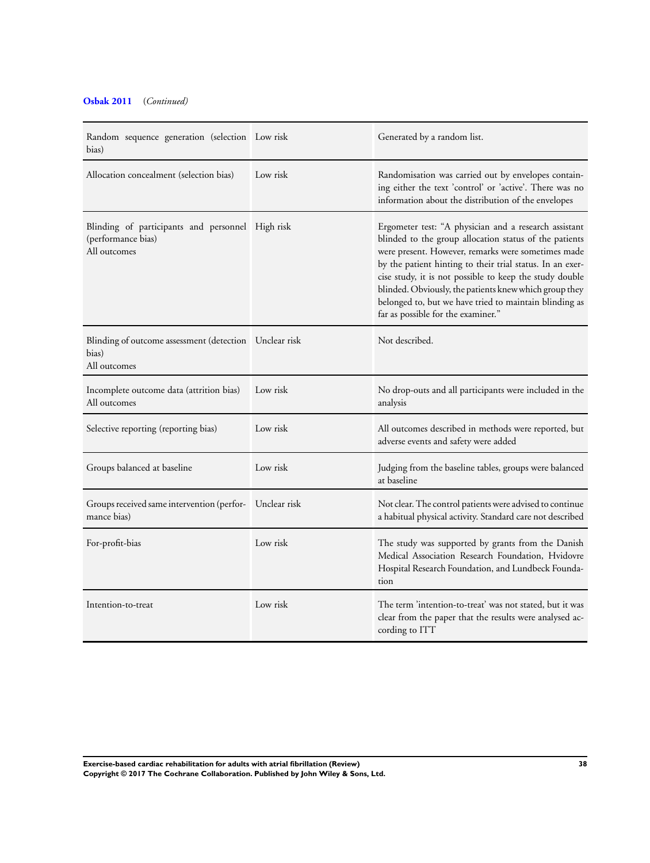### **[Osbak 2011](#page-29-0)** (*Continued)*

| Random sequence generation (selection Low risk<br>bias)                                |              | Generated by a random list.                                                                                                                                                                                                                                                                                                                                                                                                                             |
|----------------------------------------------------------------------------------------|--------------|---------------------------------------------------------------------------------------------------------------------------------------------------------------------------------------------------------------------------------------------------------------------------------------------------------------------------------------------------------------------------------------------------------------------------------------------------------|
| Allocation concealment (selection bias)                                                | Low risk     | Randomisation was carried out by envelopes contain-<br>ing either the text 'control' or 'active'. There was no<br>information about the distribution of the envelopes                                                                                                                                                                                                                                                                                   |
| Blinding of participants and personnel High risk<br>(performance bias)<br>All outcomes |              | Ergometer test: "A physician and a research assistant<br>blinded to the group allocation status of the patients<br>were present. However, remarks were sometimes made<br>by the patient hinting to their trial status. In an exer-<br>cise study, it is not possible to keep the study double<br>blinded. Obviously, the patients knew which group they<br>belonged to, but we have tried to maintain blinding as<br>far as possible for the examiner." |
| Blinding of outcome assessment (detection Unclear risk<br>bias)<br>All outcomes        |              | Not described.                                                                                                                                                                                                                                                                                                                                                                                                                                          |
| Incomplete outcome data (attrition bias)<br>All outcomes                               | Low risk     | No drop-outs and all participants were included in the<br>analysis                                                                                                                                                                                                                                                                                                                                                                                      |
| Selective reporting (reporting bias)                                                   | Low risk     | All outcomes described in methods were reported, but<br>adverse events and safety were added                                                                                                                                                                                                                                                                                                                                                            |
| Groups balanced at baseline                                                            | Low risk     | Judging from the baseline tables, groups were balanced<br>at baseline                                                                                                                                                                                                                                                                                                                                                                                   |
| Groups received same intervention (perfor-<br>mance bias)                              | Unclear risk | Not clear. The control patients were advised to continue<br>a habitual physical activity. Standard care not described                                                                                                                                                                                                                                                                                                                                   |
| For-profit-bias                                                                        | Low risk     | The study was supported by grants from the Danish<br>Medical Association Research Foundation, Hvidovre<br>Hospital Research Foundation, and Lundbeck Founda-<br>tion                                                                                                                                                                                                                                                                                    |
| Intention-to-treat                                                                     | Low risk     | The term 'intention-to-treat' was not stated, but it was<br>clear from the paper that the results were analysed ac-<br>cording to ITT                                                                                                                                                                                                                                                                                                                   |

**Exercise-based cardiac rehabilitation for adults with atrial fibrillation (Review) 38 Copyright © 2017 The Cochrane Collaboration. Published by John Wiley & Sons, Ltd.**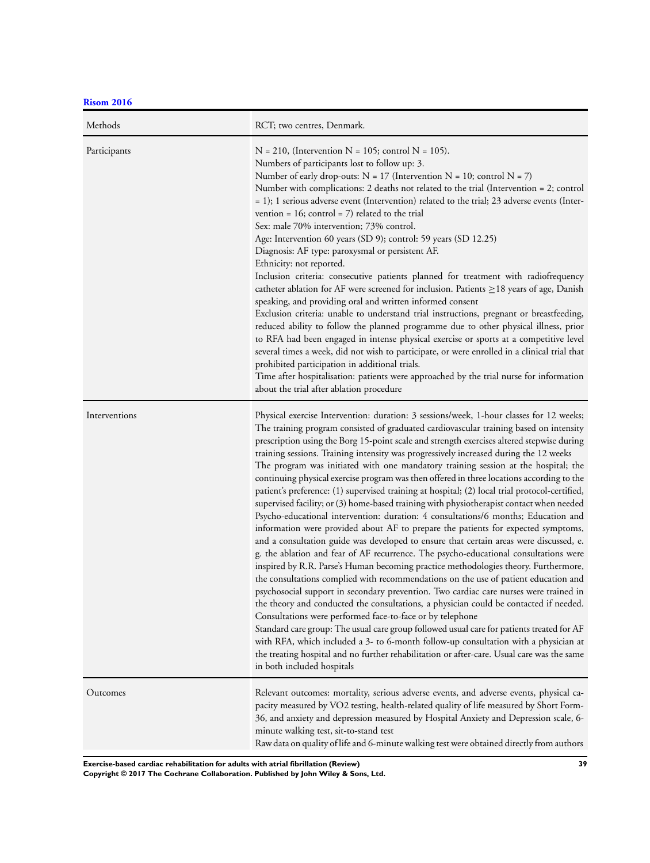**[Risom 2016](#page-29-0)**

| Methods       | RCT; two centres, Denmark.                                                                                                                                                                                                                                                                                                                                                                                                                                                                                                                                                                                                                                                                                                                                                                                                                                                                                                                                                                                                                                                                                                                                                                                                                                                                                                                                                                                                                                                                                                                                                                                                                                                                                                                                                                                                                                         |
|---------------|--------------------------------------------------------------------------------------------------------------------------------------------------------------------------------------------------------------------------------------------------------------------------------------------------------------------------------------------------------------------------------------------------------------------------------------------------------------------------------------------------------------------------------------------------------------------------------------------------------------------------------------------------------------------------------------------------------------------------------------------------------------------------------------------------------------------------------------------------------------------------------------------------------------------------------------------------------------------------------------------------------------------------------------------------------------------------------------------------------------------------------------------------------------------------------------------------------------------------------------------------------------------------------------------------------------------------------------------------------------------------------------------------------------------------------------------------------------------------------------------------------------------------------------------------------------------------------------------------------------------------------------------------------------------------------------------------------------------------------------------------------------------------------------------------------------------------------------------------------------------|
| Participants  | $N = 210$ , (Intervention $N = 105$ ; control $N = 105$ ).<br>Numbers of participants lost to follow up: 3.<br>Number of early drop-outs: $N = 17$ (Intervention $N = 10$ ; control $N = 7$ )<br>Number with complications: 2 deaths not related to the trial (Intervention = 2; control<br>= 1); 1 serious adverse event (Intervention) related to the trial; 23 adverse events (Inter-<br>vention = 16; control = 7) related to the trial<br>Sex: male 70% intervention; 73% control.<br>Age: Intervention 60 years (SD 9); control: 59 years (SD 12.25)<br>Diagnosis: AF type: paroxysmal or persistent AF.<br>Ethnicity: not reported.<br>Inclusion criteria: consecutive patients planned for treatment with radiofrequency<br>catheter ablation for AF were screened for inclusion. Patients $\geq$ 18 years of age, Danish<br>speaking, and providing oral and written informed consent<br>Exclusion criteria: unable to understand trial instructions, pregnant or breastfeeding,<br>reduced ability to follow the planned programme due to other physical illness, prior<br>to RFA had been engaged in intense physical exercise or sports at a competitive level<br>several times a week, did not wish to participate, or were enrolled in a clinical trial that<br>prohibited participation in additional trials.<br>Time after hospitalisation: patients were approached by the trial nurse for information<br>about the trial after ablation procedure                                                                                                                                                                                                                                                                                                                                                                                                |
| Interventions | Physical exercise Intervention: duration: 3 sessions/week, 1-hour classes for 12 weeks;<br>The training program consisted of graduated cardiovascular training based on intensity<br>prescription using the Borg 15-point scale and strength exercises altered stepwise during<br>training sessions. Training intensity was progressively increased during the 12 weeks<br>The program was initiated with one mandatory training session at the hospital; the<br>continuing physical exercise program was then offered in three locations according to the<br>patient's preference: (1) supervised training at hospital; (2) local trial protocol-certified,<br>supervised facility; or (3) home-based training with physiotherapist contact when needed<br>Psycho-educational intervention: duration: 4 consultations/6 months; Education and<br>information were provided about AF to prepare the patients for expected symptoms,<br>and a consultation guide was developed to ensure that certain areas were discussed, e.<br>g. the ablation and fear of AF recurrence. The psycho-educational consultations were<br>inspired by R.R. Parse's Human becoming practice methodologies theory. Furthermore,<br>the consultations complied with recommendations on the use of patient education and<br>psychosocial support in secondary prevention. Two cardiac care nurses were trained in<br>the theory and conducted the consultations, a physician could be contacted if needed.<br>Consultations were performed face-to-face or by telephone<br>Standard care group: The usual care group followed usual care for patients treated for AF<br>with RFA, which included a 3- to 6-month follow-up consultation with a physician at<br>the treating hospital and no further rehabilitation or after-care. Usual care was the same<br>in both included hospitals |
| Outcomes      | Relevant outcomes: mortality, serious adverse events, and adverse events, physical ca-<br>pacity measured by VO2 testing, health-related quality of life measured by Short Form-<br>36, and anxiety and depression measured by Hospital Anxiety and Depression scale, 6-<br>minute walking test, sit-to-stand test<br>Raw data on quality of life and 6-minute walking test were obtained directly from authors                                                                                                                                                                                                                                                                                                                                                                                                                                                                                                                                                                                                                                                                                                                                                                                                                                                                                                                                                                                                                                                                                                                                                                                                                                                                                                                                                                                                                                                    |

**Exercise-based cardiac rehabilitation for adults with atrial fibrillation (Review) 39**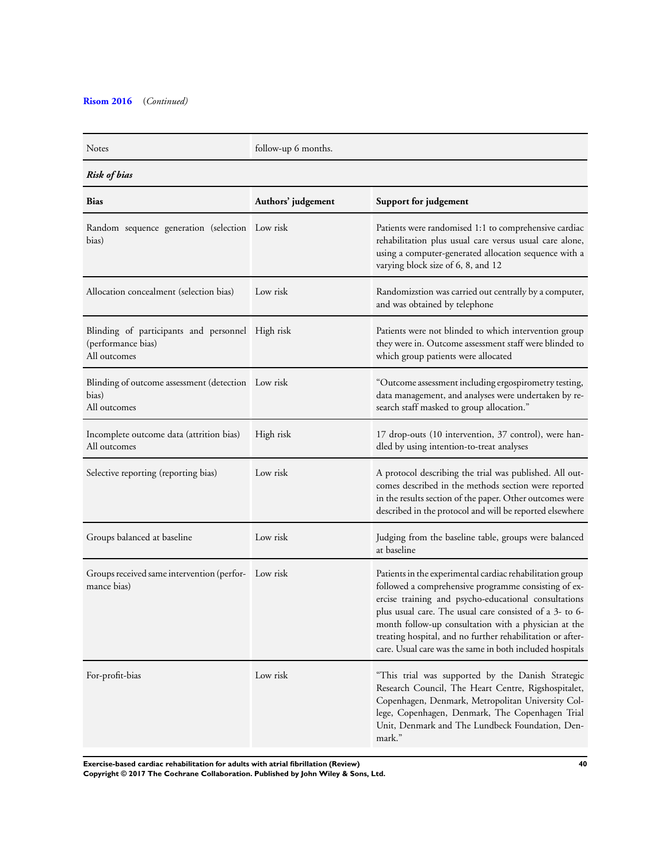| Notes                                                                                  | follow-up 6 months. |                                                                                                                                                                                                                                                                                                                                                                                                                        |
|----------------------------------------------------------------------------------------|---------------------|------------------------------------------------------------------------------------------------------------------------------------------------------------------------------------------------------------------------------------------------------------------------------------------------------------------------------------------------------------------------------------------------------------------------|
| <b>Risk of bias</b>                                                                    |                     |                                                                                                                                                                                                                                                                                                                                                                                                                        |
| <b>Bias</b>                                                                            | Authors' judgement  | Support for judgement                                                                                                                                                                                                                                                                                                                                                                                                  |
| Random sequence generation (selection Low risk<br>bias)                                |                     | Patients were randomised 1:1 to comprehensive cardiac<br>rehabilitation plus usual care versus usual care alone,<br>using a computer-generated allocation sequence with a<br>varying block size of 6, 8, and 12                                                                                                                                                                                                        |
| Allocation concealment (selection bias)                                                | Low risk            | Randomizstion was carried out centrally by a computer,<br>and was obtained by telephone                                                                                                                                                                                                                                                                                                                                |
| Blinding of participants and personnel High risk<br>(performance bias)<br>All outcomes |                     | Patients were not blinded to which intervention group<br>they were in. Outcome assessment staff were blinded to<br>which group patients were allocated                                                                                                                                                                                                                                                                 |
| Blinding of outcome assessment (detection Low risk<br>bias)<br>All outcomes            |                     | "Outcome assessment including ergospirometry testing,<br>data management, and analyses were undertaken by re-<br>search staff masked to group allocation."                                                                                                                                                                                                                                                             |
| Incomplete outcome data (attrition bias)<br>All outcomes                               | High risk           | 17 drop-outs (10 intervention, 37 control), were han-<br>dled by using intention-to-treat analyses                                                                                                                                                                                                                                                                                                                     |
| Selective reporting (reporting bias)                                                   | Low risk            | A protocol describing the trial was published. All out-<br>comes described in the methods section were reported<br>in the results section of the paper. Other outcomes were<br>described in the protocol and will be reported elsewhere                                                                                                                                                                                |
| Groups balanced at baseline                                                            | Low risk            | Judging from the baseline table, groups were balanced<br>at baseline                                                                                                                                                                                                                                                                                                                                                   |
| Groups received same intervention (perfor- Low risk<br>mance bias)                     |                     | Patients in the experimental cardiac rehabilitation group<br>followed a comprehensive programme consisting of ex-<br>ercise training and psycho-educational consultations<br>plus usual care. The usual care consisted of a 3- to 6-<br>month follow-up consultation with a physician at the<br>treating hospital, and no further rehabilitation or after-<br>care. Usual care was the same in both included hospitals |
| For-profit-bias                                                                        | Low risk            | "This trial was supported by the Danish Strategic<br>Research Council, The Heart Centre, Rigshospitalet,<br>Copenhagen, Denmark, Metropolitan University Col-<br>lege, Copenhagen, Denmark, The Copenhagen Trial<br>Unit, Denmark and The Lundbeck Foundation, Den-<br>mark."                                                                                                                                          |

**Exercise-based cardiac rehabilitation for adults with atrial fibrillation (Review) 40**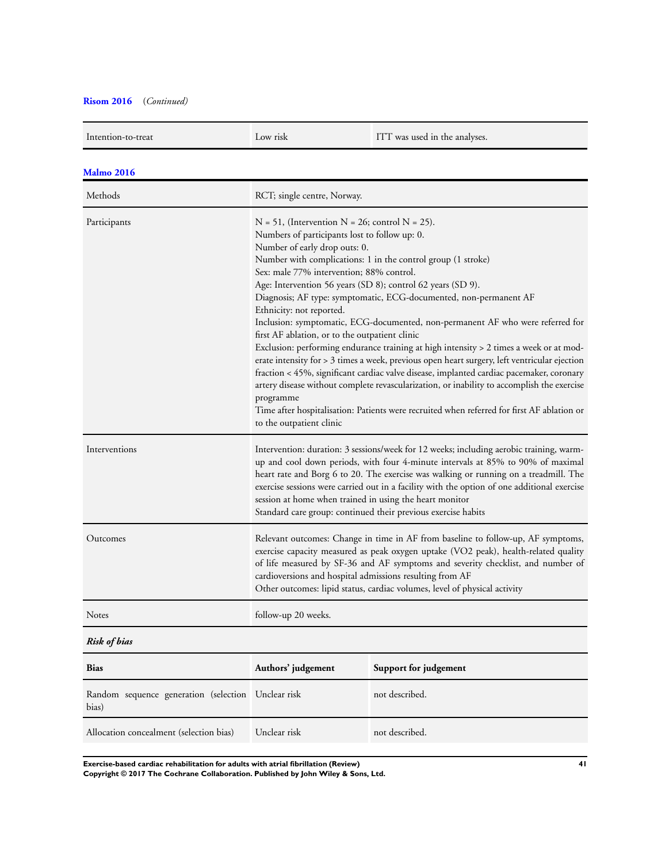## **[Risom 2016](#page-29-0)** (*Continued)*

| Intention-to-treat  | Low risk                                                                                                                                                                                                                                                                                                                                                                                                                                                                                                                                                                                                                                                                                                                                                                                                                                                                                                                                                                                                                                                                             | ITT was used in the analyses. |
|---------------------|--------------------------------------------------------------------------------------------------------------------------------------------------------------------------------------------------------------------------------------------------------------------------------------------------------------------------------------------------------------------------------------------------------------------------------------------------------------------------------------------------------------------------------------------------------------------------------------------------------------------------------------------------------------------------------------------------------------------------------------------------------------------------------------------------------------------------------------------------------------------------------------------------------------------------------------------------------------------------------------------------------------------------------------------------------------------------------------|-------------------------------|
| <b>Malmo 2016</b>   |                                                                                                                                                                                                                                                                                                                                                                                                                                                                                                                                                                                                                                                                                                                                                                                                                                                                                                                                                                                                                                                                                      |                               |
| Methods             | RCT; single centre, Norway.                                                                                                                                                                                                                                                                                                                                                                                                                                                                                                                                                                                                                                                                                                                                                                                                                                                                                                                                                                                                                                                          |                               |
| Participants        | $N = 51$ , (Intervention $N = 26$ ; control $N = 25$ ).<br>Numbers of participants lost to follow up: 0.<br>Number of early drop outs: 0.<br>Number with complications: 1 in the control group (1 stroke)<br>Sex: male 77% intervention; 88% control.<br>Age: Intervention 56 years (SD 8); control 62 years (SD 9).<br>Diagnosis; AF type: symptomatic, ECG-documented, non-permanent AF<br>Ethnicity: not reported.<br>Inclusion: symptomatic, ECG-documented, non-permanent AF who were referred for<br>first AF ablation, or to the outpatient clinic<br>Exclusion: performing endurance training at high intensity > 2 times a week or at mod-<br>erate intensity for > 3 times a week, previous open heart surgery, left ventricular ejection<br>fraction < 45%, significant cardiac valve disease, implanted cardiac pacemaker, coronary<br>artery disease without complete revascularization, or inability to accomplish the exercise<br>programme<br>Time after hospitalisation: Patients were recruited when referred for first AF ablation or<br>to the outpatient clinic |                               |
| Interventions       | Intervention: duration: 3 sessions/week for 12 weeks; including aerobic training, warm-<br>up and cool down periods, with four 4-minute intervals at 85% to 90% of maximal<br>heart rate and Borg 6 to 20. The exercise was walking or running on a treadmill. The<br>exercise sessions were carried out in a facility with the option of one additional exercise<br>session at home when trained in using the heart monitor<br>Standard care group: continued their previous exercise habits                                                                                                                                                                                                                                                                                                                                                                                                                                                                                                                                                                                        |                               |
| Outcomes            | Relevant outcomes: Change in time in AF from baseline to follow-up, AF symptoms,<br>exercise capacity measured as peak oxygen uptake (VO2 peak), health-related quality<br>of life measured by SF-36 and AF symptoms and severity checklist, and number of<br>cardioversions and hospital admissions resulting from AF<br>Other outcomes: lipid status, cardiac volumes, level of physical activity                                                                                                                                                                                                                                                                                                                                                                                                                                                                                                                                                                                                                                                                                  |                               |
| Notes               | follow-up 20 weeks.                                                                                                                                                                                                                                                                                                                                                                                                                                                                                                                                                                                                                                                                                                                                                                                                                                                                                                                                                                                                                                                                  |                               |
| <b>Risk of bias</b> |                                                                                                                                                                                                                                                                                                                                                                                                                                                                                                                                                                                                                                                                                                                                                                                                                                                                                                                                                                                                                                                                                      |                               |
| <b>Bias</b>         | Authors' judgement                                                                                                                                                                                                                                                                                                                                                                                                                                                                                                                                                                                                                                                                                                                                                                                                                                                                                                                                                                                                                                                                   | Support for judgement         |

| <b>Bias</b>                                                 | Authors' judgement | Support for judgement |
|-------------------------------------------------------------|--------------------|-----------------------|
| Random sequence generation (selection Unclear risk<br>bias) |                    | not described.        |
| Allocation concealment (selection bias)                     | Unclear risk       | not described.        |

**Exercise-based cardiac rehabilitation for adults with atrial fibrillation (Review) 41**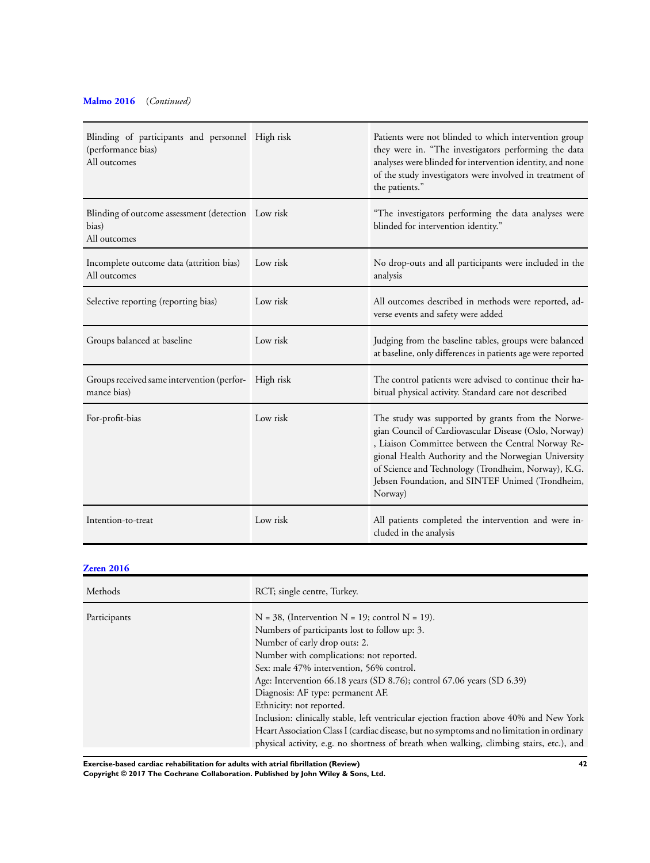### **[Malmo 2016](#page-29-0)** (*Continued)*

| Blinding of participants and personnel High risk<br>(performance bias)<br>All outcomes |                                                                                                          | Patients were not blinded to which intervention group<br>they were in. "The investigators performing the data<br>analyses were blinded for intervention identity, and none<br>of the study investigators were involved in treatment of<br>the patients."                                                                                       |
|----------------------------------------------------------------------------------------|----------------------------------------------------------------------------------------------------------|------------------------------------------------------------------------------------------------------------------------------------------------------------------------------------------------------------------------------------------------------------------------------------------------------------------------------------------------|
| Blinding of outcome assessment (detection Low risk<br>bias)<br>All outcomes            |                                                                                                          | "The investigators performing the data analyses were<br>blinded for intervention identity."                                                                                                                                                                                                                                                    |
| Incomplete outcome data (attrition bias)<br>All outcomes                               | Low risk                                                                                                 | No drop-outs and all participants were included in the<br>analysis                                                                                                                                                                                                                                                                             |
| Selective reporting (reporting bias)                                                   | Low risk                                                                                                 | All outcomes described in methods were reported, ad-<br>verse events and safety were added                                                                                                                                                                                                                                                     |
| Groups balanced at baseline                                                            | Low risk                                                                                                 | Judging from the baseline tables, groups were balanced<br>at baseline, only differences in patients age were reported                                                                                                                                                                                                                          |
| Groups received same intervention (perfor-<br>mance bias)                              | High risk                                                                                                | The control patients were advised to continue their ha-<br>bitual physical activity. Standard care not described                                                                                                                                                                                                                               |
| For-profit-bias                                                                        | Low risk                                                                                                 | The study was supported by grants from the Norwe-<br>gian Council of Cardiovascular Disease (Oslo, Norway)<br>, Liaison Committee between the Central Norway Re-<br>gional Health Authority and the Norwegian University<br>of Science and Technology (Trondheim, Norway), K.G.<br>Jebsen Foundation, and SINTEF Unimed (Trondheim,<br>Norway) |
| Intention-to-treat                                                                     | Low risk                                                                                                 | All patients completed the intervention and were in-<br>cluded in the analysis                                                                                                                                                                                                                                                                 |
| <b>Zeren 2016</b>                                                                      |                                                                                                          |                                                                                                                                                                                                                                                                                                                                                |
| Methods                                                                                | RCT; single centre, Turkey.                                                                              |                                                                                                                                                                                                                                                                                                                                                |
| Participants                                                                           | $N = 38$ , (Intervention $N = 19$ ; control $N = 19$ ).<br>Numbers of participants lost to follow up: 3. |                                                                                                                                                                                                                                                                                                                                                |

Number of early drop outs: 2.

Ethnicity: not reported.

Diagnosis: AF type: permanent AF.

Number with complications: not reported. Sex: male 47% intervention, 56% control.

Age: Intervention 66.18 years (SD 8.76); control 67.06 years (SD 6.39)

Inclusion: clinically stable, left ventricular ejection fraction above 40% and New York Heart Association Class I (cardiac disease, but no symptoms and no limitation in ordinary physical activity, e.g. no shortness of breath when walking, climbing stairs, etc.), and

**Exercise-based cardiac rehabilitation for adults with atrial fibrillation (Review) 42**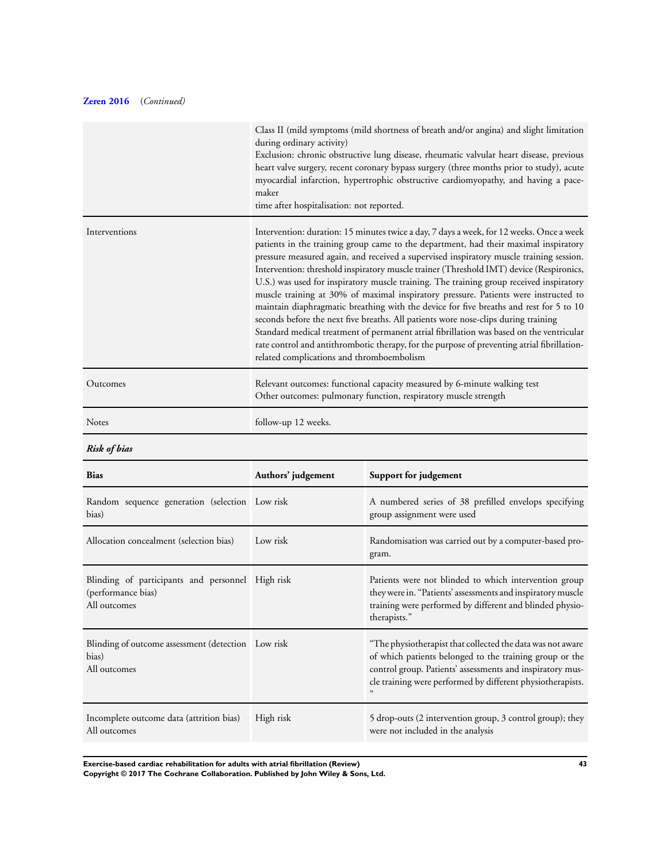### **[Zeren 2016](#page-29-0)** (*Continued)*

|               | Class II (mild symptoms (mild shortness of breath and/or angina) and slight limitation<br>during ordinary activity)<br>Exclusion: chronic obstructive lung disease, rheumatic valvular heart disease, previous<br>heart valve surgery, recent coronary bypass surgery (three months prior to study), acute<br>myocardial infarction, hypertrophic obstructive cardiomyopathy, and having a pace-<br>maker<br>time after hospitalisation: not reported.                                                                                                                                                                                                                                                                                                                                                                                                                                                                                                                           |
|---------------|----------------------------------------------------------------------------------------------------------------------------------------------------------------------------------------------------------------------------------------------------------------------------------------------------------------------------------------------------------------------------------------------------------------------------------------------------------------------------------------------------------------------------------------------------------------------------------------------------------------------------------------------------------------------------------------------------------------------------------------------------------------------------------------------------------------------------------------------------------------------------------------------------------------------------------------------------------------------------------|
| Interventions | Intervention: duration: 15 minutes twice a day, 7 days a week, for 12 weeks. Once a week<br>patients in the training group came to the department, had their maximal inspiratory<br>pressure measured again, and received a supervised inspiratory muscle training session.<br>Intervention: threshold inspiratory muscle trainer (Threshold IMT) device (Respironics,<br>U.S.) was used for inspiratory muscle training. The training group received inspiratory<br>muscle training at 30% of maximal inspiratory pressure. Patients were instructed to<br>maintain diaphragmatic breathing with the device for five breaths and rest for 5 to 10<br>seconds before the next five breaths. All patients wore nose-clips during training<br>Standard medical treatment of permanent atrial fibrillation was based on the ventricular<br>rate control and antithrombotic therapy, for the purpose of preventing atrial fibrillation-<br>related complications and thromboembolism |
| Outcomes      | Relevant outcomes: functional capacity measured by 6-minute walking test<br>Other outcomes: pulmonary function, respiratory muscle strength                                                                                                                                                                                                                                                                                                                                                                                                                                                                                                                                                                                                                                                                                                                                                                                                                                      |
| <b>Notes</b>  | follow-up 12 weeks.                                                                                                                                                                                                                                                                                                                                                                                                                                                                                                                                                                                                                                                                                                                                                                                                                                                                                                                                                              |

*Risk of bias*

| <b>Bias</b>                                                                            | Authors' judgement | Support for judgement                                                                                                                                                                                                                            |
|----------------------------------------------------------------------------------------|--------------------|--------------------------------------------------------------------------------------------------------------------------------------------------------------------------------------------------------------------------------------------------|
| Random sequence generation (selection Low risk<br>bias)                                |                    | A numbered series of 38 prefilled envelops specifying<br>group assignment were used                                                                                                                                                              |
| Allocation concealment (selection bias)                                                | Low risk           | Randomisation was carried out by a computer-based pro-<br>gram.                                                                                                                                                                                  |
| Blinding of participants and personnel High risk<br>(performance bias)<br>All outcomes |                    | Patients were not blinded to which intervention group<br>they were in. "Patients' assessments and inspiratory muscle<br>training were performed by different and blinded physio-<br>therapists."                                                 |
| Blinding of outcome assessment (detection Low risk<br>bias)<br>All outcomes            |                    | "The physiotherapist that collected the data was not aware<br>of which patients belonged to the training group or the<br>control group. Patients' assessments and inspiratory mus-<br>cle training were performed by different physiotherapists. |
| Incomplete outcome data (attrition bias)<br>All outcomes                               | High risk          | 5 drop-outs (2 intervention group, 3 control group); they<br>were not included in the analysis                                                                                                                                                   |

**Exercise-based cardiac rehabilitation for adults with atrial fibrillation (Review) 43 Copyright © 2017 The Cochrane Collaboration. Published by John Wiley & Sons, Ltd.**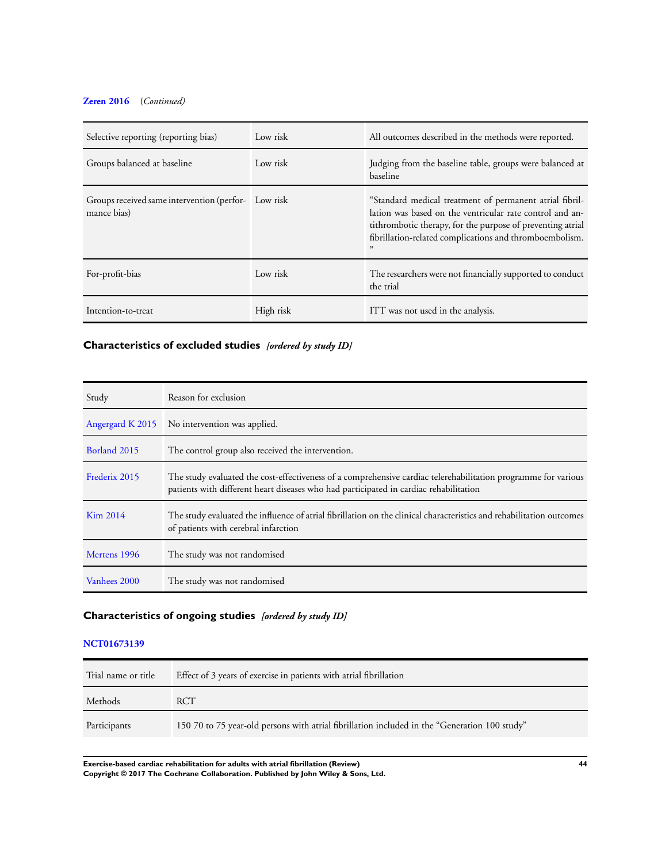### **[Zeren 2016](#page-29-0)** (*Continued)*

| Selective reporting (reporting bias)                               | Low risk  | All outcomes described in the methods were reported.                                                                                                                                                                                                |
|--------------------------------------------------------------------|-----------|-----------------------------------------------------------------------------------------------------------------------------------------------------------------------------------------------------------------------------------------------------|
| Groups balanced at baseline                                        | Low risk  | Judging from the baseline table, groups were balanced at<br>baseline                                                                                                                                                                                |
| Groups received same intervention (perfor- Low risk<br>mance bias) |           | "Standard medical treatment of permanent atrial fibril-<br>lation was based on the ventricular rate control and an-<br>tithrombotic therapy, for the purpose of preventing atrial<br>fibrillation-related complications and thromboembolism.<br>, 2 |
| For-profit-bias                                                    | Low risk  | The researchers were not financially supported to conduct<br>the trial                                                                                                                                                                              |
| Intention-to-treat                                                 | High risk | ITT was not used in the analysis.                                                                                                                                                                                                                   |

# **Characteristics of excluded studies** *[ordered by study ID]*

| Study            | Reason for exclusion                                                                                                                                                                                    |
|------------------|---------------------------------------------------------------------------------------------------------------------------------------------------------------------------------------------------------|
| Angergard K 2015 | No intervention was applied.                                                                                                                                                                            |
| Borland 2015     | The control group also received the intervention.                                                                                                                                                       |
| Frederix 2015    | The study evaluated the cost-effectiveness of a comprehensive cardiac telerehabilitation programme for various<br>patients with different heart diseases who had participated in cardiac rehabilitation |
| Kim 2014         | The study evaluated the influence of atrial fibrillation on the clinical characteristics and rehabilitation outcomes<br>of patients with cerebral infarction                                            |
| Mertens 1996     | The study was not randomised                                                                                                                                                                            |
| Vanhees 2000     | The study was not randomised                                                                                                                                                                            |

# **Characteristics of ongoing studies** *[ordered by study ID]*

## **[NCT01673139](#page-29-0)**

| Trial name or title | Effect of 3 years of exercise in patients with atrial fibrillation                            |
|---------------------|-----------------------------------------------------------------------------------------------|
| Methods             | <b>RCT</b>                                                                                    |
| Participants        | 150 70 to 75 year-old persons with atrial fibrillation included in the "Generation 100 study" |

**Exercise-based cardiac rehabilitation for adults with atrial fibrillation (Review) 44 Copyright © 2017 The Cochrane Collaboration. Published by John Wiley & Sons, Ltd.**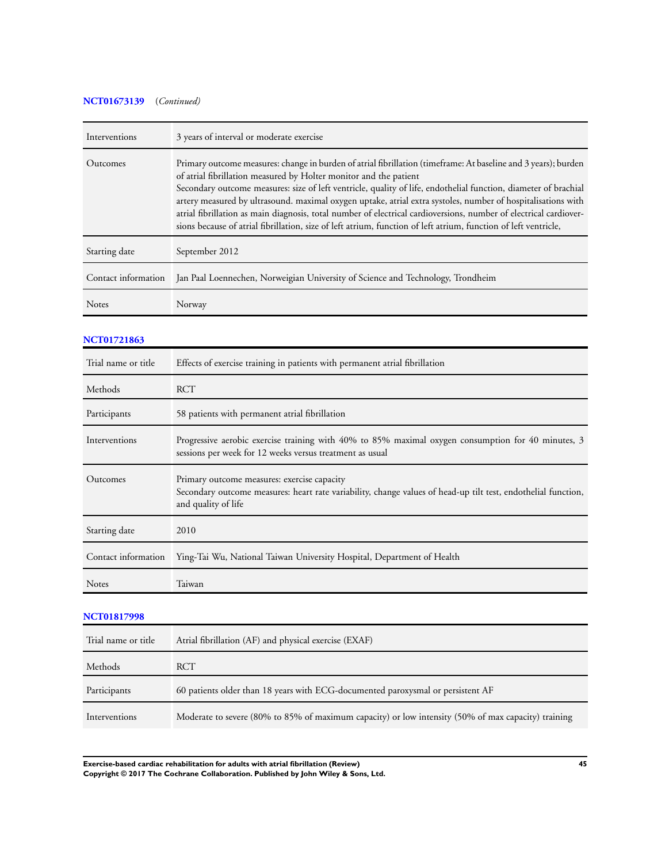#### **[NCT01673139](#page-29-0)** (*Continued)*

| Interventions       | 3 years of interval or moderate exercise                                                                                                                                                                                                                                                                                                                                                                                                                                                                                                                                                                                                                       |
|---------------------|----------------------------------------------------------------------------------------------------------------------------------------------------------------------------------------------------------------------------------------------------------------------------------------------------------------------------------------------------------------------------------------------------------------------------------------------------------------------------------------------------------------------------------------------------------------------------------------------------------------------------------------------------------------|
| Outcomes            | Primary outcome measures: change in burden of atrial fibrillation (timeframe: At baseline and 3 years); burden<br>of atrial fibrillation measured by Holter monitor and the patient<br>Secondary outcome measures: size of left ventricle, quality of life, endothelial function, diameter of brachial<br>artery measured by ultrasound. maximal oxygen uptake, atrial extra systoles, number of hospitalisations with<br>atrial fibrillation as main diagnosis, total number of electrical cardioversions, number of electrical cardiover-<br>sions because of atrial fibrillation, size of left atrium, function of left atrium, function of left ventricle, |
| Starting date       | September 2012                                                                                                                                                                                                                                                                                                                                                                                                                                                                                                                                                                                                                                                 |
| Contact information | Jan Paal Loennechen, Norweigian University of Science and Technology, Trondheim                                                                                                                                                                                                                                                                                                                                                                                                                                                                                                                                                                                |
| <b>Notes</b>        | Norway                                                                                                                                                                                                                                                                                                                                                                                                                                                                                                                                                                                                                                                         |

## **[NCT01721863](#page-29-0)**

| Trial name or title | Effects of exercise training in patients with permanent atrial fibrillation                                                                                                         |
|---------------------|-------------------------------------------------------------------------------------------------------------------------------------------------------------------------------------|
| Methods             | <b>RCT</b>                                                                                                                                                                          |
| Participants        | 58 patients with permanent atrial fibrillation                                                                                                                                      |
| Interventions       | Progressive aerobic exercise training with 40% to 85% maximal oxygen consumption for 40 minutes, 3<br>sessions per week for 12 weeks versus treatment as usual                      |
| Outcomes            | Primary outcome measures: exercise capacity<br>Secondary outcome measures: heart rate variability, change values of head-up tilt test, endothelial function,<br>and quality of life |
| Starting date       | 2010                                                                                                                                                                                |
| Contact information | Ying-Tai Wu, National Taiwan University Hospital, Department of Health                                                                                                              |
| <b>Notes</b>        | Taiwan                                                                                                                                                                              |

#### **[NCT01817998](#page-29-0)**

| Trial name or title | Atrial fibrillation (AF) and physical exercise (EXAF)                                               |
|---------------------|-----------------------------------------------------------------------------------------------------|
| Methods             | <b>RCT</b>                                                                                          |
| Participants        | 60 patients older than 18 years with ECG-documented paroxysmal or persistent AF                     |
| Interventions       | Moderate to severe (80% to 85% of maximum capacity) or low intensity (50% of max capacity) training |

**Exercise-based cardiac rehabilitation for adults with atrial fibrillation (Review) 45 Copyright © 2017 The Cochrane Collaboration. Published by John Wiley & Sons, Ltd.**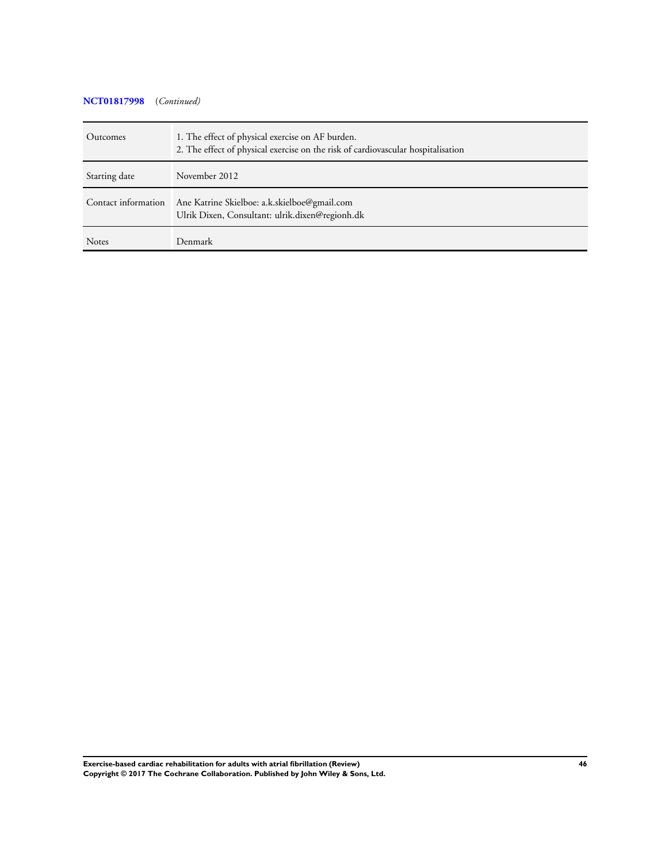#### **[NCT01817998](#page-29-0)** (*Continued)*

| <b>Outcomes</b>     | 1. The effect of physical exercise on AF burden.<br>2. The effect of physical exercise on the risk of cardiovascular hospitalisation |
|---------------------|--------------------------------------------------------------------------------------------------------------------------------------|
| Starting date       | November 2012                                                                                                                        |
| Contact information | Ane Katrine Skielboe: a.k.skielboe@gmail.com<br>Ulrik Dixen, Consultant: ulrik.dixen@regionh.dk                                      |
| <b>Notes</b>        | Denmark                                                                                                                              |

**Exercise-based cardiac rehabilitation for adults with atrial fibrillation (Review) 46 Copyright © 2017 The Cochrane Collaboration. Published by John Wiley & Sons, Ltd.**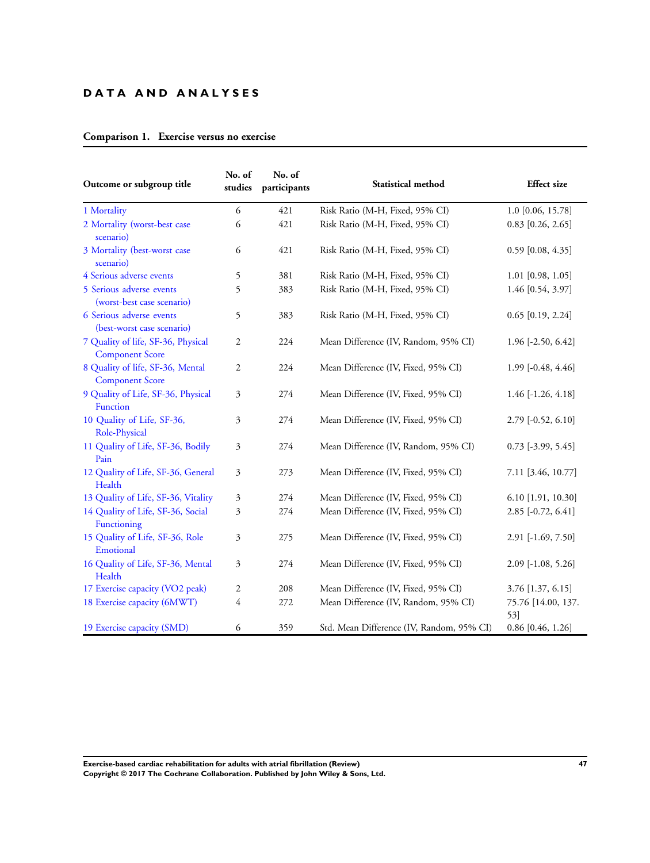## **D A T A A N D A N A L Y S E S**

#### **Comparison 1. Exercise versus no exercise**

| Outcome or subgroup title                                    | No. of<br>studies    | No. of<br>participants | <b>Statistical method</b>                 | <b>Effect</b> size          |
|--------------------------------------------------------------|----------------------|------------------------|-------------------------------------------|-----------------------------|
| 1 Mortality                                                  | 6                    | 421                    | Risk Ratio (M-H, Fixed, 95% CI)           | 1.0 [0.06, 15.78]           |
| 2 Mortality (worst-best case<br>scenario)                    | 6                    | 421                    | Risk Ratio (M-H, Fixed, 95% CI)           | $0.83$ [0.26, 2.65]         |
| 3 Mortality (best-worst case<br>scenario)                    | 6                    | 421                    | Risk Ratio (M-H, Fixed, 95% CI)           | $0.59$ [0.08, 4.35]         |
| 4 Serious adverse events                                     | 5                    | 381                    | Risk Ratio (M-H, Fixed, 95% CI)           | $1.01$ [0.98, 1.05]         |
| 5 Serious adverse events<br>(worst-best case scenario)       | 5                    | 383                    | Risk Ratio (M-H, Fixed, 95% CI)           | 1.46 [0.54, 3.97]           |
| 6 Serious adverse events<br>(best-worst case scenario)       | 5                    | 383                    | Risk Ratio (M-H, Fixed, 95% CI)           | $0.65$ [0.19, 2.24]         |
| 7 Quality of life, SF-36, Physical<br><b>Component Score</b> | $\sqrt{2}$           | 224                    | Mean Difference (IV, Random, 95% CI)      | $1.96$ [ $-2.50$ , $6.42$ ] |
| 8 Quality of life, SF-36, Mental<br><b>Component Score</b>   | $\sqrt{2}$           | 224                    | Mean Difference (IV, Fixed, 95% CI)       | $1.99$ [-0.48, 4.46]        |
| 9 Quality of Life, SF-36, Physical<br>Function               | $\boldsymbol{\beta}$ | 274                    | Mean Difference (IV, Fixed, 95% CI)       | $1.46$ [-1.26, 4.18]        |
| 10 Quality of Life, SF-36,<br>Role-Physical                  | 3                    | 274                    | Mean Difference (IV, Fixed, 95% CI)       | 2.79 [-0.52, 6.10]          |
| 11 Quality of Life, SF-36, Bodily<br>Pain                    | $\mathfrak{Z}$       | 274                    | Mean Difference (IV, Random, 95% CI)      | $0.73$ [-3.99, 5.45]        |
| 12 Quality of Life, SF-36, General<br>Health                 | $\mathfrak{Z}$       | 273                    | Mean Difference (IV, Fixed, 95% CI)       | 7.11 [3.46, 10.77]          |
| 13 Quality of Life, SF-36, Vitality                          | $\boldsymbol{\beta}$ | 274                    | Mean Difference (IV, Fixed, 95% CI)       | 6.10 [1.91, 10.30]          |
| 14 Quality of Life, SF-36, Social<br>Functioning             | $\mathfrak{Z}$       | 274                    | Mean Difference (IV, Fixed, 95% CI)       | 2.85 [-0.72, 6.41]          |
| 15 Quality of Life, SF-36, Role<br>Emotional                 | 3                    | 275                    | Mean Difference (IV, Fixed, 95% CI)       | 2.91 [-1.69, 7.50]          |
| 16 Quality of Life, SF-36, Mental<br>Health                  | $\mathfrak{Z}$       | 274                    | Mean Difference (IV, Fixed, 95% CI)       | $2.09$ [-1.08, 5.26]        |
| 17 Exercise capacity (VO2 peak)                              | $\mathfrak{2}$       | 208                    | Mean Difference (IV, Fixed, 95% CI)       | 3.76 [1.37, 6.15]           |
| 18 Exercise capacity (6MWT)                                  | 4                    | 272                    | Mean Difference (IV, Random, 95% CI)      | 75.76 [14.00, 137.<br>53]   |
| 19 Exercise capacity (SMD)                                   | 6                    | 359                    | Std. Mean Difference (IV, Random, 95% CI) | $0.86$ [0.46, 1.26]         |

**Exercise-based cardiac rehabilitation for adults with atrial fibrillation (Review) 47 Copyright © 2017 The Cochrane Collaboration. Published by John Wiley & Sons, Ltd.**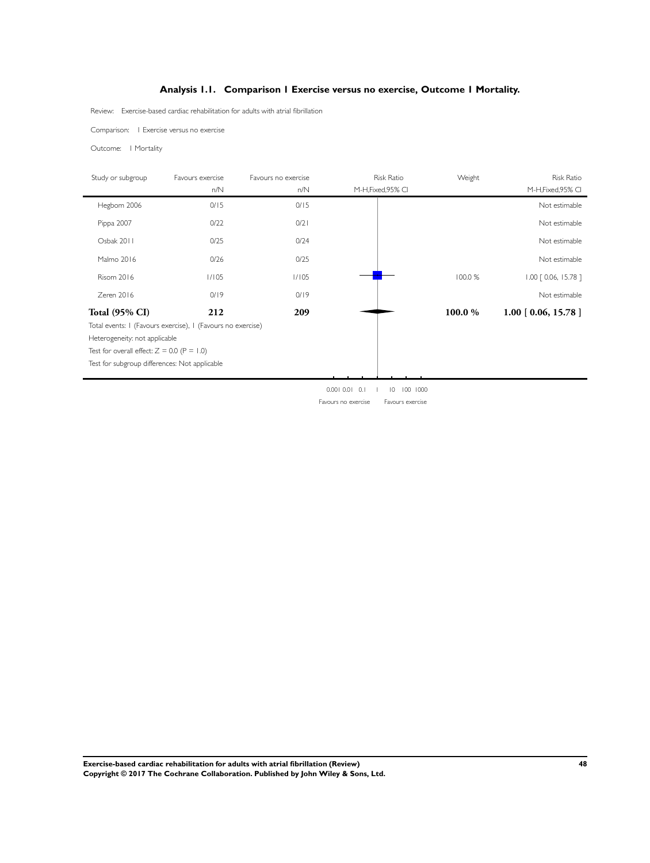#### **Analysis 1.1. Comparison 1 Exercise versus no exercise, Outcome 1 Mortality.**

<span id="page-49-0"></span>Review: Exercise-based cardiac rehabilitation for adults with atrial fibrillation

Comparison: 1 Exercise versus no exercise

Outcome: | Mortality

| Study or subgroup                             | Favours exercise                                            | Favours no exercise | <b>Risk Ratio</b>                                  | Weight  | <b>Risk Ratio</b>      |
|-----------------------------------------------|-------------------------------------------------------------|---------------------|----------------------------------------------------|---------|------------------------|
|                                               | n/N                                                         | n/N                 | M-H, Fixed, 95% CI                                 |         | M-H, Fixed, 95% CI     |
| Hegbom 2006                                   | 0/15                                                        | 0/15                |                                                    |         | Not estimable          |
| Pippa 2007                                    | 0/22                                                        | 0/2                 |                                                    |         | Not estimable          |
| Osbak 2011                                    | 0/25                                                        | 0/24                |                                                    |         | Not estimable          |
| Malmo 2016                                    | 0/26                                                        | 0/25                |                                                    |         | Not estimable          |
| <b>Risom 2016</b>                             | 1/105                                                       | 1/105               |                                                    | 100.0 % | $1.00$ $[0.06, 15.78]$ |
| Zeren 2016                                    | 0/19                                                        | 0/19                |                                                    |         | Not estimable          |
| <b>Total (95% CI)</b>                         | 212                                                         | 209                 |                                                    | 100.0%  | $1.00$ [ 0.06, 15.78 ] |
|                                               | Total events: I (Favours exercise), I (Favours no exercise) |                     |                                                    |         |                        |
| Heterogeneity: not applicable                 |                                                             |                     |                                                    |         |                        |
| Test for overall effect: $Z = 0.0$ (P = 1.0)  |                                                             |                     |                                                    |         |                        |
| Test for subgroup differences: Not applicable |                                                             |                     |                                                    |         |                        |
|                                               |                                                             |                     |                                                    |         |                        |
|                                               |                                                             |                     | $0.001$ $0.01$ $0.1$<br>100 1000<br>$\overline{0}$ |         |                        |

Favours no exercise Favours exercise

**Exercise-based cardiac rehabilitation for adults with atrial fibrillation (Review) 48 Copyright © 2017 The Cochrane Collaboration. Published by John Wiley & Sons, Ltd.**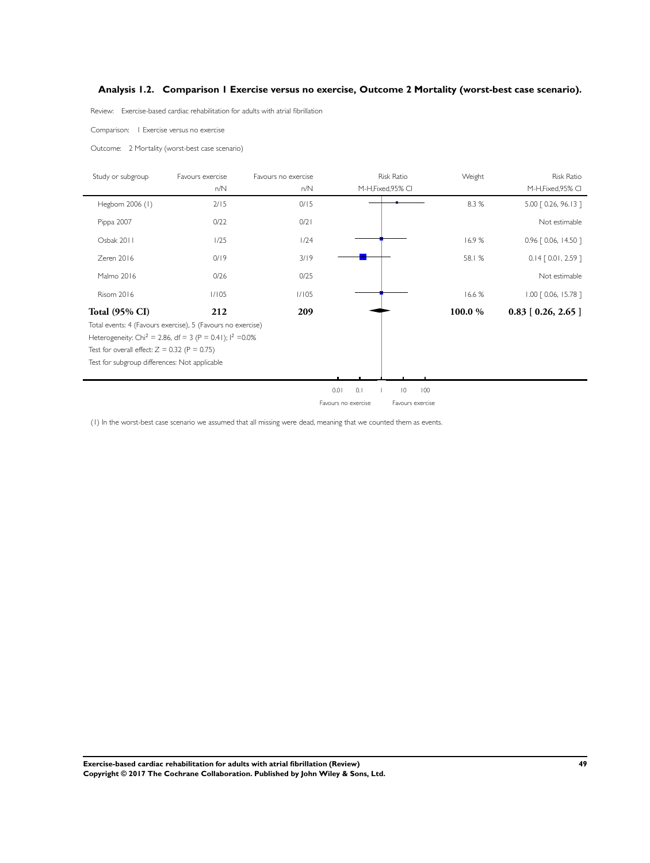#### <span id="page-50-0"></span>**Analysis 1.2. Comparison 1 Exercise versus no exercise, Outcome 2 Mortality (worst-best case scenario).**

Review: Exercise-based cardiac rehabilitation for adults with atrial fibrillation

Comparison: 1 Exercise versus no exercise

Outcome: 2 Mortality (worst-best case scenario)

| Study or subgroup                              | Favours exercise                                                        | Favours no exercise | Risk Ratio                              | Weight | <b>Risk Ratio</b>      |
|------------------------------------------------|-------------------------------------------------------------------------|---------------------|-----------------------------------------|--------|------------------------|
|                                                | n/N                                                                     | n/N                 | M-H, Fixed, 95% CI                      |        | M-H, Fixed, 95% CI     |
| Hegbom 2006 (1)                                | 2/15                                                                    | 0/15                |                                         | 8.3 %  | 5.00 [ 0.26, 96.13 ]   |
| Pippa 2007                                     | 0/22                                                                    | 0/2                 |                                         |        | Not estimable          |
| Osbak 2011                                     | 1/25                                                                    | 1/24                |                                         | 16.9%  | $0.96$ $[0.06, 14.50]$ |
| Zeren 2016                                     | 0/19                                                                    | 3/19                |                                         | 58.1 % | $0.14$ $[0.01, 2.59]$  |
| Malmo 2016                                     | 0/26                                                                    | 0/25                |                                         |        | Not estimable          |
| <b>Risom 2016</b>                              | 1/105                                                                   | 1/105               |                                         | 16.6 % | 1.00 [ 0.06, 15.78 ]   |
| <b>Total (95% CI)</b>                          | 212                                                                     | 209                 |                                         | 100.0% | $0.83$ [ 0.26, 2.65 ]  |
|                                                | Total events: 4 (Favours exercise), 5 (Favours no exercise)             |                     |                                         |        |                        |
|                                                | Heterogeneity: Chi <sup>2</sup> = 2.86, df = 3 (P = 0.41); $1^2$ = 0.0% |                     |                                         |        |                        |
| Test for overall effect: $Z = 0.32$ (P = 0.75) |                                                                         |                     |                                         |        |                        |
| Test for subgroup differences: Not applicable  |                                                                         |                     |                                         |        |                        |
|                                                |                                                                         |                     |                                         |        |                        |
|                                                |                                                                         |                     | 0.01<br>0.1<br>$\overline{0}$<br>100    |        |                        |
|                                                |                                                                         |                     | Favours no exercise<br>Favours exercise |        |                        |

(1) In the worst-best case scenario we assumed that all missing were dead, meaning that we counted them as events.

**Exercise-based cardiac rehabilitation for adults with atrial fibrillation (Review) 49 Copyright © 2017 The Cochrane Collaboration. Published by John Wiley & Sons, Ltd.**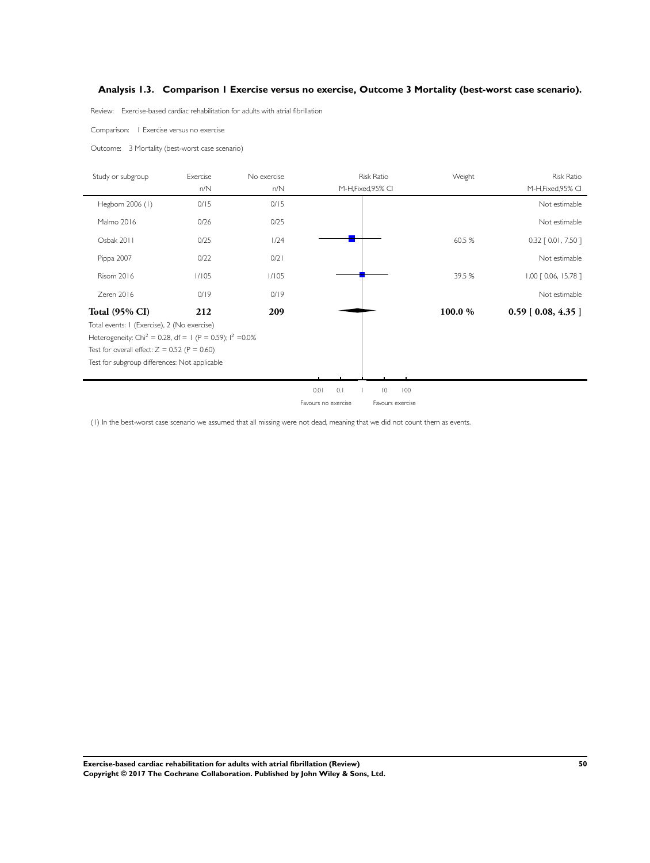#### <span id="page-51-0"></span>**Analysis 1.3. Comparison 1 Exercise versus no exercise, Outcome 3 Mortality (best-worst case scenario).**

Review: Exercise-based cardiac rehabilitation for adults with atrial fibrillation

Comparison: 1 Exercise versus no exercise

Outcome: 3 Mortality (best-worst case scenario)



(1) In the best-worst case scenario we assumed that all missing were not dead, meaning that we did not count them as events.

**Exercise-based cardiac rehabilitation for adults with atrial fibrillation (Review) 50 Copyright © 2017 The Cochrane Collaboration. Published by John Wiley & Sons, Ltd.**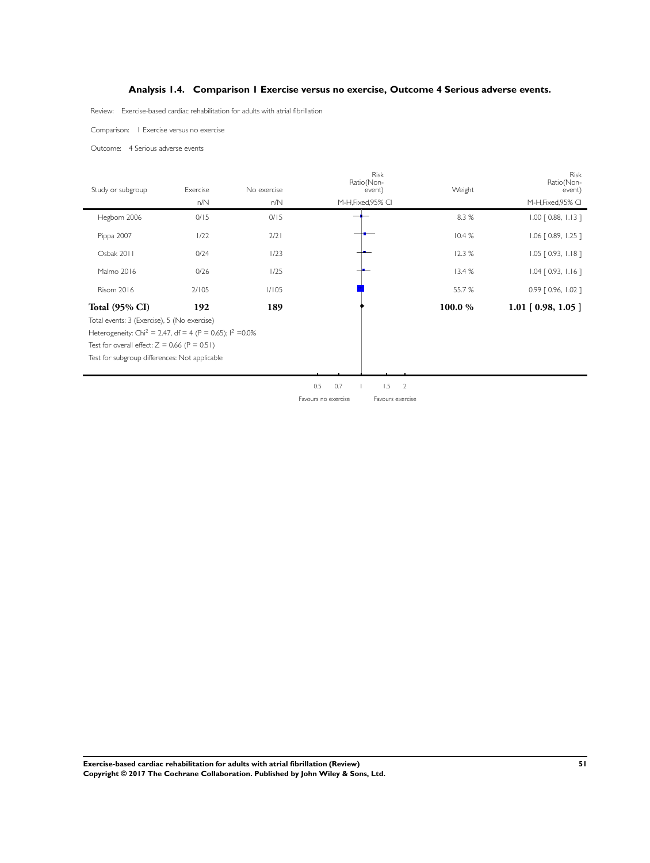#### **Analysis 1.4. Comparison 1 Exercise versus no exercise, Outcome 4 Serious adverse events.**

<span id="page-52-0"></span>Review: Exercise-based cardiac rehabilitation for adults with atrial fibrillation

Comparison: 1 Exercise versus no exercise

Outcome: 4 Serious adverse events

| Study or subgroup                                                                                                                                                                                                                                 | Exercise | No exercise | <b>Risk</b><br>Ratio(Non-<br>event) | Weight                | Risk<br>Ratio(Non-<br>event) |
|---------------------------------------------------------------------------------------------------------------------------------------------------------------------------------------------------------------------------------------------------|----------|-------------|-------------------------------------|-----------------------|------------------------------|
|                                                                                                                                                                                                                                                   | n/N      | n/N         | M-H, Fixed, 95% CI                  |                       | M-H, Fixed, 95% CI           |
| Hegbom 2006                                                                                                                                                                                                                                       | 0/15     | 0/15        |                                     | 8.3 %                 | $1.00$ $[0.88, 1.13]$        |
| Pippa 2007                                                                                                                                                                                                                                        | 1/22     | 2/2         |                                     | 10.4%                 | $1.06$ $[0.89, 1.25]$        |
| Osbak 2011                                                                                                                                                                                                                                        | 0/24     | 1/23        |                                     | 12.3%                 | $1.05$ $[0.93, 1.18]$        |
| Malmo 2016                                                                                                                                                                                                                                        | 0/26     | 1/25        |                                     | 13.4 %                | $1.04$ $[0.93, 1.16]$        |
| <b>Risom 2016</b>                                                                                                                                                                                                                                 | 2/105    | 1/105       |                                     | 55.7 %                | 0.99 [0.96, 1.02]            |
| <b>Total (95% CI)</b><br>Total events: 3 (Exercise), 5 (No exercise)<br>Heterogeneity: Chi <sup>2</sup> = 2.47, df = 4 (P = 0.65); $1^2$ =0.0%<br>Test for overall effect: $Z = 0.66$ (P = 0.51)<br>Test for subgroup differences: Not applicable | 192      | 189         |                                     | 100.0 %               | $1.01$ [ 0.98, 1.05 ]        |
|                                                                                                                                                                                                                                                   |          |             | 0.7<br>0.5                          | 1.5<br>$\overline{2}$ |                              |
|                                                                                                                                                                                                                                                   |          |             | Favours no exercise                 | Favours exercise      |                              |

**Exercise-based cardiac rehabilitation for adults with atrial fibrillation (Review) 51 Copyright © 2017 The Cochrane Collaboration. Published by John Wiley & Sons, Ltd.**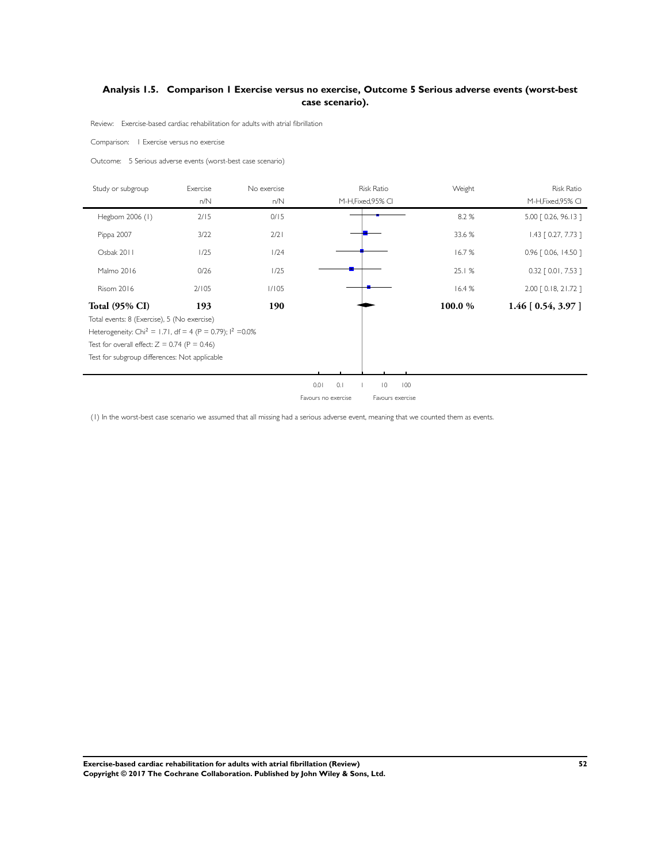### <span id="page-53-0"></span>**Analysis 1.5. Comparison 1 Exercise versus no exercise, Outcome 5 Serious adverse events (worst-best case scenario).**

Review: Exercise-based cardiac rehabilitation for adults with atrial fibrillation

Comparison: 1 Exercise versus no exercise

Outcome: 5 Serious adverse events (worst-best case scenario)

| Study or subgroup                                                                | Exercise | No exercise |                     | <b>Risk Ratio</b>     | Weight | Risk Ratio            |
|----------------------------------------------------------------------------------|----------|-------------|---------------------|-----------------------|--------|-----------------------|
|                                                                                  | n/N      | n/N         |                     | M-H, Fixed, 95% CI    |        | M-H, Fixed, 95% CI    |
| Hegbom 2006 (1)                                                                  | 2/15     | 0/15        |                     |                       | 8.2 %  | 5.00 [ 0.26, 96.13 ]  |
| Pippa 2007                                                                       | 3/22     | 2/2         |                     |                       | 33.6 % | $1.43$ $[0.27, 7.73]$ |
| Osbak 2011                                                                       | 1/25     | 1/24        |                     |                       | 16.7%  | 0.96 [ 0.06, 14.50 ]  |
| Malmo 2016                                                                       | 0/26     | 1/25        |                     |                       | 25.1 % | $0.32$ [ 0.01, 7.53 ] |
| <b>Risom 2016</b>                                                                | 2/105    | 1/105       |                     |                       | 16.4%  | 2.00 [ 0.18, 21.72 ]  |
| <b>Total (95% CI)</b>                                                            | 193      | 190         |                     |                       | 100.0% | $1.46$ [ 0.54, 3.97 ] |
| Total events: 8 (Exercise), 5 (No exercise)                                      |          |             |                     |                       |        |                       |
| Heterogeneity: Chi <sup>2</sup> = 1.71, df = 4 (P = 0.79); l <sup>2</sup> = 0.0% |          |             |                     |                       |        |                       |
| Test for overall effect: $Z = 0.74$ (P = 0.46)                                   |          |             |                     |                       |        |                       |
| Test for subgroup differences: Not applicable                                    |          |             |                     |                       |        |                       |
|                                                                                  |          |             |                     |                       |        |                       |
|                                                                                  |          |             | 0.1<br>0.01         | $\overline{0}$<br>100 |        |                       |
|                                                                                  |          |             | Favours no exercise | Favours exercise      |        |                       |

(1) In the worst-best case scenario we assumed that all missing had a serious adverse event, meaning that we counted them as events.

**Exercise-based cardiac rehabilitation for adults with atrial fibrillation (Review) 52 Copyright © 2017 The Cochrane Collaboration. Published by John Wiley & Sons, Ltd.**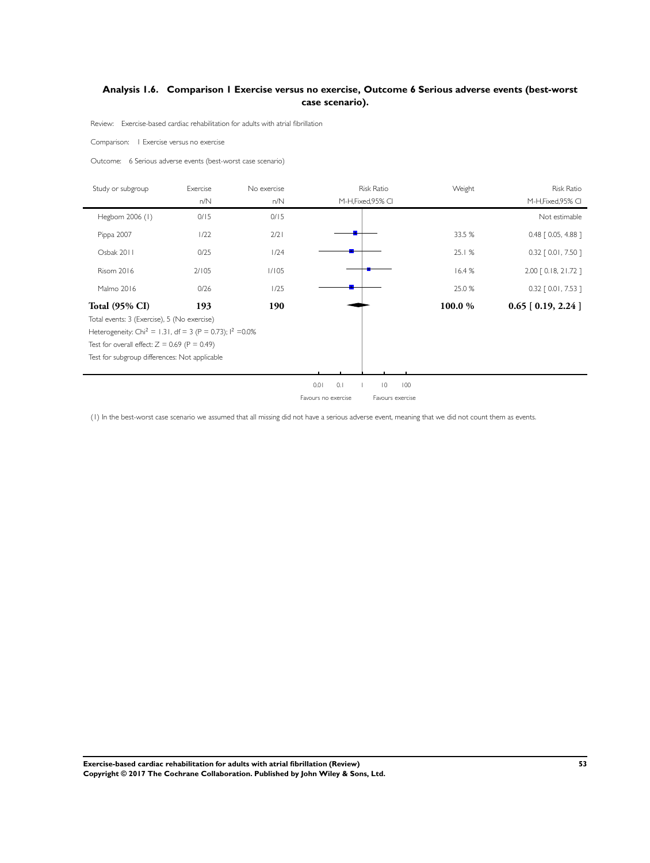#### <span id="page-54-0"></span>**Analysis 1.6. Comparison 1 Exercise versus no exercise, Outcome 6 Serious adverse events (best-worst case scenario).**

Review: Exercise-based cardiac rehabilitation for adults with atrial fibrillation

Comparison: 1 Exercise versus no exercise

Outcome: 6 Serious adverse events (best-worst case scenario)

| Study or subgroup                                                      | Exercise | No exercise |                     | <b>Risk Ratio</b>  | Weight | <b>Risk Ratio</b>       |
|------------------------------------------------------------------------|----------|-------------|---------------------|--------------------|--------|-------------------------|
|                                                                        | n/N      | n/N         | M-H, Fixed, 95% CI  |                    |        | M-H, Fixed, 95% CI      |
| Hegbom 2006 (1)                                                        | 0/15     | 0/15        |                     |                    |        | Not estimable           |
| Pippa 2007                                                             | 1/22     | 2/2         |                     |                    | 33.5 % | $0.48$ $[0.05, 4.88]$   |
| Osbak 2011                                                             | 0/25     | 1/24        |                     |                    | 25.1%  | $0.32$ $[0.01, 7.50]$   |
| <b>Risom 2016</b>                                                      | 2/105    | 1/105       |                     |                    | 16.4%  | 2.00 [ 0.18, 21.72 ]    |
| Malmo 2016                                                             | 0/26     | 1/25        |                     |                    | 25.0 % | $0.32$ [ 0.01, 7.53 ]   |
| <b>Total (95% CI)</b>                                                  | 193      | 190         |                     |                    | 100.0% | $0.65$ [ $0.19, 2.24$ ] |
| Total events: 3 (Exercise), 5 (No exercise)                            |          |             |                     |                    |        |                         |
| Heterogeneity: Chi <sup>2</sup> = 1.31, df = 3 (P = 0.73); $1^2$ =0.0% |          |             |                     |                    |        |                         |
| Test for overall effect: $Z = 0.69$ (P = 0.49)                         |          |             |                     |                    |        |                         |
| Test for subgroup differences: Not applicable                          |          |             |                     |                    |        |                         |
|                                                                        |          |             |                     |                    |        |                         |
|                                                                        |          |             | 0.1<br>0.01         | 100<br>$ 0\rangle$ |        |                         |
|                                                                        |          |             | Favours no exercise | Favours exercise   |        |                         |

(1) In the best-worst case scenario we assumed that all missing did not have a serious adverse event, meaning that we did not count them as events.

**Exercise-based cardiac rehabilitation for adults with atrial fibrillation (Review) 53 Copyright © 2017 The Cochrane Collaboration. Published by John Wiley & Sons, Ltd.**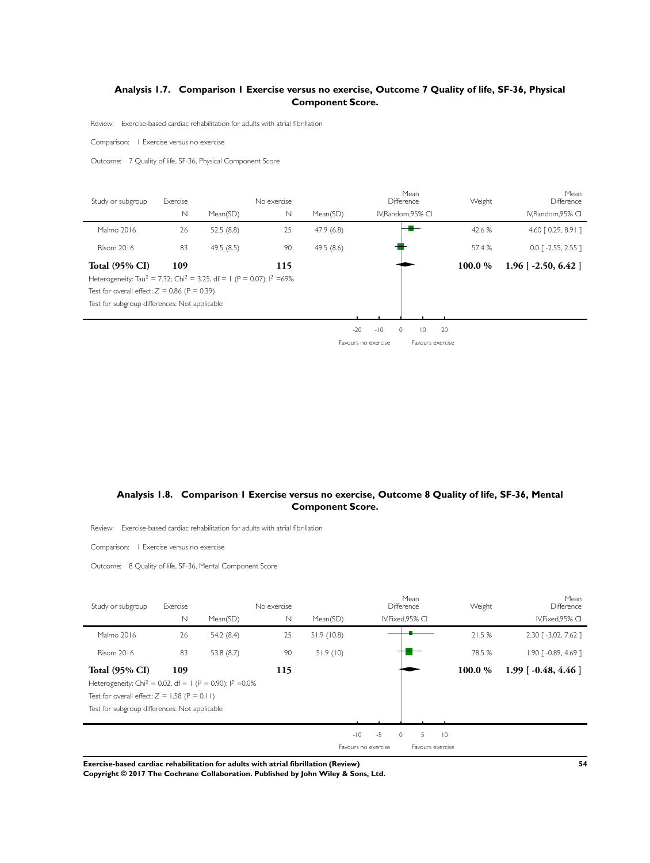#### <span id="page-55-0"></span>**Analysis 1.7. Comparison 1 Exercise versus no exercise, Outcome 7 Quality of life, SF-36, Physical Component Score.**

Review: Exercise-based cardiac rehabilitation for adults with atrial fibrillation

Comparison: 1 Exercise versus no exercise

Outcome: 7 Quality of life, SF-36, Physical Component Score

| Study or subgroup                                                                              | Exercise |            | No exercise |           |       |       | Mean<br>Difference |                |    | Weight  | Mean<br>Difference                |
|------------------------------------------------------------------------------------------------|----------|------------|-------------|-----------|-------|-------|--------------------|----------------|----|---------|-----------------------------------|
|                                                                                                | N        | Mean(SD)   | N           | Mean(SD)  |       |       | IV.Random.95% CI   |                |    |         | IV.Random.95% CI                  |
| Malmo 2016                                                                                     | 26       | 52.5(8.8)  | 25          | 47.9(6.8) |       |       |                    |                |    | 42.6 %  | 4.60 [ 0.29, 8.9   ]              |
| <b>Risom 2016</b>                                                                              | 83       | 49.5 (8.5) | 90          | 49.5(8.6) |       |       |                    |                |    | 57.4 %  | $0.0$ $\lceil -2.55, 2.55 \rceil$ |
| <b>Total (95% CI)</b>                                                                          | 109      |            | 115         |           |       |       |                    |                |    | 100.0 % | $1.96$ [ -2.50, 6.42 ]            |
| Heterogeneity: Tau <sup>2</sup> = 7.32; Chi <sup>2</sup> = 3.25, df = 1 (P = 0.07); $1^2$ =69% |          |            |             |           |       |       |                    |                |    |         |                                   |
| Test for overall effect: $Z = 0.86$ (P = 0.39)                                                 |          |            |             |           |       |       |                    |                |    |         |                                   |
| Test for subgroup differences: Not applicable                                                  |          |            |             |           |       |       |                    |                |    |         |                                   |
|                                                                                                |          |            |             |           |       |       |                    |                |    |         |                                   |
|                                                                                                |          |            |             |           | $-20$ | $-10$ | $\Omega$           | $\overline{0}$ | 20 |         |                                   |

Favours no exercise Favours exercise

#### **Analysis 1.8. Comparison 1 Exercise versus no exercise, Outcome 8 Quality of life, SF-36, Mental Component Score.**

Review: Exercise-based cardiac rehabilitation for adults with atrial fibrillation

Comparison: 1 Exercise versus no exercise

Outcome: 8 Quality of life, SF-36, Mental Component Score

| Study or subgroup                                                      | Exercise    |           | No exercise |            |                     | Mean<br>Difference | Weight      | Mean<br>Difference     |
|------------------------------------------------------------------------|-------------|-----------|-------------|------------|---------------------|--------------------|-------------|------------------------|
|                                                                        | $\mathbb N$ | Mean(SD)  | $\mathbb N$ | Mean(SD)   |                     | IV, Fixed, 95% CI  |             | IV, Fixed, 95% CI      |
| Malmo 2016                                                             | 26          | 54.2(8.4) | 25          | 51.9(10.8) |                     |                    | 21.5 %      | 2.30 [ -3.02, 7.62 ]   |
| <b>Risom 2016</b>                                                      | 83          | 53.8(8.7) | 90          | 51.9(10)   |                     |                    | 78.5 %      | 1.90 [-0.89, 4.69]     |
| <b>Total (95% CI)</b>                                                  | 109         |           | 115         |            |                     |                    | 100.0 %     | $1.99$ [ -0.48, 4.46 ] |
| Heterogeneity: Chi <sup>2</sup> = 0.02, df = 1 (P = 0.90); $1^2$ =0.0% |             |           |             |            |                     |                    |             |                        |
| Test for overall effect: $Z = 1.58$ (P = 0.11)                         |             |           |             |            |                     |                    |             |                        |
| Test for subgroup differences: Not applicable                          |             |           |             |            |                     |                    |             |                        |
|                                                                        |             |           |             |            |                     |                    |             |                        |
|                                                                        |             |           |             |            | $-5$<br>$-10$       | 5<br>$\Omega$      | $ 0\rangle$ |                        |
|                                                                        |             |           |             |            | Favours no exercise | Favours exercise   |             |                        |

**Exercise-based cardiac rehabilitation for adults with atrial fibrillation (Review) 54**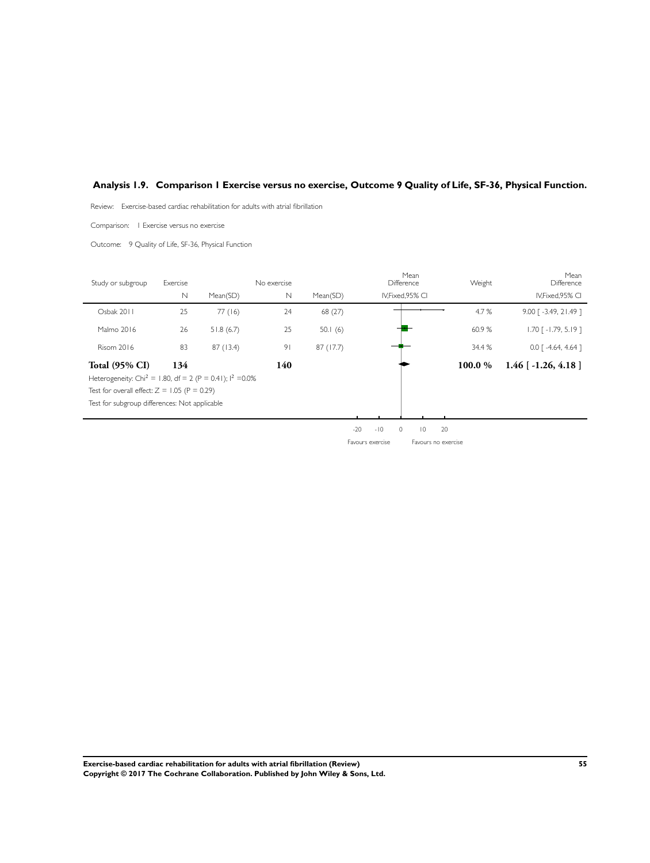## <span id="page-56-0"></span>**Analysis 1.9. Comparison 1 Exercise versus no exercise, Outcome 9 Quality of Life, SF-36, Physical Function.**

Review: Exercise-based cardiac rehabilitation for adults with atrial fibrillation

Comparison: 1 Exercise versus no exercise

Outcome: 9 Quality of Life, SF-36, Physical Function

| Study or subgroup                                                      | Exercise |           | No exercise    |          |                | Mean<br>Difference         | Weight  | Mean<br>Difference                |
|------------------------------------------------------------------------|----------|-----------|----------------|----------|----------------|----------------------------|---------|-----------------------------------|
|                                                                        | N        | Mean(SD)  | $\mathbb N$    | Mean(SD) |                | IV, Fixed, 95% CI          |         | IV, Fixed, 95% CI                 |
| Osbak 2011                                                             | 25       | 77(16)    | 24             | 68 (27)  |                |                            | 4.7 %   | 9.00 [ -3.49, 21.49 ]             |
| Malmo 2016                                                             | 26       | 51.8(6.7) | 25             | 50.1(6)  |                |                            | 60.9%   | $1.70$ [ $-1.79$ , $5.19$ ]       |
| <b>Risom 2016</b>                                                      | 83       | 87 (13.4) | 9 <sub>1</sub> | 87(17.7) |                |                            | 34.4 %  | $0.0$ $\lceil -4.64, 4.64 \rceil$ |
| <b>Total (95% CI)</b>                                                  | 134      |           | 140            |          |                |                            | 100.0 % | $1.46$ [ -1.26, 4.18 ]            |
| Heterogeneity: Chi <sup>2</sup> = 1.80, df = 2 (P = 0.41); $1^2$ =0.0% |          |           |                |          |                |                            |         |                                   |
| Test for overall effect: $Z = 1.05$ (P = 0.29)                         |          |           |                |          |                |                            |         |                                   |
| Test for subgroup differences: Not applicable                          |          |           |                |          |                |                            |         |                                   |
|                                                                        |          |           |                |          |                |                            |         |                                   |
|                                                                        |          |           |                |          | $-10$<br>$-20$ | $\overline{0}$<br>$\Omega$ | 20      |                                   |

Favours exercise Favours no exercise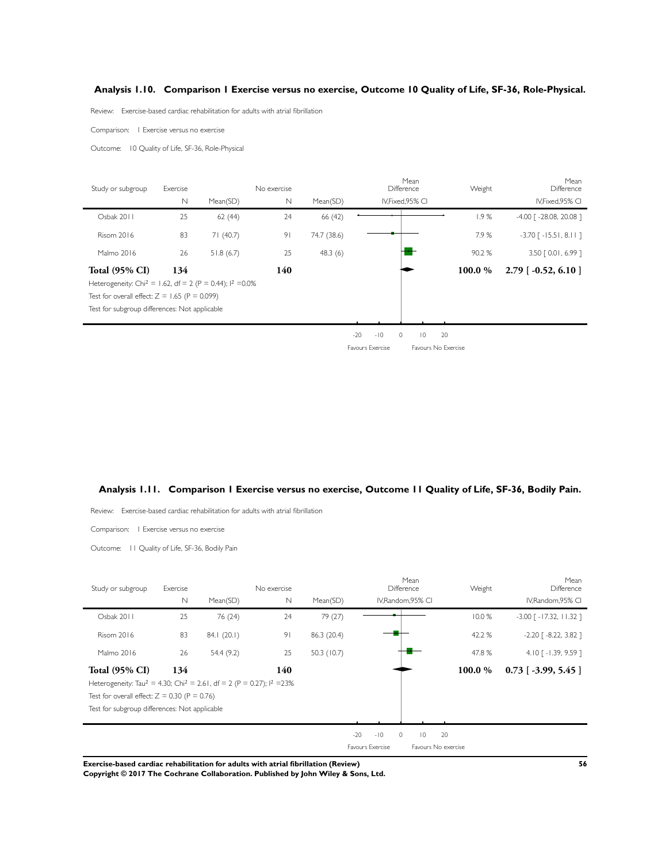#### <span id="page-57-0"></span>**Analysis 1.10. Comparison 1 Exercise versus no exercise, Outcome 10 Quality of Life, SF-36, Role-Physical.**

Review: Exercise-based cardiac rehabilitation for adults with atrial fibrillation

Comparison: 1 Exercise versus no exercise

Outcome: 10 Quality of Life, SF-36, Role-Physical

| Study or subgroup                                                      | Exercise |           | No exercise |             | Mean<br>Difference | Weight  | Mean<br>Difference                    |
|------------------------------------------------------------------------|----------|-----------|-------------|-------------|--------------------|---------|---------------------------------------|
|                                                                        | N        | Mean(SD)  | $\mathbb N$ | Mean(SD)    | IV, Fixed, 95% CI  |         | IV, Fixed, 95% CI                     |
| Osbak 2011                                                             | 25       | 62(44)    | 24          | 66 (42)     |                    | 1.9%    | $-4.00$ $\lceil -28.08, 20.08 \rceil$ |
| <b>Risom 2016</b>                                                      | 83       | 71(40.7)  | 91          | 74.7 (38.6) |                    | 7.9%    | $-3.70$ [ $-15.5$ ], 8.11]            |
| Malmo 2016                                                             | 26       | 51.8(6.7) | 25          | 48.3(6)     |                    | 90.2%   | 3.50 [ 0.01, 6.99 ]                   |
| <b>Total (95% CI)</b>                                                  | 134      |           | 140         |             |                    | 100.0 % | $2.79$ [ -0.52, 6.10 ]                |
| Heterogeneity: Chi <sup>2</sup> = 1.62, df = 2 (P = 0.44); $1^2$ =0.0% |          |           |             |             |                    |         |                                       |
| Test for overall effect: $Z = 1.65$ (P = 0.099)                        |          |           |             |             |                    |         |                                       |
| Test for subgroup differences: Not applicable                          |          |           |             |             |                    |         |                                       |
|                                                                        |          |           |             |             |                    |         |                                       |

-20 -10 0 10 20

Favours Exercise Favours No Exercise

#### **Analysis 1.11. Comparison 1 Exercise versus no exercise, Outcome 11 Quality of Life, SF-36, Bodily Pain.**

Review: Exercise-based cardiac rehabilitation for adults with atrial fibrillation

Comparison: 1 Exercise versus no exercise

Outcome: 11 Quality of Life, SF-36, Bodily Pain

| Study or subgroup                                                                               | Exercise    |            | No exercise    |             |                  | Mean<br>Difference               | Weight | Mean<br>Difference                  |
|-------------------------------------------------------------------------------------------------|-------------|------------|----------------|-------------|------------------|----------------------------------|--------|-------------------------------------|
|                                                                                                 | $\mathbb N$ | Mean(SD)   | $\mathbb N$    | Mean(SD)    |                  | IV, Random, 95% CI               |        | IV, Random, 95% CI                  |
| Osbak 2011                                                                                      | 25          | 76 (24)    | 24             | 79 (27)     |                  |                                  | 10.0%  | $-3.00$ [ $-17.32$ , $11.32$ ]      |
| <b>Risom 2016</b>                                                                               | 83          | 84.1(20.1) | 9 <sub>1</sub> | 86.3 (20.4) |                  |                                  | 42.2 % | $-2.20$ $\lceil -8.22, 3.82 \rceil$ |
| Malmo 2016                                                                                      | 26          | 54.4(9.2)  | 25             | 50.3(10.7)  |                  |                                  | 47.8%  | $4.10$ [ -1.39, 9.59 ]              |
| <b>Total (95% CI)</b>                                                                           | 134         |            | 140            |             |                  |                                  | 100.0% | $0.73$ [ -3.99, 5.45 ]              |
| Heterogeneity: Tau <sup>2</sup> = 4.30; Chi <sup>2</sup> = 2.61, df = 2 (P = 0.27); $1^2$ = 23% |             |            |                |             |                  |                                  |        |                                     |
| Test for overall effect: $Z = 0.30$ (P = 0.76)                                                  |             |            |                |             |                  |                                  |        |                                     |
| Test for subgroup differences: Not applicable                                                   |             |            |                |             |                  |                                  |        |                                     |
|                                                                                                 |             |            |                |             |                  |                                  |        |                                     |
|                                                                                                 |             |            |                |             | $-10$<br>$-20$   | $\circ$<br>$\overline{10}$<br>20 |        |                                     |
|                                                                                                 |             |            |                |             | Favours Exercise | Favours No exercise              |        |                                     |

**Exercise-based cardiac rehabilitation for adults with atrial fibrillation (Review) 56**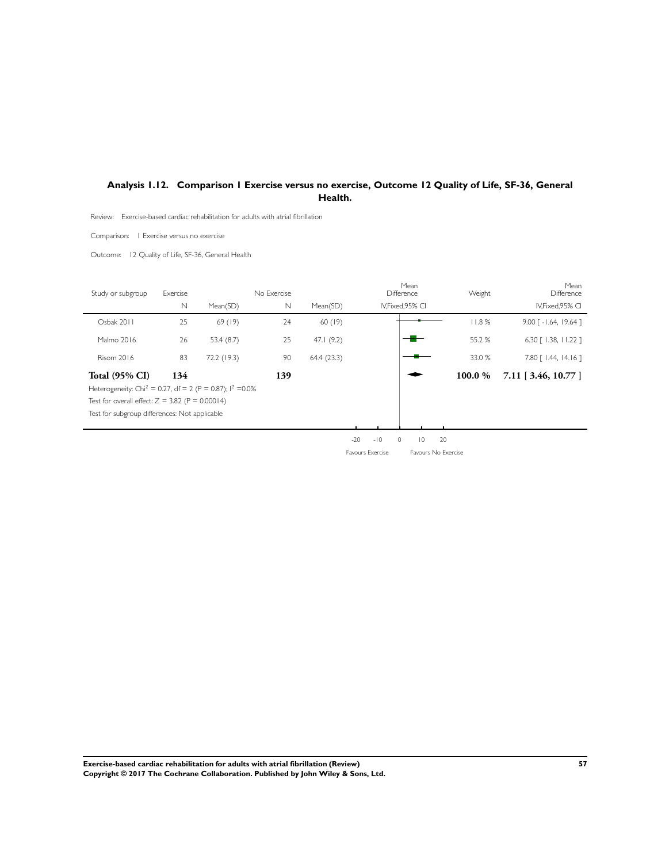### <span id="page-58-0"></span>**Analysis 1.12. Comparison 1 Exercise versus no exercise, Outcome 12 Quality of Life, SF-36, General Health.**

Review: Exercise-based cardiac rehabilitation for adults with atrial fibrillation

Comparison: 1 Exercise versus no exercise

Outcome: 12 Quality of Life, SF-36, General Health

| Study or subgroup                                                          | Exercise    |             | No Exercise |             |                  | Mean<br>Difference          | Weight              | Mean<br>Difference      |
|----------------------------------------------------------------------------|-------------|-------------|-------------|-------------|------------------|-----------------------------|---------------------|-------------------------|
|                                                                            | $\mathbb N$ | Mean(SD)    | $\mathbb N$ | Mean(SD)    |                  | IV, Fixed, 95% CI           |                     | IV, Fixed, 95% CI       |
| Osbak 2011                                                                 | 25          | 69(19)      | 24          | 60(19)      |                  |                             | 11.8%               | $9.00$ [ -1.64, 19.64 ] |
| Malmo 2016                                                                 | 26          | 53.4 (8.7)  | 25          | 47.1(9.2)   |                  |                             | 55.2 %              | 6.30 [ 1.38, 11.22 ]    |
| Risom 2016                                                                 | 83          | 72.2 (19.3) | 90          | 64.4 (23.3) |                  |                             | 33.0 %              | 7.80 [ 1.44, 14.16 ]    |
| <b>Total (95% CI)</b>                                                      | 134         |             | 139         |             |                  |                             | 100.0%              | $7.11$ [ 3.46, 10.77 ]  |
| Heterogeneity: Chi <sup>2</sup> = 0.27, df = 2 (P = 0.87); $\vert^2$ =0.0% |             |             |             |             |                  |                             |                     |                         |
| Test for overall effect: $Z = 3.82$ (P = 0.00014)                          |             |             |             |             |                  |                             |                     |                         |
| Test for subgroup differences: Not applicable                              |             |             |             |             |                  |                             |                     |                         |
|                                                                            |             |             |             |             |                  |                             |                     |                         |
|                                                                            |             |             |             |             | $-20$<br>$-10$   | $\overline{10}$<br>$\Omega$ | 20                  |                         |
|                                                                            |             |             |             |             | Favours Exercise |                             | Favours No Exercise |                         |

**Exercise-based cardiac rehabilitation for adults with atrial fibrillation (Review) 57 Copyright © 2017 The Cochrane Collaboration. Published by John Wiley & Sons, Ltd.**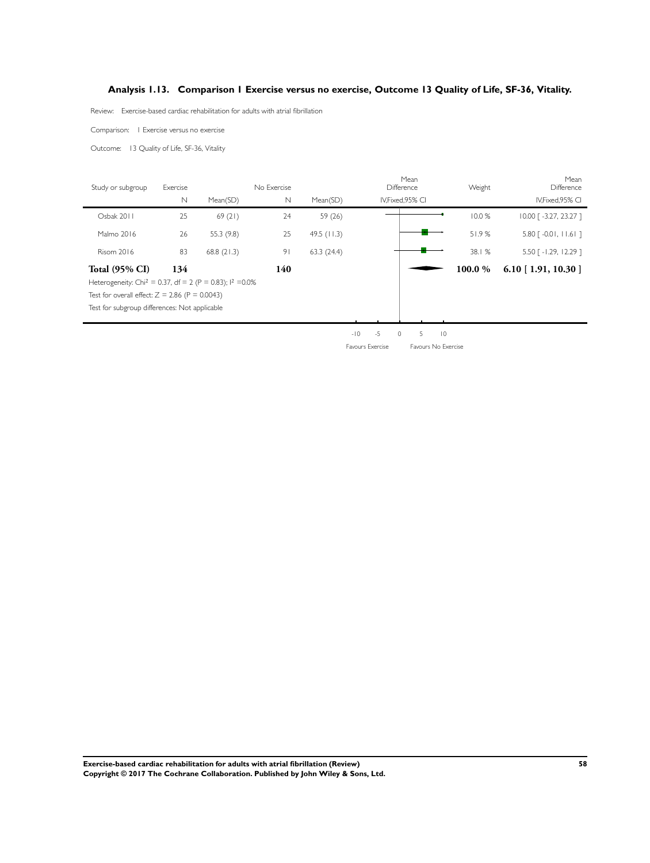#### <span id="page-59-0"></span>**Analysis 1.13. Comparison 1 Exercise versus no exercise, Outcome 13 Quality of Life, SF-36, Vitality.**

Review: Exercise-based cardiac rehabilitation for adults with atrial fibrillation

Comparison: 1 Exercise versus no exercise

Outcome: 13 Quality of Life, SF-36, Vitality

| Study or subgroup                                                                                                                                             | Exercise |            | No Exercise |               |               | Mean<br>Difference    | Weight  | Mean<br>Difference      |
|---------------------------------------------------------------------------------------------------------------------------------------------------------------|----------|------------|-------------|---------------|---------------|-----------------------|---------|-------------------------|
|                                                                                                                                                               | N        | Mean(SD)   | $\mathbb N$ | Mean(SD)      |               | IV, Fixed, 95% CI     |         | IV, Fixed, 95% CI       |
| Osbak 2011                                                                                                                                                    | 25       | 69(21)     | 24          | 59 (26)       |               |                       | 10.0%   | 10.00 [ -3.27, 23.27 ]  |
| Malmo 2016                                                                                                                                                    | 26       | 55.3 (9.8) | 25          | $49.5$ (11.3) |               |                       | 51.9%   | $5.80$ [ -0.01, 11.61 ] |
| <b>Risom 2016</b>                                                                                                                                             | 83       | 68.8(21.3) | 91          | 63.3(24.4)    |               |                       | 38.1 %  | $5.50$ [ -1.29, 12.29 ] |
| <b>Total (95% CI)</b><br>Heterogeneity: Chi <sup>2</sup> = 0.37, df = 2 (P = 0.83); l <sup>2</sup> = 0.0%<br>Test for overall effect: $Z = 2.86$ (P = 0.0043) | 134      |            | 140         |               |               |                       | 100.0 % | $6.10$ [ 1.91, 10.30 ]  |
| Test for subgroup differences: Not applicable                                                                                                                 |          |            |             |               |               |                       |         |                         |
|                                                                                                                                                               |          |            |             |               | $-10$<br>$-5$ | 5<br>$ 0\rangle$<br>0 |         |                         |

Favours Exercise Favours No Exercise

**Exercise-based cardiac rehabilitation for adults with atrial fibrillation (Review) 58 Copyright © 2017 The Cochrane Collaboration. Published by John Wiley & Sons, Ltd.**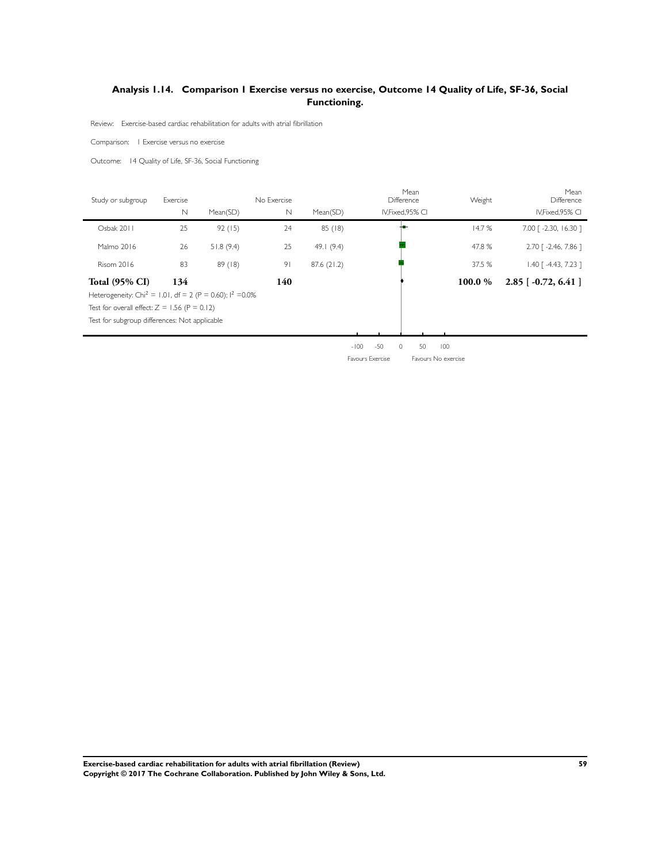## <span id="page-60-0"></span>**Analysis 1.14. Comparison 1 Exercise versus no exercise, Outcome 14 Quality of Life, SF-36, Social Functioning.**

Review: Exercise-based cardiac rehabilitation for adults with atrial fibrillation

Comparison: 1 Exercise versus no exercise

Outcome: 14 Quality of Life, SF-36, Social Functioning

| Study or subgroup                                                      | Exercise |           | No Exercise |            | Mean<br>Difference | Weight  | Mean<br>Difference     |
|------------------------------------------------------------------------|----------|-----------|-------------|------------|--------------------|---------|------------------------|
|                                                                        | N        | Mean(SD)  | $\mathbb N$ | Mean(SD)   | IV.Fixed.95% CI    |         | IV, Fixed, 95% CI      |
| Osbak 2011                                                             | 25       | 92(15)    | 24          | 85(18)     |                    | 14.7%   | 7.00 [ -2.30, 16.30 ]  |
| Malmo 2016                                                             | 26       | 51.8(9.4) | 25          | 49.1(9.4)  |                    | 47.8%   | 2.70 [ -2.46, 7.86 ]   |
| <b>Risom 2016</b>                                                      | 83       | 89(18)    | 91          | 87.6(21.2) |                    | 37.5 %  | $1.40$ [ -4.43, 7.23 ] |
| <b>Total (95% CI)</b>                                                  | 134      |           | 140         |            |                    | 100.0 % | $2.85$ [ -0.72, 6.41 ] |
| Heterogeneity: Chi <sup>2</sup> = 1.01, df = 2 (P = 0.60); $1^2$ =0.0% |          |           |             |            |                    |         |                        |
| Test for overall effect: $Z = 1.56$ (P = 0.12)                         |          |           |             |            |                    |         |                        |
| Test for subgroup differences: Not applicable                          |          |           |             |            |                    |         |                        |
|                                                                        |          |           |             |            |                    |         |                        |

-100 -50 0 50 100

Favours Exercise Favours No exercise

**Exercise-based cardiac rehabilitation for adults with atrial fibrillation (Review) 59 Copyright © 2017 The Cochrane Collaboration. Published by John Wiley & Sons, Ltd.**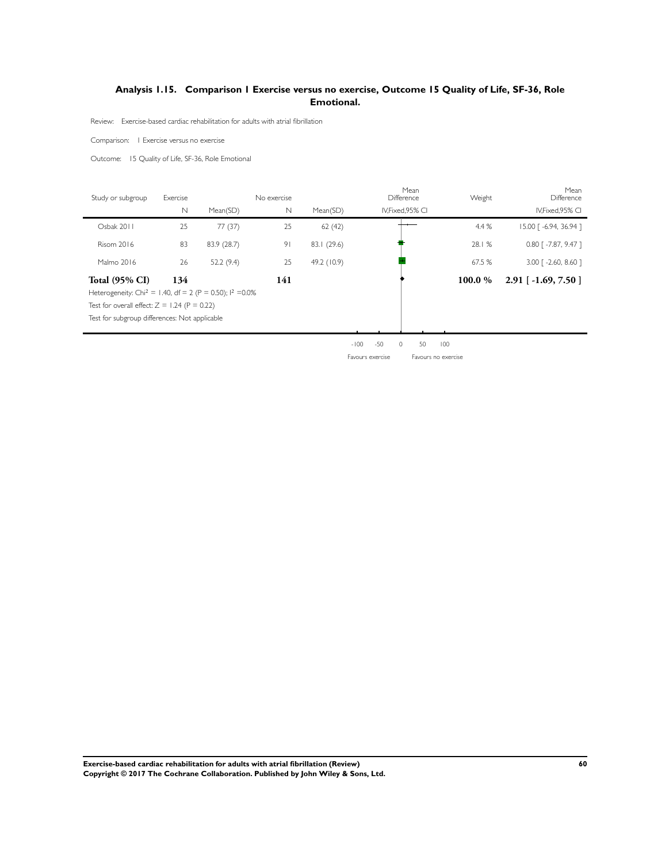### <span id="page-61-0"></span>**Analysis 1.15. Comparison 1 Exercise versus no exercise, Outcome 15 Quality of Life, SF-36, Role Emotional.**

Review: Exercise-based cardiac rehabilitation for adults with atrial fibrillation

Comparison: 1 Exercise versus no exercise

Outcome: 15 Quality of Life, SF-36, Role Emotional

| Study or subgroup                                                      | Exercise |             | No exercise    |             | Mean<br>Difference | Weight  | Mean<br>Difference                 |
|------------------------------------------------------------------------|----------|-------------|----------------|-------------|--------------------|---------|------------------------------------|
|                                                                        | N        | Mean(SD)    | $\mathbb N$    | Mean(SD)    | IV, Fixed, 95% CI  |         | IV, Fixed, 95% CI                  |
| Osbak 2011                                                             | 25       | 77(37)      | 25             | 62(42)      |                    | 4.4 %   | 15.00 [ -6.94, 36.94 ]             |
| <b>Risom 2016</b>                                                      | 83       | 83.9 (28.7) | 9 <sub>1</sub> | 83.1 (29.6) |                    | 28.1%   | $0.80$ [ -7.87, 9.47 ]             |
| Malmo 2016                                                             | 26       | 52.2(9.4)   | 25             | 49.2 (10.9) |                    | 67.5 %  | $3.00$ $\lceil -2.60, 8.60 \rceil$ |
| <b>Total (95% CI)</b>                                                  | 134      |             | 141            |             |                    | 100.0 % | $2.91$ [ -1.69, 7.50 ]             |
| Heterogeneity: Chi <sup>2</sup> = 1.40, df = 2 (P = 0.50); $1^2$ =0.0% |          |             |                |             |                    |         |                                    |
| Test for overall effect: $Z = 1.24$ (P = 0.22)                         |          |             |                |             |                    |         |                                    |
| Test for subgroup differences: Not applicable                          |          |             |                |             |                    |         |                                    |
|                                                                        |          |             |                |             |                    |         |                                    |

-100 -50 0 50 100 Favours exercise Favours no exercise

**Exercise-based cardiac rehabilitation for adults with atrial fibrillation (Review) 60 Copyright © 2017 The Cochrane Collaboration. Published by John Wiley & Sons, Ltd.**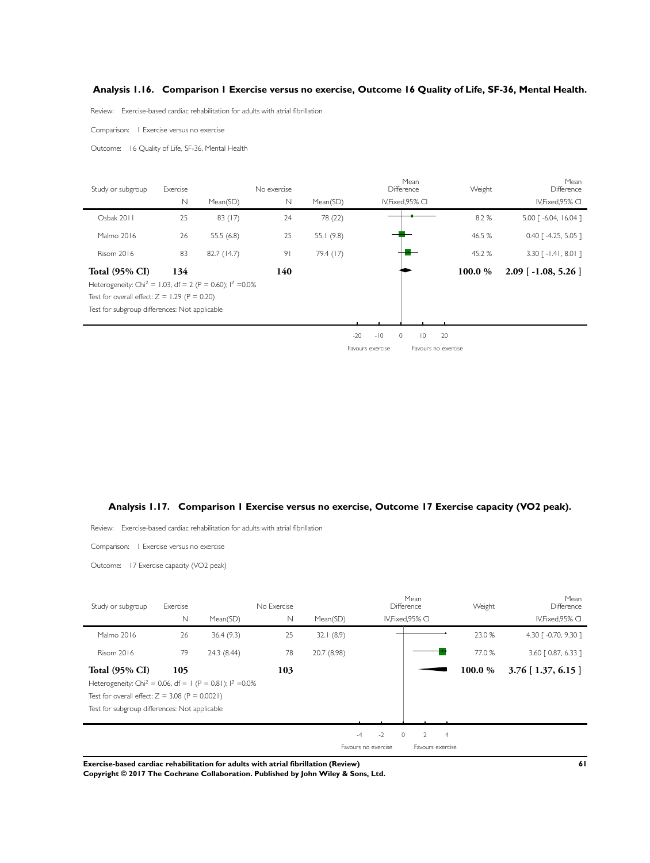#### <span id="page-62-0"></span>**Analysis 1.16. Comparison 1 Exercise versus no exercise, Outcome 16 Quality of Life, SF-36, Mental Health.**

Review: Exercise-based cardiac rehabilitation for adults with atrial fibrillation

Comparison: 1 Exercise versus no exercise

Outcome: 16 Quality of Life, SF-36, Mental Health

| Study or subgroup                                                                | Exercise |            | No exercise    |           | Mean<br>Difference | Weight  | Mean<br>Difference                  |
|----------------------------------------------------------------------------------|----------|------------|----------------|-----------|--------------------|---------|-------------------------------------|
|                                                                                  | N        | Mean(SD)   | $\mathbb N$    | Mean(SD)  | IV.Fixed.95% CI    |         | IV, Fixed, 95% CI                   |
| Osbak 2011                                                                       | 25       | 83(17)     | 24             | 78 (22)   |                    | 8.2%    | $5.00$ $\lceil -6.04, 16.04 \rceil$ |
| Malmo 2016                                                                       | 26       | 55.5(6.8)  | 25             | 55.1(9.8) |                    | 46.5 %  | $0.40$ $\lceil -4.25, 5.05 \rceil$  |
| <b>Risom 2016</b>                                                                | 83       | 82.7(14.7) | 9 <sub>1</sub> | 79.4 (17) |                    | 45.2 %  | $3.30$ [-1.41, 8.01]                |
| <b>Total (95% CI)</b>                                                            | 134      |            | 140            |           |                    | 100.0 % | $2.09$ [ -1.08, 5.26 ]              |
| Heterogeneity: Chi <sup>2</sup> = 1.03, df = 2 (P = 0.60); l <sup>2</sup> = 0.0% |          |            |                |           |                    |         |                                     |
| Test for overall effect: $Z = 1.29$ (P = 0.20)                                   |          |            |                |           |                    |         |                                     |
| Test for subgroup differences: Not applicable                                    |          |            |                |           |                    |         |                                     |
|                                                                                  |          |            |                |           |                    |         |                                     |

-20 -10 0 10 20 Favours exercise Favours no exercise

#### **Analysis 1.17. Comparison 1 Exercise versus no exercise, Outcome 17 Exercise capacity (VO2 peak).**

Review: Exercise-based cardiac rehabilitation for adults with atrial fibrillation

Comparison: 1 Exercise versus no exercise

Outcome: 17 Exercise capacity (VO2 peak)

| Study or subgroup                                                      | No Exercise<br>Exercise |             |             | Mean<br>Difference |                     | Weight                                      | Mean<br>Difference |                       |
|------------------------------------------------------------------------|-------------------------|-------------|-------------|--------------------|---------------------|---------------------------------------------|--------------------|-----------------------|
|                                                                        | $\mathbb N$             | Mean(SD)    | $\mathbb N$ | Mean(SD)           |                     | IV, Fixed, 95% CI                           |                    | IV, Fixed, 95% CI     |
| Malmo 2016                                                             | 26                      | 36.4(9.3)   | 25          | 32.1(8.9)          |                     |                                             | 23.0 %             | 4.30 [ -0.70, 9.30 ]  |
| <b>Risom 2016</b>                                                      | 79                      | 24.3 (8.44) | 78          | 20.7 (8.98)        |                     |                                             | 77.0 %             | 3.60 [ 0.87, 6.33 ]   |
| <b>Total (95% CI)</b>                                                  | 105                     |             | 103         |                    |                     |                                             | 100.0%             | $3.76$ [ 1.37, 6.15 ] |
| Heterogeneity: Chi <sup>2</sup> = 0.06, df = 1 (P = 0.81); $1^2$ =0.0% |                         |             |             |                    |                     |                                             |                    |                       |
| Test for overall effect: $Z = 3.08$ (P = 0.0021)                       |                         |             |             |                    |                     |                                             |                    |                       |
| Test for subgroup differences: Not applicable                          |                         |             |             |                    |                     |                                             |                    |                       |
|                                                                        |                         |             |             |                    |                     |                                             |                    |                       |
|                                                                        |                         |             |             |                    | $-2$<br>$-4$        | $\Omega$<br>$\mathcal{L}$<br>$\overline{4}$ |                    |                       |
|                                                                        |                         |             |             |                    | Favours no exercise | Favours exercise                            |                    |                       |

**Exercise-based cardiac rehabilitation for adults with atrial fibrillation (Review) 61**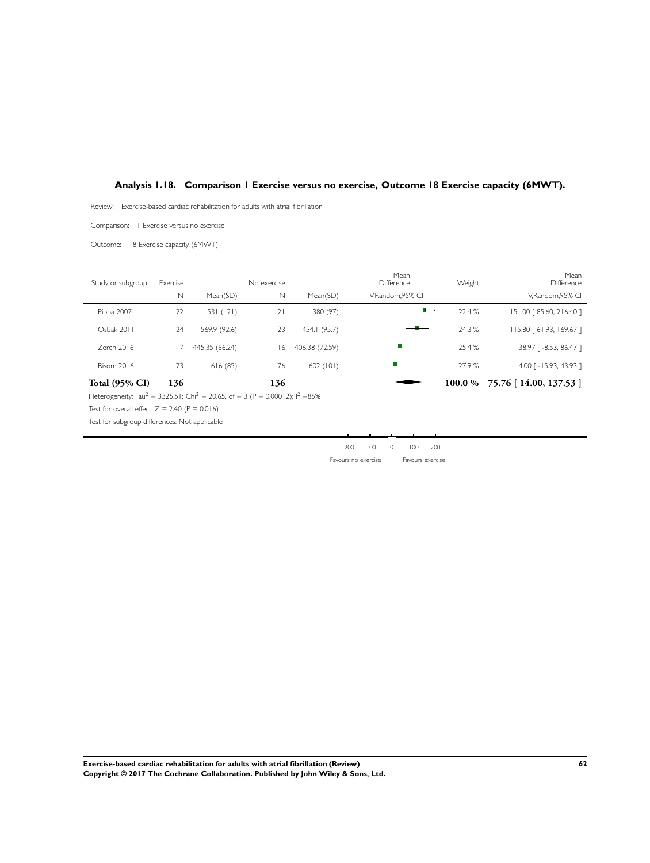## <span id="page-63-0"></span>**Analysis 1.18. Comparison 1 Exercise versus no exercise, Outcome 18 Exercise capacity (6MWT).**

Review: Exercise-based cardiac rehabilitation for adults with atrial fibrillation

Comparison: 1 Exercise versus no exercise

Outcome: 18 Exercise capacity (6MWT)

| Study or subgroup                                                                                         | Exercise    |                | No exercise |                | Mean<br>Difference    | Weight     | Mean<br>Difference            |
|-----------------------------------------------------------------------------------------------------------|-------------|----------------|-------------|----------------|-----------------------|------------|-------------------------------|
|                                                                                                           | $\mathbb N$ | Mean(SD)       | $\mathbb N$ | Mean(SD)       | IV, Random, 95% CI    |            | IV, Random, 95% CI            |
| Pippa 2007                                                                                                | 22          | 531 (121)      | 21          | 380 (97)       |                       | 22.4 %     | 151.00 [85.60, 216.40]        |
| Osbak 2011                                                                                                | 24          | 569.9 (92.6)   | 23          | 454.1 (95.7)   |                       | 24.3 %     | 115.80 [61.93, 169.67]        |
| Zeren 2016                                                                                                | 17          | 445.35 (66.24) | 16          | 406.38 (72.59) |                       | 25.4 %     | 38.97 [-8.53, 86.47]          |
| <b>Risom 2016</b>                                                                                         | 73          | 616(85)        | 76          | 602(101)       |                       | 27.9 %     | 14.00 [-15.93, 43.93]         |
| <b>Total (95% CI)</b>                                                                                     | 136         |                | 136         |                |                       |            | 100.0 % 75.76 [14.00, 137.53] |
| Heterogeneity: Tau <sup>2</sup> = 3325.51; Chi <sup>2</sup> = 20.65, df = 3 (P = 0.00012); $\vert^2$ =85% |             |                |             |                |                       |            |                               |
| Test for overall effect: $Z = 2.40$ (P = 0.016)                                                           |             |                |             |                |                       |            |                               |
| Test for subgroup differences: Not applicable                                                             |             |                |             |                |                       |            |                               |
|                                                                                                           |             |                |             |                |                       |            |                               |
|                                                                                                           |             |                |             |                | $-100$<br>$-200$<br>0 | 200<br>100 |                               |

Favours no exercise Favours exercise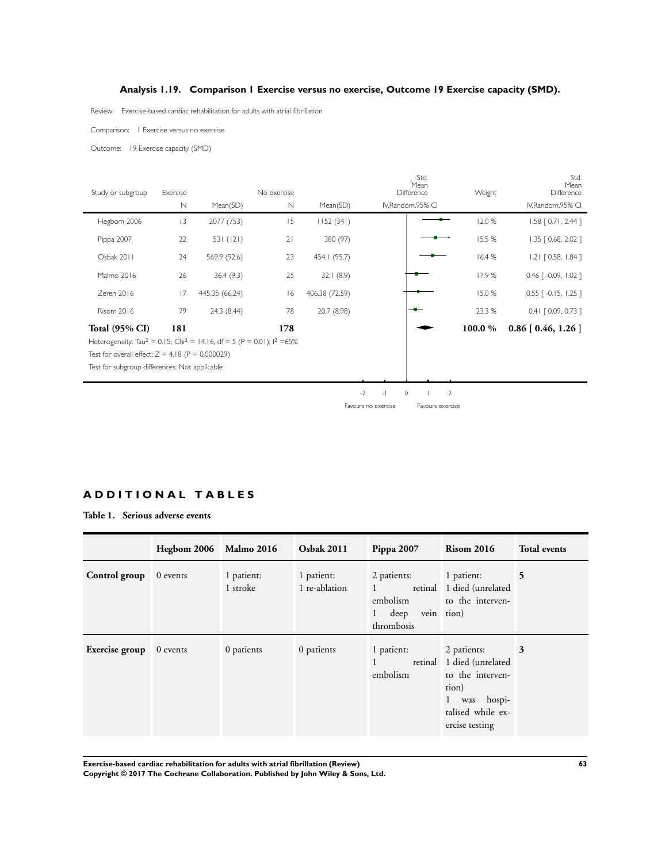#### **Analysis 1.19. Comparison 1 Exercise versus no exercise, Outcome 19 Exercise capacity (SMD).**

<span id="page-64-0"></span>Review: Exercise-based cardiac rehabilitation for adults with atrial fibrillation

Comparison: 1 Exercise versus no exercise

Outcome: 19 Exercise capacity (SMD)

| Study or subgroup                                                                                                                                | Exercise<br>$\mathbb N$                            | Mean(SD)       | No exercise<br>$\mathbb N$ | Mean(SD)       |              | Std.<br>Mean<br>Difference<br>IV, Random, 95% CI | Weight         | Std.<br>Mean<br>Difference<br>IV, Random, 95% CI |  |  |
|--------------------------------------------------------------------------------------------------------------------------------------------------|----------------------------------------------------|----------------|----------------------------|----------------|--------------|--------------------------------------------------|----------------|--------------------------------------------------|--|--|
| Hegbom 2006                                                                                                                                      | 3                                                  | 2077 (753)     | 15                         | 1152(341)      |              |                                                  | 12.0 %         | $1.58$ $[0.71, 2.44]$                            |  |  |
| Pippa 2007                                                                                                                                       | 22                                                 | 531 (121)      | 21                         | 380 (97)       |              |                                                  | 15.5 %         | $1.35$ $[0.68, 2.02]$                            |  |  |
| Osbak 2011                                                                                                                                       | 24                                                 | 569.9 (92.6)   | 23                         | 454.1 (95.7)   |              |                                                  | 16.4%          | $1.21$ $[0.58, 1.84]$                            |  |  |
| Malmo 2016                                                                                                                                       | 26                                                 | 36.4(9.3)      | 25                         | 32.1(8.9)      |              |                                                  | 17.9%          | $0.46$ $\lceil -0.09, 1.02 \rceil$               |  |  |
| Zeren 2016                                                                                                                                       | 17                                                 | 445.35 (66.24) | 16                         | 406.38 (72.59) |              |                                                  | 15.0%          | $0.55$ $\lceil -0.15, 1.25 \rceil$               |  |  |
| <b>Risom 2016</b>                                                                                                                                | 79                                                 | 24.3 (8.44)    | 78                         | 20.7 (8.98)    |              |                                                  | 23.3 %         | 0.41 [ 0.09, 0.73 ]                              |  |  |
| <b>Total (95% CI)</b><br>181<br>100.0%<br>178<br>Heterogeneity: Tau <sup>2</sup> = 0.15; Chi <sup>2</sup> = 14.16, df = 5 (P = 0.01); $1^2$ =65% |                                                    |                |                            |                |              |                                                  |                | $0.86$ [ 0.46, 1.26 ]                            |  |  |
|                                                                                                                                                  | Test for overall effect: $Z = 4.18$ (P = 0.000029) |                |                            |                |              |                                                  |                |                                                  |  |  |
| Test for subgroup differences: Not applicable                                                                                                    |                                                    |                |                            |                |              |                                                  |                |                                                  |  |  |
|                                                                                                                                                  |                                                    |                |                            |                | $-2$<br>$-1$ | $\Omega$                                         | $\overline{2}$ |                                                  |  |  |
| Favours exercise<br>Favours no exercise                                                                                                          |                                                    |                |                            |                |              |                                                  |                |                                                  |  |  |

# **A D D I T I O N A L T A B L E S**

**Table 1. Serious adverse events**

|                                | Hegbom 2006 Malmo 2016 |                        | <b>Osbak 2011</b>           | <b>Pippa 2007</b>                                                                 | <b>Risom 2016</b>                                                                                                                          | <b>Total events</b> |
|--------------------------------|------------------------|------------------------|-----------------------------|-----------------------------------------------------------------------------------|--------------------------------------------------------------------------------------------------------------------------------------------|---------------------|
| Control group                  | 0 events               | 1 patient:<br>1 stroke | 1 patient:<br>1 re-ablation | 2 patients:<br>$1 \quad \cdots$<br>embolism<br>deep vein tion)<br>1<br>thrombosis | 1 patient:<br>retinal 1 died (unrelated<br>to the interven-                                                                                | 5                   |
| <b>Exercise group</b> 0 events |                        | 0 patients             | 0 patients                  | 1 patient:<br>$\mathbf{1}$<br>embolism                                            | 2 patients:<br>retinal 1 died (unrelated<br>to the interven-<br>tion)<br>was hospi-<br>$\mathbf{1}$<br>talised while ex-<br>ercise testing | 3                   |

**Exercise-based cardiac rehabilitation for adults with atrial fibrillation (Review) 63 Copyright © 2017 The Cochrane Collaboration. Published by John Wiley & Sons, Ltd.**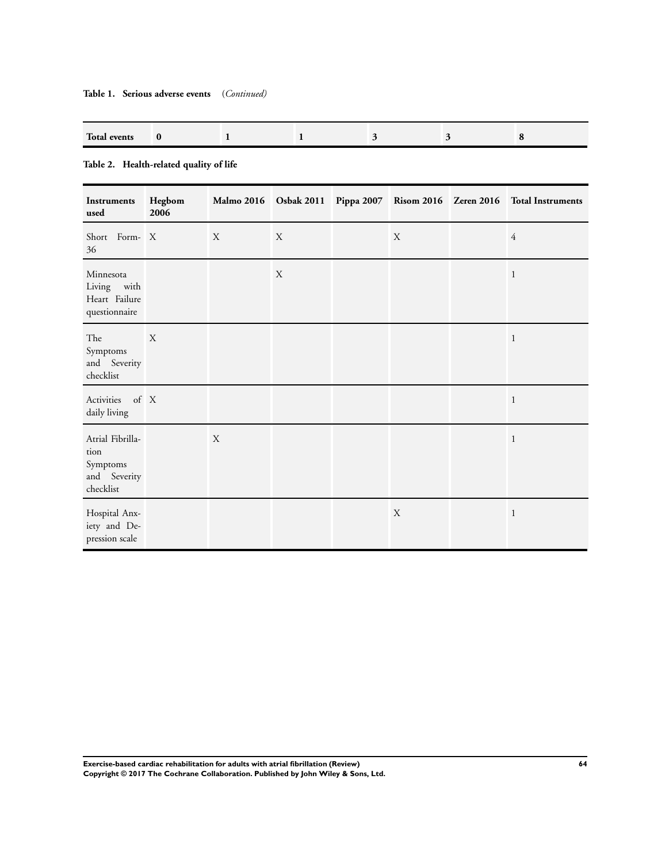#### **Table 1. Serious adverse events** (*Continued)*

| <b>Total events</b> | -0 |  |  |  |  |  |
|---------------------|----|--|--|--|--|--|
|---------------------|----|--|--|--|--|--|

**Table 2. Health-related quality of life**

| Instruments<br>used                                               | Hegbom<br>2006 |                  |   |             | Malmo 2016 Osbak 2011 Pippa 2007 Risom 2016 Zeren 2016 Total Instruments |
|-------------------------------------------------------------------|----------------|------------------|---|-------------|--------------------------------------------------------------------------|
| Short Form- X<br>36                                               |                | $\boldsymbol{X}$ | X | $\mathbf X$ | $\overline{4}$                                                           |
| Minnesota<br>Living with<br>Heart Failure<br>questionnaire        |                |                  | X |             | $\mathbf{1}$                                                             |
| The<br>Symptoms<br>and Severity<br>checklist                      | X              |                  |   |             | $\overline{1}$                                                           |
| of X<br>Activities<br>daily living                                |                |                  |   |             | $\mathbf{1}$                                                             |
| Atrial Fibrilla-<br>tion<br>Symptoms<br>and Severity<br>checklist |                | X                |   |             | 1                                                                        |
| Hospital Anx-<br>iety and De-<br>pression scale                   |                |                  |   | $\mathbf X$ | $\mathbf{1}$                                                             |

**Exercise-based cardiac rehabilitation for adults with atrial fibrillation (Review) 64 Copyright © 2017 The Cochrane Collaboration. Published by John Wiley & Sons, Ltd.**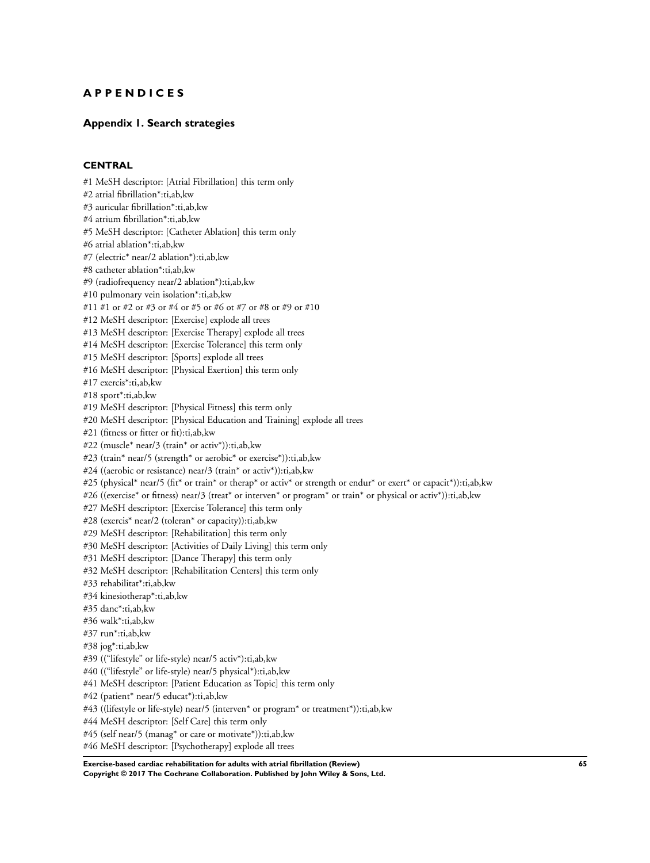## **A P P E N D I C E S**

#### **Appendix 1. Search strategies**

#### **CENTRAL**

#1 MeSH descriptor: [Atrial Fibrillation] this term only #2 atrial fibrillation\*:ti,ab,kw #3 auricular fibrillation\*:ti,ab,kw #4 atrium fibrillation\*:ti,ab,kw #5 MeSH descriptor: [Catheter Ablation] this term only #6 atrial ablation\*:ti,ab,kw #7 (electric\* near/2 ablation\*):ti,ab,kw #8 catheter ablation\*:ti,ab,kw #9 (radiofrequency near/2 ablation\*):ti,ab,kw #10 pulmonary vein isolation\*:ti,ab,kw #11 #1 or #2 or #3 or #4 or #5 or #6 ot #7 or #8 or #9 or #10 #12 MeSH descriptor: [Exercise] explode all trees #13 MeSH descriptor: [Exercise Therapy] explode all trees #14 MeSH descriptor: [Exercise Tolerance] this term only #15 MeSH descriptor: [Sports] explode all trees #16 MeSH descriptor: [Physical Exertion] this term only #17 exercis\*:ti,ab,kw #18 sport\*:ti,ab,kw #19 MeSH descriptor: [Physical Fitness] this term only #20 MeSH descriptor: [Physical Education and Training] explode all trees #21 (fitness or fitter or fit):ti,ab,kw #22 (muscle\* near/3 (train\* or activ\*)):ti,ab,kw #23 (train\* near/5 (strength\* or aerobic\* or exercise\*)):ti,ab,kw #24 ((aerobic or resistance) near/3 (train\* or activ\*)):ti,ab,kw #25 (physical\* near/5 (fit\* or train\* or therap\* or activ\* or strength or endur\* or exert\* or capacit\*)):ti,ab,kw #26 ((exercise\* or fitness) near/3 (treat\* or interven\* or program\* or train\* or physical or activ\*)):ti,ab,kw #27 MeSH descriptor: [Exercise Tolerance] this term only #28 (exercis\* near/2 (toleran\* or capacity)):ti,ab,kw #29 MeSH descriptor: [Rehabilitation] this term only #30 MeSH descriptor: [Activities of Daily Living] this term only #31 MeSH descriptor: [Dance Therapy] this term only #32 MeSH descriptor: [Rehabilitation Centers] this term only #33 rehabilitat\*:ti,ab,kw #34 kinesiotherap\*:ti,ab,kw #35 danc\*:ti,ab,kw #36 walk\*:ti,ab,kw #37 run\*:ti,ab,kw #38 jog\*:ti,ab,kw #39 (("lifestyle" or life-style) near/5 activ\*):ti,ab,kw #40 (("lifestyle" or life-style) near/5 physical\*):ti,ab,kw #41 MeSH descriptor: [Patient Education as Topic] this term only #42 (patient\* near/5 educat\*):ti,ab,kw #43 ((lifestyle or life-style) near/5 (interven\* or program\* or treatment\*)):ti,ab,kw #44 MeSH descriptor: [Self Care] this term only #45 (self near/5 (manag\* or care or motivate\*)):ti,ab,kw #46 MeSH descriptor: [Psychotherapy] explode all trees

**Exercise-based cardiac rehabilitation for adults with atrial fibrillation (Review) 65 Copyright © 2017 The Cochrane Collaboration. Published by John Wiley & Sons, Ltd.**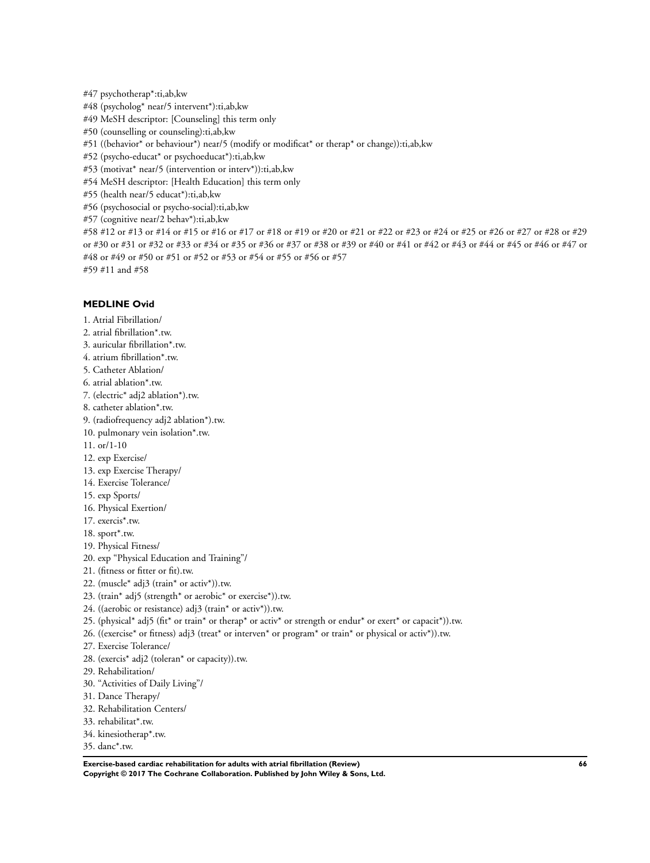#47 psychotherap\*:ti,ab,kw #48 (psycholog\* near/5 intervent\*):ti,ab,kw #49 MeSH descriptor: [Counseling] this term only #50 (counselling or counseling):ti,ab,kw #51 ((behavior\* or behaviour\*) near/5 (modify or modificat\* or therap\* or change)):ti,ab,kw #52 (psycho-educat\* or psychoeducat\*):ti,ab,kw #53 (motivat\* near/5 (intervention or interv\*)):ti,ab,kw #54 MeSH descriptor: [Health Education] this term only #55 (health near/5 educat\*):ti,ab,kw #56 (psychosocial or psycho-social):ti,ab,kw #57 (cognitive near/2 behav\*):ti,ab,kw #58 #12 or #13 or #14 or #15 or #16 or #17 or #18 or #19 or #20 or #21 or #22 or #23 or #24 or #25 or #26 or #27 or #28 or #29 or #30 or #31 or #32 or #33 or #34 or #35 or #36 or #37 or #38 or #39 or #40 or #41 or #42 or #43 or #44 or #45 or #46 or #47 or #48 or #49 or #50 or #51 or #52 or #53 or #54 or #55 or #56 or #57 #59 #11 and #58

**MEDLINE Ovid**

- 1. Atrial Fibrillation/
- 2. atrial fibrillation\*.tw.
- 3. auricular fibrillation\*.tw.
- 4. atrium fibrillation\*.tw.
- 5. Catheter Ablation/
- 6. atrial ablation\*.tw.
- 7. (electric\* adj2 ablation\*).tw.
- 8. catheter ablation\*.tw.
- 9. (radiofrequency adj2 ablation\*).tw.
- 10. pulmonary vein isolation\*.tw.
- 11. or/1-10
- 12. exp Exercise/
- 13. exp Exercise Therapy/
- 14. Exercise Tolerance/
- 15. exp Sports/
- 16. Physical Exertion/
- 17. exercis\*.tw.
- 18. sport\*.tw.
- 19. Physical Fitness/
- 20. exp "Physical Education and Training"/
- 21. (fitness or fitter or fit).tw.
- 22. (muscle\* adj3 (train\* or activ\*)).tw.
- 23. (train\* adj5 (strength\* or aerobic\* or exercise\*)).tw.
- 24. ((aerobic or resistance) adj3 (train\* or activ\*)).tw.
- 25. (physical\* adj5 (fit\* or train\* or therap\* or activ\* or strength or endur\* or exert\* or capacit\*)).tw.
- 26. ((exercise\* or fitness) adj3 (treat\* or interven\* or program\* or train\* or physical or activ\*)).tw.
- 27. Exercise Tolerance/
- 28. (exercis\* adj2 (toleran\* or capacity)).tw.
- 29. Rehabilitation/
- 30. "Activities of Daily Living"/
- 31. Dance Therapy/
- 32. Rehabilitation Centers/
- 33. rehabilitat\*.tw.
- 34. kinesiotherap\*.tw.
- 35. danc\*.tw.

**Exercise-based cardiac rehabilitation for adults with atrial fibrillation (Review) 66 Copyright © 2017 The Cochrane Collaboration. Published by John Wiley & Sons, Ltd.**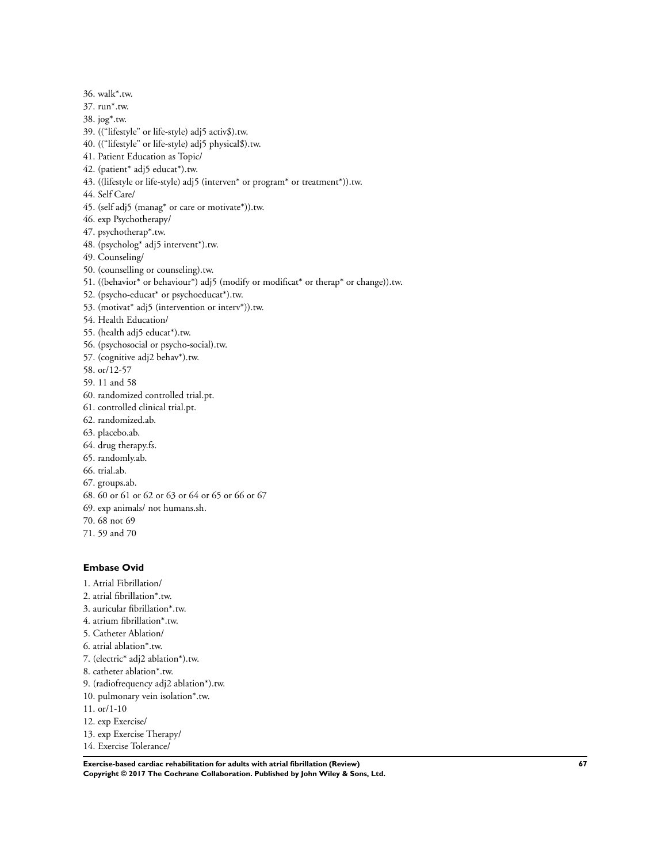36. walk\*.tw. 37. run\*.tw. 38. jog\*.tw. 39. (("lifestyle" or life-style) adj5 activ\$).tw. 40. (("lifestyle" or life-style) adj5 physical\$).tw. 41. Patient Education as Topic/ 42. (patient\* adj5 educat\*).tw. 43. ((lifestyle or life-style) adj5 (interven\* or program\* or treatment\*)).tw. 44. Self Care/ 45. (self adj5 (manag\* or care or motivate\*)).tw. 46. exp Psychotherapy/ 47. psychotherap\*.tw. 48. (psycholog\* adj5 intervent\*).tw. 49. Counseling/ 50. (counselling or counseling).tw. 51. ((behavior\* or behaviour\*) adj5 (modify or modificat\* or therap\* or change)).tw. 52. (psycho-educat\* or psychoeducat\*).tw. 53. (motivat\* adj5 (intervention or interv\*)).tw. 54. Health Education/ 55. (health adj5 educat\*).tw. 56. (psychosocial or psycho-social).tw. 57. (cognitive adj2 behav\*).tw. 58. or/12-57 59. 11 and 58 60. randomized controlled trial.pt. 61. controlled clinical trial.pt. 62. randomized.ab. 63. placebo.ab. 64. drug therapy.fs. 65. randomly.ab.

- 
- 66. trial.ab.
- 67. groups.ab.
- 68. 60 or 61 or 62 or 63 or 64 or 65 or 66 or 67
- 69. exp animals/ not humans.sh.
- 70. 68 not 69
- 71. 59 and 70

#### **Embase Ovid**

- 1. Atrial Fibrillation/
- 2. atrial fibrillation\*.tw.
- 3. auricular fibrillation\*.tw.
- 4. atrium fibrillation\*.tw.
- 5. Catheter Ablation/
- 6. atrial ablation\*.tw.
- 7. (electric\* adj2 ablation\*).tw.
- 8. catheter ablation\*.tw.
- 9. (radiofrequency adj2 ablation\*).tw.
- 10. pulmonary vein isolation\*.tw.
- 11. or/1-10
- 12. exp Exercise/
- 13. exp Exercise Therapy/
- 14. Exercise Tolerance/

**Exercise-based cardiac rehabilitation for adults with atrial fibrillation (Review) 67 Copyright © 2017 The Cochrane Collaboration. Published by John Wiley & Sons, Ltd.**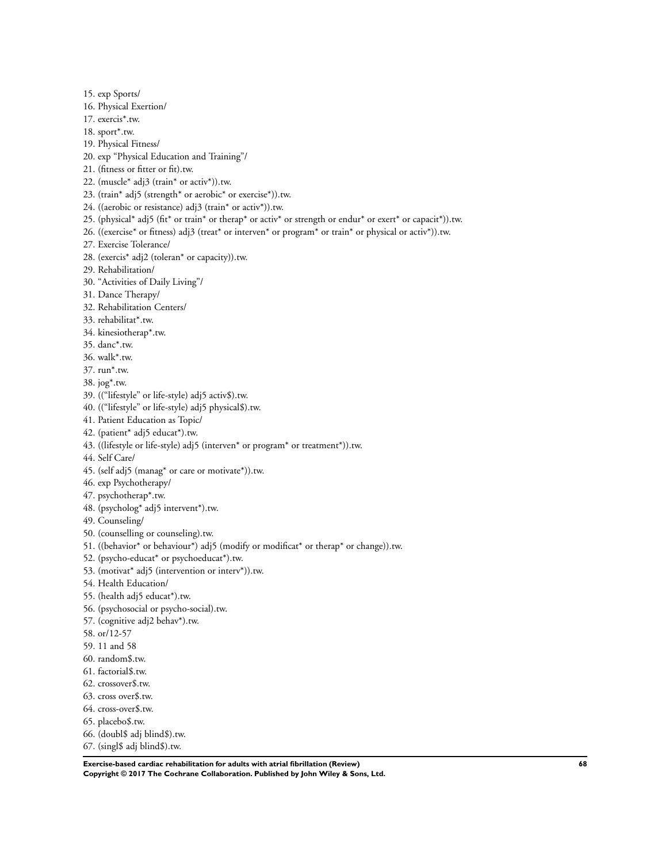15. exp Sports/

- 16. Physical Exertion/
- 17. exercis\*.tw.
- 18. sport\*.tw.
- 19. Physical Fitness/
- 20. exp "Physical Education and Training"/
- 21. (fitness or fitter or fit).tw.
- 22. (muscle\* adj3 (train\* or activ\*)).tw.
- 23. (train\* adj5 (strength\* or aerobic\* or exercise\*)).tw.
- 24. ((aerobic or resistance) adj3 (train\* or activ\*)).tw.
- 25. (physical\* adj5 (fit\* or train\* or therap\* or activ\* or strength or endur\* or exert\* or capacit\*)).tw.
- 26. ((exercise\* or fitness) adj3 (treat\* or interven\* or program\* or train\* or physical or activ\*)).tw.
- 27. Exercise Tolerance/
- 28. (exercis\* adj2 (toleran\* or capacity)).tw.
- 29. Rehabilitation/
- 30. "Activities of Daily Living"/
- 31. Dance Therapy/
- 32. Rehabilitation Centers/
- 33. rehabilitat\*.tw.
- 34. kinesiotherap\*.tw.
- 35. danc\*.tw.
- 36. walk\*.tw.
- 37. run\*.tw.
- 38. jog\*.tw.
- 39. (("lifestyle" or life-style) adj5 activ\$).tw.
- 40. (("lifestyle" or life-style) adj5 physical\$).tw.
- 41. Patient Education as Topic/
- 42. (patient\* adj5 educat\*).tw.
- 43. ((lifestyle or life-style) adj5 (interven\* or program\* or treatment\*)).tw.
- 44. Self Care/
- 45. (self adj5 (manag\* or care or motivate\*)).tw.
- 46. exp Psychotherapy/
- 47. psychotherap\*.tw.
- 48. (psycholog\* adj5 intervent\*).tw.
- 49. Counseling/
- 50. (counselling or counseling).tw.
- 51. ((behavior\* or behaviour\*) adj5 (modify or modificat\* or therap\* or change)).tw.
- 52. (psycho-educat\* or psychoeducat\*).tw.
- 53. (motivat\* adj5 (intervention or interv\*)).tw.
- 54. Health Education/
- 55. (health adj5 educat\*).tw.
- 56. (psychosocial or psycho-social).tw.
- 57. (cognitive adj2 behav\*).tw.
- 58. or/12-57
- 59. 11 and 58
- 60. random\$.tw.
- 61. factorial\$.tw.
- 62. crossover\$.tw.
- 63. cross over\$.tw.
- 64. cross-over\$.tw.
- 65. placebo\$.tw.
- 66. (doubl\$ adj blind\$).tw.
- 67. (singl\$ adj blind\$).tw.

**Exercise-based cardiac rehabilitation for adults with atrial fibrillation (Review) 68 Copyright © 2017 The Cochrane Collaboration. Published by John Wiley & Sons, Ltd.**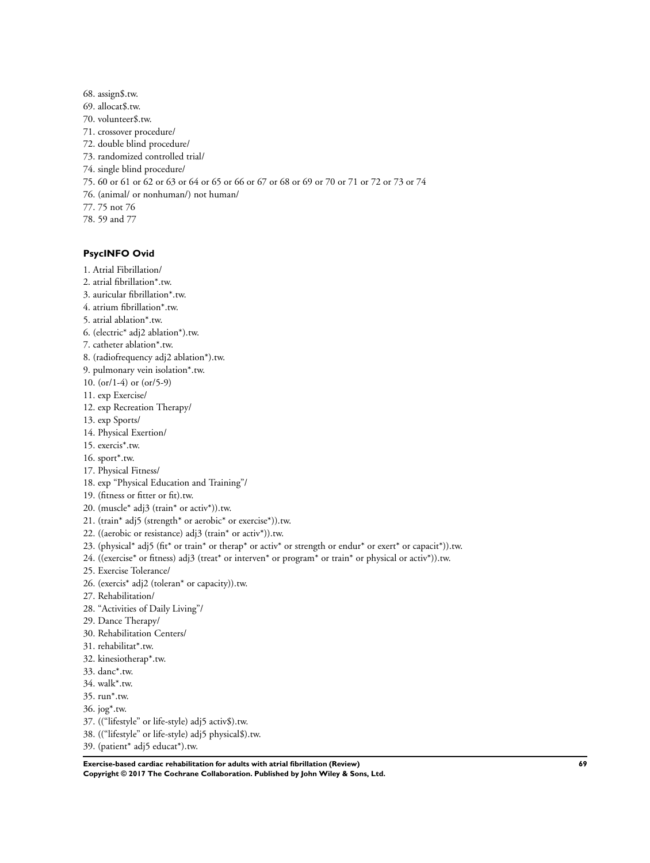68. assign\$.tw. 69. allocat\$.tw. 70. volunteer\$.tw. 71. crossover procedure/ 72. double blind procedure/ 73. randomized controlled trial/ 74. single blind procedure/ 75. 60 or 61 or 62 or 63 or 64 or 65 or 66 or 67 or 68 or 69 or 70 or 71 or 72 or 73 or 74 76. (animal/ or nonhuman/) not human/ 77. 75 not 76 78. 59 and 77

# **PsycINFO Ovid**

#### 1. Atrial Fibrillation/

- 2. atrial fibrillation\*.tw.
- 3. auricular fibrillation\*.tw.
- 4. atrium fibrillation\*.tw.
- 5. atrial ablation\*.tw.
- 6. (electric\* adj2 ablation\*).tw.
- 7. catheter ablation\*.tw.
- 8. (radiofrequency adj2 ablation\*).tw.
- 9. pulmonary vein isolation\*.tw.
- 10. (or/1-4) or (or/5-9)
- 11. exp Exercise/
- 12. exp Recreation Therapy/
- 13. exp Sports/
- 14. Physical Exertion/
- 15. exercis\*.tw.
- 16. sport\*.tw.
- 17. Physical Fitness/
- 18. exp "Physical Education and Training"/
- 19. (fitness or fitter or fit).tw.
- 20. (muscle\* adj3 (train\* or activ\*)).tw.
- 21. (train\* adj5 (strength\* or aerobic\* or exercise\*)).tw.
- 22. ((aerobic or resistance) adj3 (train\* or activ\*)).tw.
- 23. (physical\* adj5 (fit\* or train\* or therap\* or activ\* or strength or endur\* or exert\* or capacit\*)).tw.
- 24. ((exercise\* or fitness) adj3 (treat\* or interven\* or program\* or train\* or physical or activ\*)).tw.
- 25. Exercise Tolerance/
- 26. (exercis\* adj2 (toleran\* or capacity)).tw.
- 27. Rehabilitation/
- 28. "Activities of Daily Living"/
- 29. Dance Therapy/
- 30. Rehabilitation Centers/
- 31. rehabilitat\*.tw.
- 32. kinesiotherap\*.tw.
- 33. danc\*.tw.
- 34. walk\*.tw.
- 35. run\*.tw.
- 36. jog\*.tw.
- 37. (("lifestyle" or life-style) adj5 activ\$).tw.
- 38. (("lifestyle" or life-style) adj5 physical\$).tw.
- 39. (patient\* adj5 educat\*).tw.

**Exercise-based cardiac rehabilitation for adults with atrial fibrillation (Review) 69 Copyright © 2017 The Cochrane Collaboration. Published by John Wiley & Sons, Ltd.**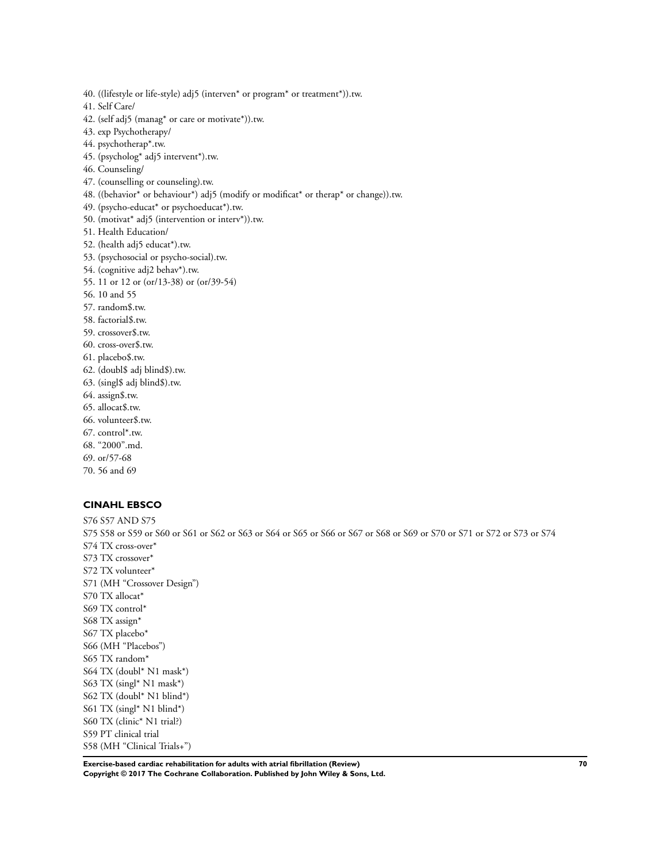- 40. ((lifestyle or life-style) adj5 (interven\* or program\* or treatment\*)).tw.
- 41. Self Care/
- 42. (self adj5 (manag\* or care or motivate\*)).tw.
- 43. exp Psychotherapy/
- 44. psychotherap\*.tw.
- 45. (psycholog\* adj5 intervent\*).tw.
- 46. Counseling/
- 47. (counselling or counseling).tw.
- 48. ((behavior\* or behaviour\*) adj5 (modify or modificat\* or therap\* or change)).tw.
- 49. (psycho-educat\* or psychoeducat\*).tw.
- 50. (motivat\* adj5 (intervention or interv\*)).tw.
- 51. Health Education/
- 52. (health adj5 educat\*).tw.
- 53. (psychosocial or psycho-social).tw.
- 54. (cognitive adj2 behav\*).tw.
- 55. 11 or 12 or (or/13-38) or (or/39-54)
- 56. 10 and 55
- 57. random\$.tw.
- 58. factorial\$.tw.
- 59. crossover\$.tw.
- 60. cross-over\$.tw.
- 61. placebo\$.tw.
- 62. (doubl\$ adj blind\$).tw.
- 63. (singl\$ adj blind\$).tw.
- 64. assign\$.tw.
- 65. allocat\$.tw.
- 66. volunteer\$.tw.
- 67. control\*.tw.
- 68. "2000".md.
- 69. or/57-68
- 70. 56 and 69

#### **CINAHL EBSCO**

S58 (MH "Clinical Trials+")

S76 S57 AND S75 S75 S58 or S59 or S60 or S61 or S62 or S63 or S64 or S65 or S66 or S67 or S68 or S69 or S70 or S71 or S72 or S73 or S74 S74 TX cross-over\* S73 TX crossover\* S72 TX volunteer\* S71 (MH "Crossover Design") S70 TX allocat\* S69 TX control\* S68 TX assign\* S67 TX placebo\* S66 (MH "Placebos") S65 TX random\* S64 TX (doubl\* N1 mask\*) S63 TX (singl\* N1 mask\*) S62 TX (doubl\* N1 blind\*) S61 TX (singl\* N1 blind\*) S60 TX (clinic\* N1 trial?) S59 PT clinical trial

**Exercise-based cardiac rehabilitation for adults with atrial fibrillation (Review) 70 Copyright © 2017 The Cochrane Collaboration. Published by John Wiley & Sons, Ltd.**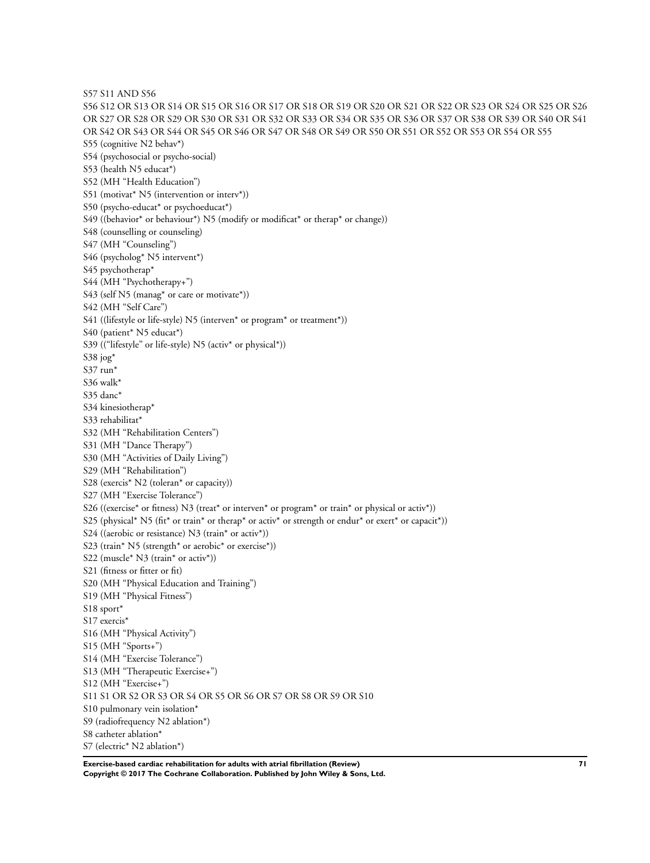S57 S11 AND S56

S56 S12 OR S13 OR S14 OR S15 OR S16 OR S17 OR S18 OR S19 OR S20 OR S21 OR S22 OR S23 OR S24 OR S25 OR S26 OR S27 OR S28 OR S29 OR S30 OR S31 OR S32 OR S33 OR S34 OR S35 OR S36 OR S37 OR S38 OR S39 OR S40 OR S41 OR S42 OR S43 OR S44 OR S45 OR S46 OR S47 OR S48 OR S49 OR S50 OR S51 OR S52 OR S53 OR S54 OR S55 S55 (cognitive N2 behav\*) S54 (psychosocial or psycho-social) S53 (health N5 educat\*) S52 (MH "Health Education") S51 (motivat\* N5 (intervention or interv\*)) S50 (psycho-educat\* or psychoeducat\*) S49 ((behavior\* or behaviour\*) N5 (modify or modificat\* or therap\* or change)) S48 (counselling or counseling) S47 (MH "Counseling") S46 (psycholog\* N5 intervent\*) S45 psychotherap\* S44 (MH "Psychotherapy+") S43 (self N5 (manag\* or care or motivate\*)) S42 (MH "Self Care") S41 ((lifestyle or life-style) N5 (interven\* or program\* or treatment\*)) S40 (patient\* N5 educat\*) S39 (("lifestyle" or life-style) N5 (activ\* or physical\*)) S38 jog\* S37 run\* S36 walk\* S35 danc\* S34 kinesiotherap\* S33 rehabilitat\* S32 (MH "Rehabilitation Centers") S31 (MH "Dance Therapy") S30 (MH "Activities of Daily Living") S29 (MH "Rehabilitation") S28 (exercis\* N2 (toleran\* or capacity)) S27 (MH "Exercise Tolerance") S26 ((exercise\* or fitness) N3 (treat\* or interven\* or program\* or train\* or physical or activ\*)) S25 (physical\* N5 (fit\* or train\* or therap\* or activ\* or strength or endur\* or exert\* or capacit\*)) S24 ((aerobic or resistance) N3 (train\* or activ\*)) S23 (train\* N5 (strength\* or aerobic\* or exercise\*)) S22 (muscle\* N3 (train\* or activ\*)) S21 (fitness or fitter or fit) S20 (MH "Physical Education and Training") S19 (MH "Physical Fitness") S<sub>18</sub> sport\* S17 exercis\* S16 (MH "Physical Activity") S15 (MH "Sports+") S14 (MH "Exercise Tolerance") S13 (MH "Therapeutic Exercise+") S12 (MH "Exercise+") S11 S1 OR S2 OR S3 OR S4 OR S5 OR S6 OR S7 OR S8 OR S9 OR S10 S10 pulmonary vein isolation\* S9 (radiofrequency N2 ablation\*) S8 catheter ablation\* S7 (electric\* N2 ablation\*)

**Exercise-based cardiac rehabilitation for adults with atrial fibrillation (Review) 71 Copyright © 2017 The Cochrane Collaboration. Published by John Wiley & Sons, Ltd.**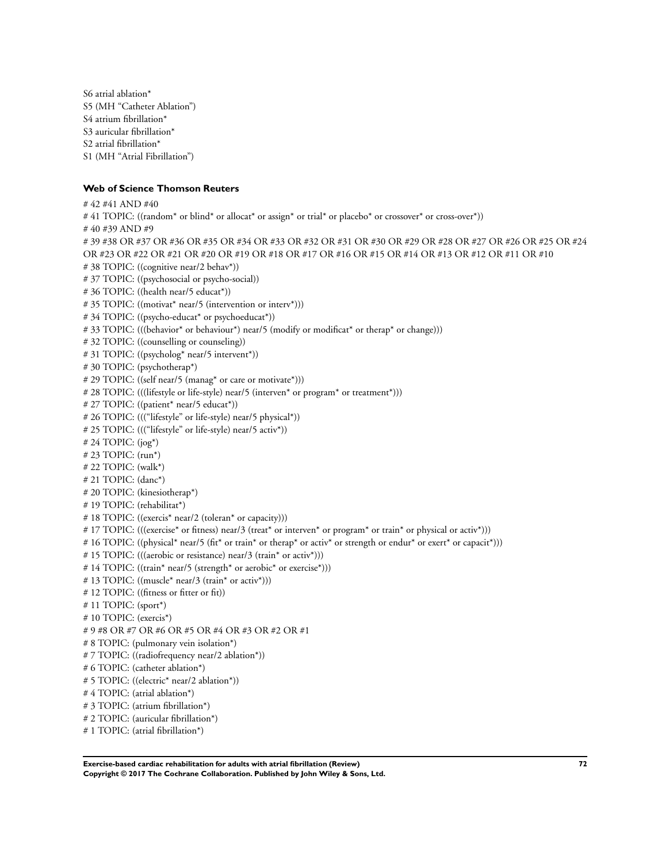S6 atrial ablation\* S5 (MH "Catheter Ablation") S4 atrium fibrillation\* S3 auricular fibrillation\* S2 atrial fibrillation\* S1 (MH "Atrial Fibrillation")

## **Web of Science Thomson Reuters**

- # 42 #41 AND #40 # 41 TOPIC: ((random\* or blind\* or allocat\* or assign\* or trial\* or placebo\* or crossover\* or cross-over\*)) # 40 #39 AND #9 # 39 #38 OR #37 OR #36 OR #35 OR #34 OR #33 OR #32 OR #31 OR #30 OR #29 OR #28 OR #27 OR #26 OR #25 OR #24 OR #23 OR #22 OR #21 OR #20 OR #19 OR #18 OR #17 OR #16 OR #15 OR #14 OR #13 OR #12 OR #11 OR #10 # 38 TOPIC: ((cognitive near/2 behav\*)) # 37 TOPIC: ((psychosocial or psycho-social)) # 36 TOPIC: ((health near/5 educat\*)) # 35 TOPIC: ((motivat\* near/5 (intervention or interv\*))) # 34 TOPIC: ((psycho-educat\* or psychoeducat\*)) # 33 TOPIC: (((behavior\* or behaviour\*) near/5 (modify or modificat\* or therap\* or change))) # 32 TOPIC: ((counselling or counseling)) # 31 TOPIC: ((psycholog\* near/5 intervent\*)) # 30 TOPIC: (psychotherap\*) # 29 TOPIC: ((self near/5 (manag\* or care or motivate\*))) # 28 TOPIC: (((lifestyle or life-style) near/5 (interven\* or program\* or treatment\*))) # 27 TOPIC: ((patient\* near/5 educat\*)) # 26 TOPIC: ((("lifestyle" or life-style) near/5 physical\*)) # 25 TOPIC: ((("lifestyle" or life-style) near/5 activ\*))  $\#$  24 TOPIC: (jog\*) # 23 TOPIC: (run\*) # 22 TOPIC: (walk\*) # 21 TOPIC: (danc\*) # 20 TOPIC: (kinesiotherap\*) # 19 TOPIC: (rehabilitat\*) # 18 TOPIC: ((exercis<sup>\*</sup> near/2 (toleran<sup>\*</sup> or capacity))) # 17 TOPIC: (((exercise\* or fitness) near/3 (treat\* or interven\* or program\* or train\* or physical or activ\*))) # 16 TOPIC: ((physical\* near/5 (fit\* or train\* or therap\* or activ\* or strength or endur\* or exert\* or capacit\*))) # 15 TOPIC: (((aerobic or resistance) near/3 (train\* or activ\*))) # 14 TOPIC: ((train\* near/5 (strength\* or aerobic\* or exercise\*))) # 13 TOPIC: ((muscle\* near/3 (train\* or activ\*))) # 12 TOPIC: ((fitness or fitter or fit)) # 11 TOPIC: (sport\*) # 10 TOPIC: (exercis\*) # 9 #8 OR #7 OR #6 OR #5 OR #4 OR #3 OR #2 OR #1 # 8 TOPIC: (pulmonary vein isolation\*) # 7 TOPIC: ((radiofrequency near/2 ablation\*)) # 6 TOPIC: (catheter ablation\*) # 5 TOPIC: ((electric\* near/2 ablation\*)) # 4 TOPIC: (atrial ablation\*) # 3 TOPIC: (atrium fibrillation\*)
- # 2 TOPIC: (auricular fibrillation\*)
- # 1 TOPIC: (atrial fibrillation\*)

**Exercise-based cardiac rehabilitation for adults with atrial fibrillation (Review) 72 Copyright © 2017 The Cochrane Collaboration. Published by John Wiley & Sons, Ltd.**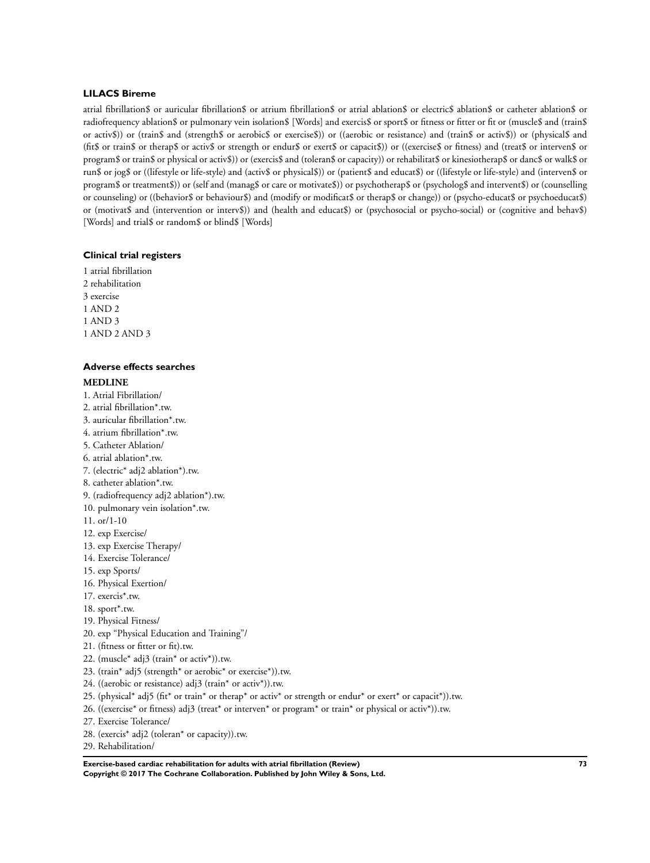## **LILACS Bireme**

atrial fibrillation\$ or auricular fibrillation\$ or atrium fibrillation\$ or atrial ablation\$ or electric\$ ablation\$ or catheter ablation\$ or radiofrequency ablation\$ or pulmonary vein isolation\$ [Words] and exercis\$ or sport\$ or fitness or fitter or fit or (muscle\$ and (train\$ or activ\$)) or (train\$ and (strength\$ or aerobic\$ or exercise\$)) or ((aerobic or resistance) and (train\$ or activ\$)) or (physical\$ and (fit\$ or train\$ or therap\$ or activ\$ or strength or endur\$ or exert\$ or capacit\$)) or ((exercise\$ or fitness) and (treat\$ or interven\$ or program\$ or train\$ or physical or activ\$)) or (exercis\$ and (toleran\$ or capacity)) or rehabilitat\$ or kinesiotherap\$ or danc\$ or walk\$ or run\$ or jog\$ or ((lifestyle or life-style) and (activ\$ or physical\$)) or (patient\$ and educat\$) or ((lifestyle or life-style) and (interven\$ or program\$ or treatment\$)) or (self and (manag\$ or care or motivate\$)) or psychotherap\$ or (psycholog\$ and intervent\$) or (counselling or counseling) or ((behavior\$ or behaviour\$) and (modify or modificat\$ or therap\$ or change)) or (psycho-educat\$ or psychoeducat\$) or (motivat\$ and (intervention or interv\$)) and (health and educat\$) or (psychosocial or psycho-social) or (cognitive and behav\$) [Words] and trial\$ or random\$ or blind\$ [Words]

## **Clinical trial registers**

1 atrial fibrillation 2 rehabilitation 3 exercise 1 AND 2 1 AND 3 1 AND 2 AND 3

## **Adverse effects searches**

### **MEDLINE**

- 1. Atrial Fibrillation/
- 2. atrial fibrillation\*.tw.
- 3. auricular fibrillation\*.tw.
- 4. atrium fibrillation\*.tw.
- 5. Catheter Ablation/
- 6. atrial ablation\*.tw.
- 7. (electric\* adj2 ablation\*).tw.
- 8. catheter ablation\*.tw.
- 9. (radiofrequency adj2 ablation\*).tw.
- 10. pulmonary vein isolation\*.tw.
- 11. or/1-10
- 12. exp Exercise/
- 13. exp Exercise Therapy/
- 14. Exercise Tolerance/
- 15. exp Sports/
- 16. Physical Exertion/
- 17. exercis\*.tw.
- 18. sport\*.tw.
- 19. Physical Fitness/
- 20. exp "Physical Education and Training"/
- 21. (fitness or fitter or fit).tw.
- 22. (muscle\* adj3 (train\* or activ\*)).tw.
- 23. (train\* adj5 (strength\* or aerobic\* or exercise\*)).tw.
- 24. ((aerobic or resistance) adj3 (train\* or activ\*)).tw.
- 25. (physical\* adj5 (fit\* or train\* or therap\* or activ\* or strength or endur\* or exert\* or capacit\*)).tw.
- 26. ((exercise\* or fitness) adj3 (treat\* or interven\* or program\* or train\* or physical or activ\*)).tw.
- 27. Exercise Tolerance/
- 28. (exercis\* adj2 (toleran\* or capacity)).tw.
- 29. Rehabilitation/

**Exercise-based cardiac rehabilitation for adults with atrial fibrillation (Review) 73 Copyright © 2017 The Cochrane Collaboration. Published by John Wiley & Sons, Ltd.**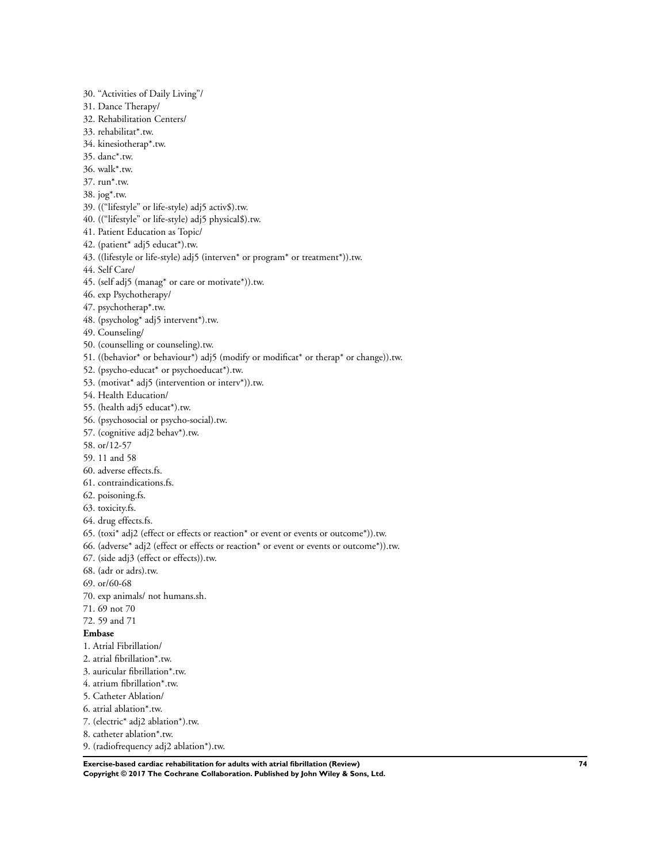- 30. "Activities of Daily Living"/
- 31. Dance Therapy/
- 32. Rehabilitation Centers/
- 33. rehabilitat\*.tw.
- 34. kinesiotherap\*.tw.
- 35. danc\*.tw.
- 36. walk\*.tw.
- 37. run\*.tw.
- 38. jog\*.tw.
- 39. (("lifestyle" or life-style) adj5 activ\$).tw.
- 40. (("lifestyle" or life-style) adj5 physical\$).tw.
- 41. Patient Education as Topic/
- 42. (patient\* adj5 educat\*).tw.
- 43. ((lifestyle or life-style) adj5 (interven\* or program\* or treatment\*)).tw.
- 44. Self Care/
- 45. (self adj5 (manag\* or care or motivate\*)).tw.
- 46. exp Psychotherapy/
- 47. psychotherap\*.tw.
- 48. (psycholog\* adj5 intervent\*).tw.
- 49. Counseling/
- 50. (counselling or counseling).tw.
- 51. ((behavior\* or behaviour\*) adj5 (modify or modificat\* or therap\* or change)).tw.
- 52. (psycho-educat\* or psychoeducat\*).tw.
- 53. (motivat\* adj5 (intervention or interv\*)).tw.
- 54. Health Education/
- 55. (health adj5 educat\*).tw.
- 56. (psychosocial or psycho-social).tw.
- 57. (cognitive adj2 behav\*).tw.
- 58. or/12-57
- 59. 11 and 58
- 60. adverse effects.fs.
- 61. contraindications.fs.
- 62. poisoning.fs.
- 63. toxicity.fs.
- 64. drug effects.fs.
- 65. (toxi\* adj2 (effect or effects or reaction\* or event or events or outcome\*)).tw.
- 66. (adverse\* adj2 (effect or effects or reaction\* or event or events or outcome\*)).tw.
- 67. (side adj3 (effect or effects)).tw.
- 68. (adr or adrs).tw.
- 69. or/60-68
- 70. exp animals/ not humans.sh.
- 71. 69 not 70
- 72. 59 and 71

## **Embase**

- 1. Atrial Fibrillation/
- 2. atrial fibrillation\*.tw.
- 3. auricular fibrillation\*.tw.
- 4. atrium fibrillation\*.tw.
- 5. Catheter Ablation/
- 6. atrial ablation\*.tw.
- 7. (electric\* adj2 ablation\*).tw.
- 8. catheter ablation\*.tw.
- 9. (radiofrequency adj2 ablation\*).tw.

**Exercise-based cardiac rehabilitation for adults with atrial fibrillation (Review) 74 Copyright © 2017 The Cochrane Collaboration. Published by John Wiley & Sons, Ltd.**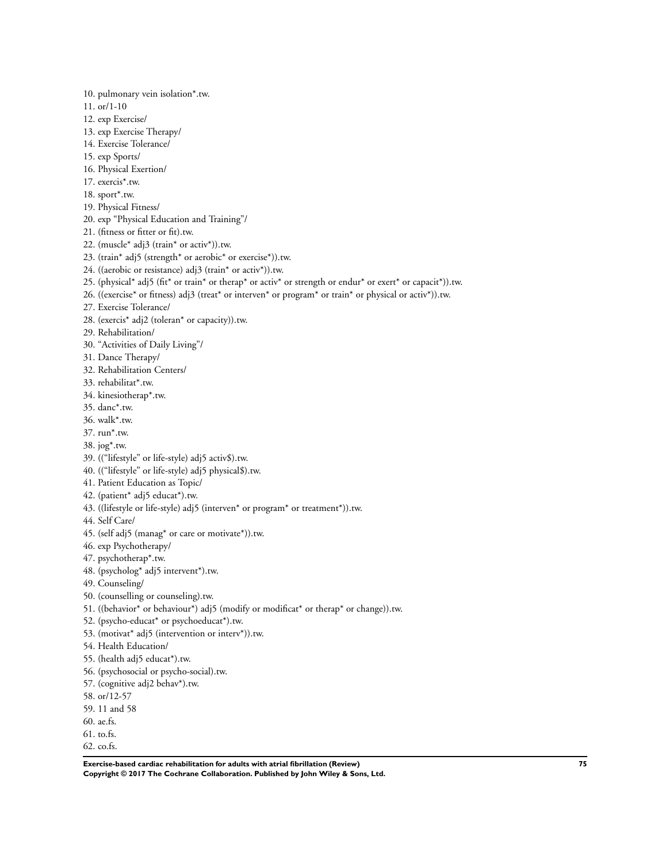10. pulmonary vein isolation\*.tw.

- 11. or/1-10
- 12. exp Exercise/
- 13. exp Exercise Therapy/
- 14. Exercise Tolerance/
- 15. exp Sports/
- 16. Physical Exertion/
- 17. exercis\*.tw.
- 18. sport\*.tw.
- 19. Physical Fitness/
- 20. exp "Physical Education and Training"/
- 21. (fitness or fitter or fit).tw.
- 22. (muscle\* adj3 (train\* or activ\*)).tw.
- 23. (train\* adj5 (strength\* or aerobic\* or exercise\*)).tw.
- 24. ((aerobic or resistance) adj3 (train\* or activ\*)).tw.
- 25. (physical\* adj5 (fit\* or train\* or therap\* or activ\* or strength or endur\* or exert\* or capacit\*)).tw.
- 26. ((exercise\* or fitness) adj3 (treat\* or interven\* or program\* or train\* or physical or activ\*)).tw.
- 27. Exercise Tolerance/
- 28. (exercis\* adj2 (toleran\* or capacity)).tw.
- 29. Rehabilitation/
- 30. "Activities of Daily Living"/
- 31. Dance Therapy/
- 32. Rehabilitation Centers/
- 33. rehabilitat\*.tw.
- 34. kinesiotherap\*.tw.
- 35. danc\*.tw.
- 36. walk\*.tw.
- 37. run\*.tw.
- 38. jog\*.tw.
- 39. (("lifestyle" or life-style) adj5 activ\$).tw.
- 40. (("lifestyle" or life-style) adj5 physical\$).tw.
- 41. Patient Education as Topic/
- 42. (patient\* adj5 educat\*).tw.
- 43. ((lifestyle or life-style) adj5 (interven\* or program\* or treatment\*)).tw.
- 44. Self Care/
- 45. (self adj5 (manag\* or care or motivate\*)).tw.
- 46. exp Psychotherapy/
- 47. psychotherap\*.tw.
- 48. (psycholog\* adj5 intervent\*).tw.
- 49. Counseling/
- 50. (counselling or counseling).tw.
- 51. ((behavior\* or behaviour\*) adj5 (modify or modificat\* or therap\* or change)).tw.
- 52. (psycho-educat\* or psychoeducat\*).tw.
- 53. (motivat\* adj5 (intervention or interv\*)).tw.
- 54. Health Education/
- 55. (health adj5 educat\*).tw.
- 56. (psychosocial or psycho-social).tw.
- 57. (cognitive adj2 behav\*).tw.
- 58. or/12-57
- 59. 11 and 58
- 60. ae.fs.
- 61. to.fs.
- 62. co.fs.

**Exercise-based cardiac rehabilitation for adults with atrial fibrillation (Review) 75 Copyright © 2017 The Cochrane Collaboration. Published by John Wiley & Sons, Ltd.**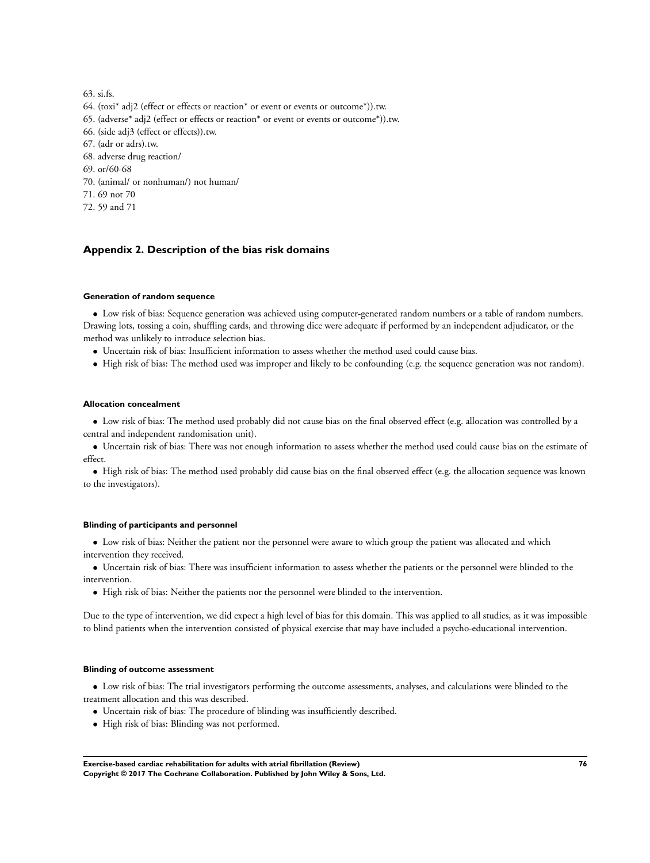63. si.fs. 64. (toxi<sup>\*</sup> adj2 (effect or effects or reaction<sup>\*</sup> or event or events or outcome<sup>\*</sup>)).tw. 65. (adverse\* adj2 (effect or effects or reaction\* or event or events or outcome\*)).tw. 66. (side adj3 (effect or effects)).tw. 67. (adr or adrs).tw. 68. adverse drug reaction/ 69. or/60-68 70. (animal/ or nonhuman/) not human/ 71. 69 not 70

72. 59 and 71

# **Appendix 2. Description of the bias risk domains**

### **Generation of random sequence**

• Low risk of bias: Sequence generation was achieved using computer-generated random numbers or a table of random numbers. Drawing lots, tossing a coin, shuffling cards, and throwing dice were adequate if performed by an independent adjudicator, or the method was unlikely to introduce selection bias.

• Uncertain risk of bias: Insufficient information to assess whether the method used could cause bias.

• High risk of bias: The method used was improper and likely to be confounding (e.g. the sequence generation was not random).

### **Allocation concealment**

• Low risk of bias: The method used probably did not cause bias on the final observed effect (e.g. allocation was controlled by a central and independent randomisation unit).

• Uncertain risk of bias: There was not enough information to assess whether the method used could cause bias on the estimate of effect.

• High risk of bias: The method used probably did cause bias on the final observed effect (e.g. the allocation sequence was known to the investigators).

### **Blinding of participants and personnel**

• Low risk of bias: Neither the patient nor the personnel were aware to which group the patient was allocated and which intervention they received.

• Uncertain risk of bias: There was insufficient information to assess whether the patients or the personnel were blinded to the intervention.

• High risk of bias: Neither the patients nor the personnel were blinded to the intervention.

Due to the type of intervention, we did expect a high level of bias for this domain. This was applied to all studies, as it was impossible to blind patients when the intervention consisted of physical exercise that may have included a psycho-educational intervention.

### **Blinding of outcome assessment**

• Low risk of bias: The trial investigators performing the outcome assessments, analyses, and calculations were blinded to the treatment allocation and this was described.

- Uncertain risk of bias: The procedure of blinding was insufficiently described.
- High risk of bias: Blinding was not performed.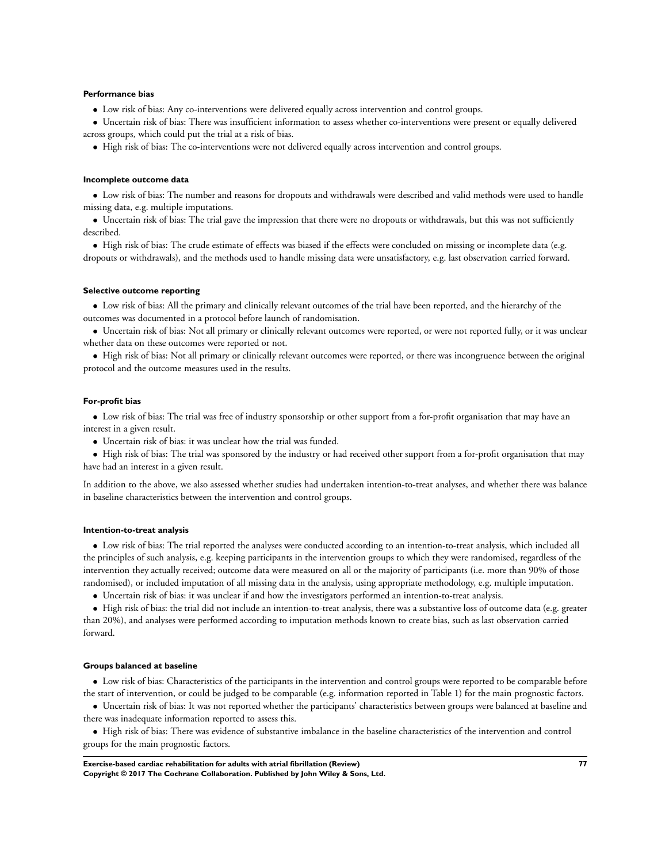### **Performance bias**

• Low risk of bias: Any co-interventions were delivered equally across intervention and control groups.

• Uncertain risk of bias: There was insufficient information to assess whether co-interventions were present or equally delivered across groups, which could put the trial at a risk of bias.

• High risk of bias: The co-interventions were not delivered equally across intervention and control groups.

### **Incomplete outcome data**

• Low risk of bias: The number and reasons for dropouts and withdrawals were described and valid methods were used to handle missing data, e.g. multiple imputations.

• Uncertain risk of bias: The trial gave the impression that there were no dropouts or withdrawals, but this was not sufficiently described.

• High risk of bias: The crude estimate of effects was biased if the effects were concluded on missing or incomplete data (e.g. dropouts or withdrawals), and the methods used to handle missing data were unsatisfactory, e.g. last observation carried forward.

### **Selective outcome reporting**

• Low risk of bias: All the primary and clinically relevant outcomes of the trial have been reported, and the hierarchy of the outcomes was documented in a protocol before launch of randomisation.

• Uncertain risk of bias: Not all primary or clinically relevant outcomes were reported, or were not reported fully, or it was unclear whether data on these outcomes were reported or not.

• High risk of bias: Not all primary or clinically relevant outcomes were reported, or there was incongruence between the original protocol and the outcome measures used in the results.

#### **For-profit bias**

• Low risk of bias: The trial was free of industry sponsorship or other support from a for-profit organisation that may have an interest in a given result.

• Uncertain risk of bias: it was unclear how the trial was funded.

• High risk of bias: The trial was sponsored by the industry or had received other support from a for-profit organisation that may have had an interest in a given result.

In addition to the above, we also assessed whether studies had undertaken intention-to-treat analyses, and whether there was balance in baseline characteristics between the intervention and control groups.

#### **Intention-to-treat analysis**

• Low risk of bias: The trial reported the analyses were conducted according to an intention-to-treat analysis, which included all the principles of such analysis, e.g. keeping participants in the intervention groups to which they were randomised, regardless of the intervention they actually received; outcome data were measured on all or the majority of participants (i.e. more than 90% of those randomised), or included imputation of all missing data in the analysis, using appropriate methodology, e.g. multiple imputation.

• Uncertain risk of bias: it was unclear if and how the investigators performed an intention-to-treat analysis.

• High risk of bias: the trial did not include an intention-to-treat analysis, there was a substantive loss of outcome data (e.g. greater than 20%), and analyses were performed according to imputation methods known to create bias, such as last observation carried forward.

#### **Groups balanced at baseline**

• Low risk of bias: Characteristics of the participants in the intervention and control groups were reported to be comparable before the start of intervention, or could be judged to be comparable (e.g. information reported in Table 1) for the main prognostic factors.

• Uncertain risk of bias: It was not reported whether the participants' characteristics between groups were balanced at baseline and there was inadequate information reported to assess this.

• High risk of bias: There was evidence of substantive imbalance in the baseline characteristics of the intervention and control groups for the main prognostic factors.

**Exercise-based cardiac rehabilitation for adults with atrial fibrillation (Review) 77 Copyright © 2017 The Cochrane Collaboration. Published by John Wiley & Sons, Ltd.**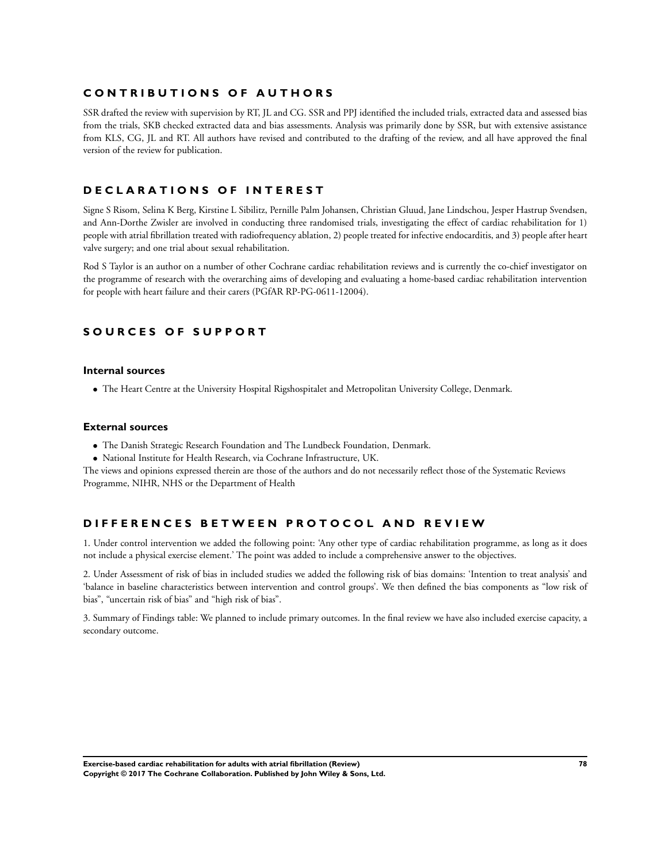# **C O N T R I B U T I O N S O F A U T H O R S**

SSR drafted the review with supervision by RT, JL and CG. SSR and PPJ identified the included trials, extracted data and assessed bias from the trials, SKB checked extracted data and bias assessments. Analysis was primarily done by SSR, but with extensive assistance from KLS, CG, JL and RT. All authors have revised and contributed to the drafting of the review, and all have approved the final version of the review for publication.

# **D E C L A R A T I O N S O F I N T E R E S T**

Signe S Risom, Selina K Berg, Kirstine L Sibilitz, Pernille Palm Johansen, Christian Gluud, Jane Lindschou, Jesper Hastrup Svendsen, and Ann-Dorthe Zwisler are involved in conducting three randomised trials, investigating the effect of cardiac rehabilitation for 1) people with atrial fibrillation treated with radiofrequency ablation, 2) people treated for infective endocarditis, and 3) people after heart valve surgery; and one trial about sexual rehabilitation.

Rod S Taylor is an author on a number of other Cochrane cardiac rehabilitation reviews and is currently the co-chief investigator on the programme of research with the overarching aims of developing and evaluating a home-based cardiac rehabilitation intervention for people with heart failure and their carers (PGfAR RP-PG-0611-12004).

# **S O U R C E S O F S U P P O R T**

## **Internal sources**

• The Heart Centre at the University Hospital Rigshospitalet and Metropolitan University College, Denmark.

### **External sources**

- The Danish Strategic Research Foundation and The Lundbeck Foundation, Denmark.
- National Institute for Health Research, via Cochrane Infrastructure, UK.

The views and opinions expressed therein are those of the authors and do not necessarily reflect those of the Systematic Reviews Programme, NIHR, NHS or the Department of Health

# **DIFFERENCES BETWEEN PROTOCOL AND REVIEW**

1. Under control intervention we added the following point: 'Any other type of cardiac rehabilitation programme, as long as it does not include a physical exercise element.' The point was added to include a comprehensive answer to the objectives.

2. Under Assessment of risk of bias in included studies we added the following risk of bias domains: 'Intention to treat analysis' and 'balance in baseline characteristics between intervention and control groups'. We then defined the bias components as "low risk of bias", "uncertain risk of bias" and "high risk of bias".

3. Summary of Findings table: We planned to include primary outcomes. In the final review we have also included exercise capacity, a secondary outcome.